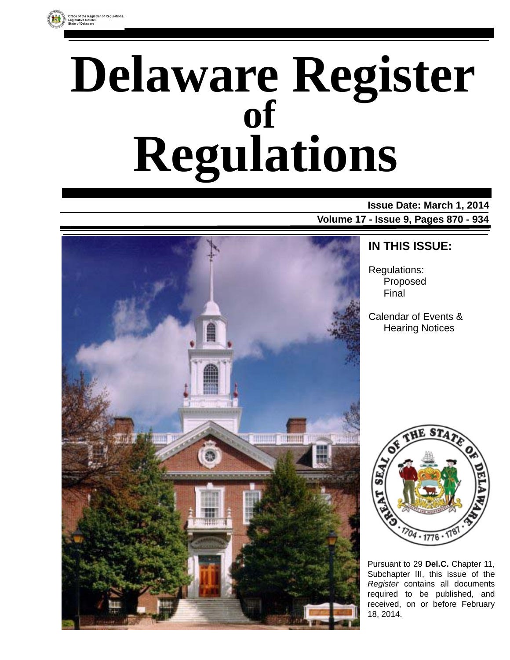

# **Delaware Register Regulations of**

### **Issue Date: March 1, 2014**

**Volume 17 - Issue 9, Pages 870 - 934**



### **IN THIS ISSUE:**

Regulations: Proposed Final

Calendar of Events & Hearing Notices



Pursuant to 29 **Del.C.** Chapter 11, Subchapter III, this issue of the *Register* contains all documents required to be published, and received, on or before February 18, 2014.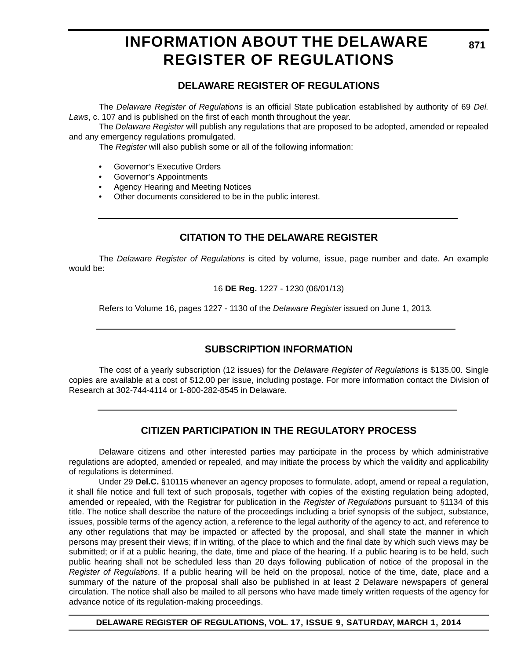### **INFORMATION ABOUT THE DELAWARE REGISTER OF REGULATIONS**

#### **DELAWARE REGISTER OF REGULATIONS**

The *Delaware Register of Regulations* is an official State publication established by authority of 69 *Del. Laws*, c. 107 and is published on the first of each month throughout the year.

The *Delaware Register* will publish any regulations that are proposed to be adopted, amended or repealed and any emergency regulations promulgated.

The *Register* will also publish some or all of the following information:

- Governor's Executive Orders
- Governor's Appointments
- Agency Hearing and Meeting Notices
- Other documents considered to be in the public interest.

#### **CITATION TO THE DELAWARE REGISTER**

The *Delaware Register of Regulations* is cited by volume, issue, page number and date. An example would be:

16 **DE Reg.** 1227 - 1230 (06/01/13)

Refers to Volume 16, pages 1227 - 1130 of the *Delaware Register* issued on June 1, 2013.

#### **SUBSCRIPTION INFORMATION**

The cost of a yearly subscription (12 issues) for the *Delaware Register of Regulations* is \$135.00. Single copies are available at a cost of \$12.00 per issue, including postage. For more information contact the Division of Research at 302-744-4114 or 1-800-282-8545 in Delaware.

#### **CITIZEN PARTICIPATION IN THE REGULATORY PROCESS**

Delaware citizens and other interested parties may participate in the process by which administrative regulations are adopted, amended or repealed, and may initiate the process by which the validity and applicability of regulations is determined.

Under 29 **Del.C.** §10115 whenever an agency proposes to formulate, adopt, amend or repeal a regulation, it shall file notice and full text of such proposals, together with copies of the existing regulation being adopted, amended or repealed, with the Registrar for publication in the *Register of Regulations* pursuant to §1134 of this title. The notice shall describe the nature of the proceedings including a brief synopsis of the subject, substance, issues, possible terms of the agency action, a reference to the legal authority of the agency to act, and reference to any other regulations that may be impacted or affected by the proposal, and shall state the manner in which persons may present their views; if in writing, of the place to which and the final date by which such views may be submitted; or if at a public hearing, the date, time and place of the hearing. If a public hearing is to be held, such public hearing shall not be scheduled less than 20 days following publication of notice of the proposal in the *Register of Regulations*. If a public hearing will be held on the proposal, notice of the time, date, place and a summary of the nature of the proposal shall also be published in at least 2 Delaware newspapers of general circulation. The notice shall also be mailed to all persons who have made timely written requests of the agency for advance notice of its regulation-making proceedings.

**DELAWARE REGISTER OF REGULATIONS, VOL. 17, ISSUE 9, SATURDAY, MARCH 1, 2014**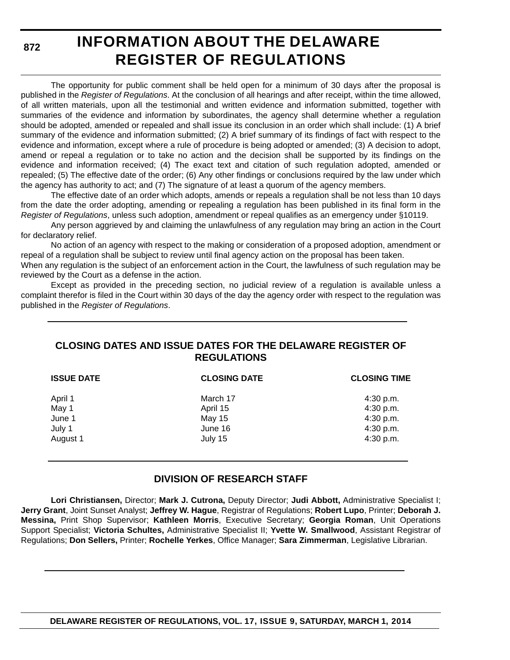**872**

### **INFORMATION ABOUT THE DELAWARE REGISTER OF REGULATIONS**

The opportunity for public comment shall be held open for a minimum of 30 days after the proposal is published in the *Register of Regulations*. At the conclusion of all hearings and after receipt, within the time allowed, of all written materials, upon all the testimonial and written evidence and information submitted, together with summaries of the evidence and information by subordinates, the agency shall determine whether a regulation should be adopted, amended or repealed and shall issue its conclusion in an order which shall include: (1) A brief summary of the evidence and information submitted; (2) A brief summary of its findings of fact with respect to the evidence and information, except where a rule of procedure is being adopted or amended; (3) A decision to adopt, amend or repeal a regulation or to take no action and the decision shall be supported by its findings on the evidence and information received; (4) The exact text and citation of such regulation adopted, amended or repealed; (5) The effective date of the order; (6) Any other findings or conclusions required by the law under which the agency has authority to act; and (7) The signature of at least a quorum of the agency members.

The effective date of an order which adopts, amends or repeals a regulation shall be not less than 10 days from the date the order adopting, amending or repealing a regulation has been published in its final form in the *Register of Regulations*, unless such adoption, amendment or repeal qualifies as an emergency under §10119.

Any person aggrieved by and claiming the unlawfulness of any regulation may bring an action in the Court for declaratory relief.

No action of an agency with respect to the making or consideration of a proposed adoption, amendment or repeal of a regulation shall be subject to review until final agency action on the proposal has been taken.

When any regulation is the subject of an enforcement action in the Court, the lawfulness of such regulation may be reviewed by the Court as a defense in the action.

Except as provided in the preceding section, no judicial review of a regulation is available unless a complaint therefor is filed in the Court within 30 days of the day the agency order with respect to the regulation was published in the *Register of Regulations*.

#### **CLOSING DATES AND ISSUE DATES FOR THE DELAWARE REGISTER OF REGULATIONS**

| <b>ISSUE DATE</b> | <b>CLOSING DATE</b> | <b>CLOSING TIME</b> |  |
|-------------------|---------------------|---------------------|--|
| April 1           | March 17            | 4:30 p.m.           |  |
| May 1             | April 15            | 4:30 p.m.           |  |
| June 1            | May 15              | 4:30 p.m.           |  |
| July 1            | June 16             | 4:30 p.m.           |  |
| August 1          | July 15             | 4:30 p.m.           |  |

#### **DIVISION OF RESEARCH STAFF**

**Lori Christiansen,** Director; **Mark J. Cutrona,** Deputy Director; **Judi Abbott,** Administrative Specialist I; **Jerry Grant**, Joint Sunset Analyst; **Jeffrey W. Hague**, Registrar of Regulations; **Robert Lupo**, Printer; **Deborah J. Messina,** Print Shop Supervisor; **Kathleen Morris**, Executive Secretary; **Georgia Roman**, Unit Operations Support Specialist; **Victoria Schultes,** Administrative Specialist II; **Yvette W. Smallwood**, Assistant Registrar of Regulations; **Don Sellers,** Printer; **Rochelle Yerkes**, Office Manager; **Sara Zimmerman**, Legislative Librarian.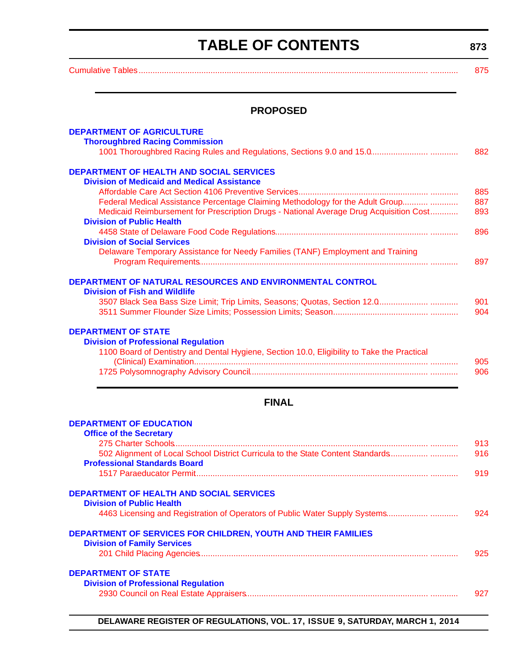### **TABLE OF CONTENTS**

**873**

<span id="page-3-0"></span>[Cumulative Tables............................................................................................................................. ............ 875](#page-5-0)

#### **PROPOSED**

| <b>DEPARTMENT OF AGRICULTURE</b><br><b>Thoroughbred Racing Commission</b>                                                                                                |            |
|--------------------------------------------------------------------------------------------------------------------------------------------------------------------------|------------|
|                                                                                                                                                                          | 882        |
| <b>DEPARTMENT OF HEALTH AND SOCIAL SERVICES</b><br><b>Division of Medicaid and Medical Assistance</b>                                                                    |            |
|                                                                                                                                                                          | 885        |
| Federal Medical Assistance Percentage Claiming Methodology for the Adult Group<br>Medicaid Reimbursement for Prescription Drugs - National Average Drug Acquisition Cost | 887<br>893 |
| <b>Division of Public Health</b>                                                                                                                                         |            |
|                                                                                                                                                                          | 896        |
| <b>Division of Social Services</b>                                                                                                                                       |            |
| Delaware Temporary Assistance for Needy Families (TANF) Employment and Training                                                                                          | 897        |
|                                                                                                                                                                          |            |
| DEPARTMENT OF NATURAL RESOURCES AND ENVIRONMENTAL CONTROL<br><b>Division of Fish and Wildlife</b>                                                                        |            |
|                                                                                                                                                                          | 901        |
|                                                                                                                                                                          | 904        |
| <b>DEPARTMENT OF STATE</b><br><b>Division of Professional Regulation</b><br>1100 Board of Dentistry and Dental Hygiene, Section 10.0, Eligibility to Take the Practical  |            |
|                                                                                                                                                                          | 905<br>906 |
|                                                                                                                                                                          |            |
|                                                                                                                                                                          |            |
| <b>FINAL</b>                                                                                                                                                             |            |
| <b>DEPARTMENT OF EDUCATION</b><br><b>Office of the Secretary</b>                                                                                                         |            |
|                                                                                                                                                                          | 913        |
| 502 Alignment of Local School District Curricula to the State Content Standards<br><b>Professional Standards Board</b>                                                   | 916        |
|                                                                                                                                                                          | 919        |
| <b>DEPARTMENT OF HEALTH AND SOCIAL SERVICES</b>                                                                                                                          |            |
| <b>Division of Public Health</b><br>4463 Licensing and Registration of Operators of Public Water Supply Systems                                                          | 924        |
|                                                                                                                                                                          |            |

#### **[DEPARTMENT OF SERVICES FOR CHILDREN, YOUTH AND THEIR FAMILIES](http://kids.delaware.gov/) Division of Family Services**

[201 Child Placing Agencies................................................................................................... ............ 925](#page-55-0)

#### **DEPARTMENT OF STATE**

|  | <b>Division of Professional Regulation</b> |  |  |  |
|--|--------------------------------------------|--|--|--|
|  |                                            |  |  |  |

### [2930 Council on Real Estate Appraisers............................................................................... ............ 927](#page-57-0)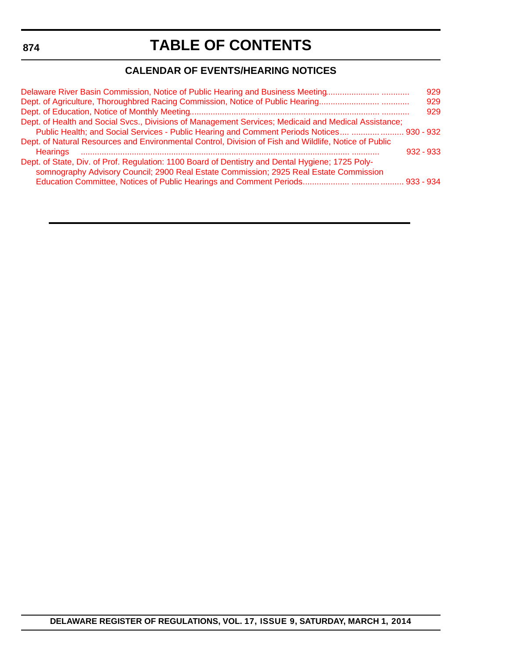<span id="page-4-0"></span>**874**

### **TABLE OF CONTENTS**

### **CALENDAR OF EVENTS/HEARING NOTICES**

| 929                                                                                                        |
|------------------------------------------------------------------------------------------------------------|
| 929                                                                                                        |
| 929                                                                                                        |
|                                                                                                            |
|                                                                                                            |
|                                                                                                            |
|                                                                                                            |
|                                                                                                            |
|                                                                                                            |
|                                                                                                            |
| Public Health; and Social Services - Public Hearing and Comment Periods Notices   930 - 932<br>$932 - 933$ |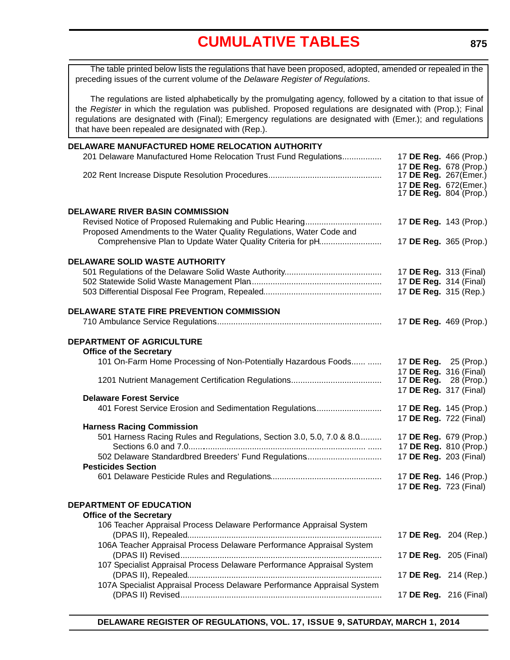<span id="page-5-0"></span>The table printed below lists the regulations that have been proposed, adopted, amended or repealed in the preceding issues of the current volume of the *Delaware Register of Regulations*.

The regulations are listed alphabetically by the promulgating agency, followed by a citation to that issue of the *Register* in which the regulation was published. Proposed regulations are designated with (Prop.); Final regulations are designated with (Final); Emergency regulations are designated with (Emer.); and regulations that have been repealed are designated with (Rep.).

| DELAWARE MANUFACTURED HOME RELOCATION AUTHORITY                         |                                                  |
|-------------------------------------------------------------------------|--------------------------------------------------|
| 201 Delaware Manufactured Home Relocation Trust Fund Regulations        | 17 DE Reg. 466 (Prop.)                           |
|                                                                         | 17 DE Reg. 678 (Prop.)                           |
|                                                                         | 17 DE Reg. 267(Emer.)                            |
|                                                                         | 17 DE Reg. 672(Emer.)                            |
|                                                                         | 17 <b>DE Reg.</b> 804 (Prop.)                    |
| <b>DELAWARE RIVER BASIN COMMISSION</b>                                  |                                                  |
|                                                                         | 17 DE Reg. 143 (Prop.)                           |
| Proposed Amendments to the Water Quality Regulations, Water Code and    |                                                  |
| Comprehensive Plan to Update Water Quality Criteria for pH              | 17 DE Reg. 365 (Prop.)                           |
|                                                                         |                                                  |
| DELAWARE SOLID WASTE AUTHORITY                                          |                                                  |
|                                                                         | 17 DE Reg. 313 (Final)                           |
|                                                                         | 17 DE Reg. 314 (Final)                           |
|                                                                         | 17 DE Reg. 315 (Rep.)                            |
|                                                                         |                                                  |
| <b>DELAWARE STATE FIRE PREVENTION COMMISSION</b>                        |                                                  |
|                                                                         | 17 DE Reg. 469 (Prop.)                           |
|                                                                         |                                                  |
| <b>DEPARTMENT OF AGRICULTURE</b><br><b>Office of the Secretary</b>      |                                                  |
| 101 On-Farm Home Processing of Non-Potentially Hazardous Foods          | 17 DE Reg. 25 (Prop.)                            |
|                                                                         | 17 DE Reg. 316 (Final)                           |
|                                                                         | 17 <b>DE Reg.</b> 28 (Prop.)                     |
|                                                                         | 17 DE Reg. 317 (Final)                           |
| <b>Delaware Forest Service</b>                                          |                                                  |
| 401 Forest Service Erosion and Sedimentation Regulations                | 17 DE Reg. 145 (Prop.)                           |
|                                                                         | 17 DE Reg. 722 (Final)                           |
| <b>Harness Racing Commission</b>                                        |                                                  |
| 501 Harness Racing Rules and Regulations, Section 3.0, 5.0, 7.0 & 8.0   | 17 DE Reg. 679 (Prop.)                           |
| 502 Delaware Standardbred Breeders' Fund Regulations                    | 17 DE Reg. 810 (Prop.)<br>17 DE Reg. 203 (Final) |
| <b>Pesticides Section</b>                                               |                                                  |
|                                                                         | 17 DE Reg. 146 (Prop.)                           |
|                                                                         | 17 DE Reg. 723 (Final)                           |
|                                                                         |                                                  |
| DEPARTMENT OF EDUCATION                                                 |                                                  |
| <b>Office of the Secretary</b>                                          |                                                  |
| 106 Teacher Appraisal Process Delaware Performance Appraisal System     |                                                  |
|                                                                         | 17 DE Reg. 204 (Rep.)                            |
| 106A Teacher Appraisal Process Delaware Performance Appraisal System    |                                                  |
|                                                                         | 17 DE Reg. 205 (Final)                           |
| 107 Specialist Appraisal Process Delaware Performance Appraisal System  |                                                  |
|                                                                         | 17 DE Reg. 214 (Rep.)                            |
| 107A Specialist Appraisal Process Delaware Performance Appraisal System |                                                  |
|                                                                         | 17 DE Reg. 216 (Final)                           |
|                                                                         |                                                  |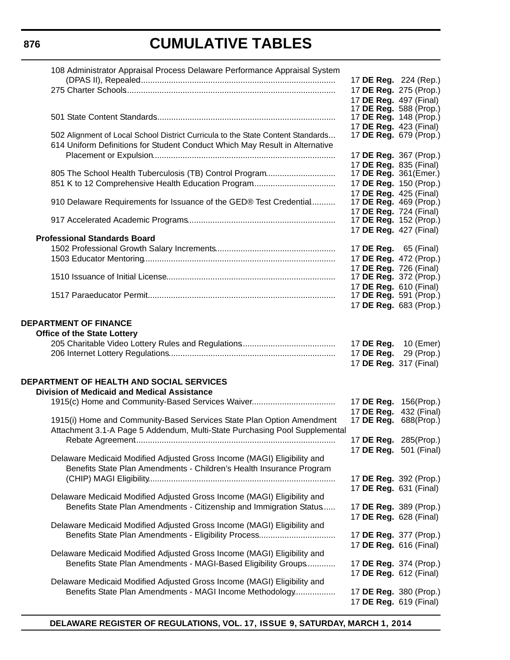| 108 Administrator Appraisal Process Delaware Performance Appraisal System                                                                                      |                                                                            |            |
|----------------------------------------------------------------------------------------------------------------------------------------------------------------|----------------------------------------------------------------------------|------------|
|                                                                                                                                                                | 17 DE Reg. 224 (Rep.)                                                      |            |
|                                                                                                                                                                | 17 DE Reg. 275 (Prop.)                                                     |            |
|                                                                                                                                                                | 17 DE Reg. 497 (Final)                                                     |            |
|                                                                                                                                                                | 17 DE Reg. 588 (Prop.)<br>17 <b>DE Reg.</b> 148 (Prop.)                    |            |
|                                                                                                                                                                | 17 DE Reg. 423 (Final)                                                     |            |
| 502 Alignment of Local School District Curricula to the State Content Standards<br>614 Uniform Definitions for Student Conduct Which May Result in Alternative | 17 <b>DE Reg.</b> 679 (Prop.)                                              |            |
|                                                                                                                                                                | 17 DE Reg. 367 (Prop.)                                                     |            |
|                                                                                                                                                                | 17 DE Reg. 835 (Final)                                                     |            |
|                                                                                                                                                                | 17 DE Reg. 361(Emer.)                                                      |            |
|                                                                                                                                                                | 17 DE Reg. 150 (Prop.)                                                     |            |
| 910 Delaware Requirements for Issuance of the GED® Test Credential                                                                                             | 17 DE Reg. 425 (Final)<br>17 DE Reg. 469 (Prop.)<br>17 DE Reg. 724 (Final) |            |
|                                                                                                                                                                | 17 <b>DE Reg.</b> 152 (Prop.)                                              |            |
|                                                                                                                                                                | 17 DE Reg. 427 (Final)                                                     |            |
| <b>Professional Standards Board</b>                                                                                                                            |                                                                            |            |
|                                                                                                                                                                | 17 <b>DE Reg.</b> 65 (Final)                                               |            |
|                                                                                                                                                                | 17 DE Reg. 472 (Prop.)                                                     |            |
|                                                                                                                                                                | 17 DE Reg. 726 (Final)                                                     |            |
|                                                                                                                                                                | 17 DE Reg. 372 (Prop.)                                                     |            |
|                                                                                                                                                                | 17 DE Reg. 610 (Final)                                                     |            |
|                                                                                                                                                                | 17 DE Reg. 591 (Prop.)                                                     |            |
|                                                                                                                                                                | 17 DE Reg. 683 (Prop.)                                                     |            |
| <b>DEPARTMENT OF FINANCE</b><br><b>Office of the State Lottery</b>                                                                                             |                                                                            |            |
|                                                                                                                                                                | 17 DE Reg.                                                                 | 10 (Emer)  |
|                                                                                                                                                                | 17 DE Reg.<br>17 DE Reg. 317 (Final)                                       | 29 (Prop.) |
|                                                                                                                                                                |                                                                            |            |
| <b>DEPARTMENT OF HEALTH AND SOCIAL SERVICES</b>                                                                                                                |                                                                            |            |
| <b>Division of Medicaid and Medical Assistance</b>                                                                                                             |                                                                            |            |
| 1915(c) Home and Community-Based Services Waiver                                                                                                               | 17 DE Reg. 156(Prop.)                                                      |            |
|                                                                                                                                                                | 17 DE Reg. 432 (Final)                                                     |            |
| 1915(i) Home and Community-Based Services State Plan Option Amendment<br>Attachment 3.1-A Page 5 Addendum, Multi-State Purchasing Pool Supplemental            | 17 <b>DE Reg.</b> 688(Prop.)                                               |            |
|                                                                                                                                                                | 17 DE Reg. 285(Prop.)                                                      |            |
|                                                                                                                                                                | 17 DE Reg. 501 (Final)                                                     |            |
| Delaware Medicaid Modified Adjusted Gross Income (MAGI) Eligibility and<br>Benefits State Plan Amendments - Children's Health Insurance Program                | 17 DE Reg. 392 (Prop.)                                                     |            |
|                                                                                                                                                                | 17 DE Reg. 631 (Final)                                                     |            |
| Delaware Medicaid Modified Adjusted Gross Income (MAGI) Eligibility and                                                                                        |                                                                            |            |
| Benefits State Plan Amendments - Citizenship and Immigration Status                                                                                            | 17 DE Reg. 389 (Prop.)                                                     |            |
|                                                                                                                                                                | 17 DE Reg. 628 (Final)                                                     |            |
| Delaware Medicaid Modified Adjusted Gross Income (MAGI) Eligibility and                                                                                        |                                                                            |            |
| Benefits State Plan Amendments - Eligibility Process                                                                                                           | 17 DE Reg. 377 (Prop.)                                                     |            |
|                                                                                                                                                                | 17 DE Reg. 616 (Final)                                                     |            |
| Delaware Medicaid Modified Adjusted Gross Income (MAGI) Eligibility and                                                                                        |                                                                            |            |
| Benefits State Plan Amendments - MAGI-Based Eligibility Groups                                                                                                 | 17 DE Reg. 374 (Prop.)                                                     |            |
|                                                                                                                                                                | 17 DE Reg. 612 (Final)                                                     |            |
| Delaware Medicaid Modified Adjusted Gross Income (MAGI) Eligibility and                                                                                        |                                                                            |            |
| Benefits State Plan Amendments - MAGI Income Methodology                                                                                                       | 17 DE Reg. 380 (Prop.)                                                     |            |
|                                                                                                                                                                | 17 DE Reg. 619 (Final)                                                     |            |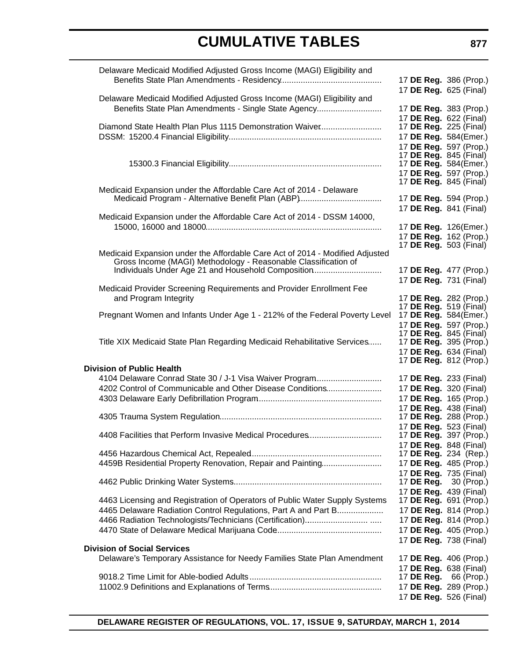| Delaware Medicaid Modified Adjusted Gross Income (MAGI) Eligibility and      |                                                         |                        |
|------------------------------------------------------------------------------|---------------------------------------------------------|------------------------|
|                                                                              | 17 DE Reg. 386 (Prop.)                                  |                        |
|                                                                              | 17 DE Reg. 625 (Final)                                  |                        |
| Delaware Medicaid Modified Adjusted Gross Income (MAGI) Eligibility and      |                                                         |                        |
| Benefits State Plan Amendments - Single State Agency                         | 17 DE Reg. 383 (Prop.)                                  |                        |
|                                                                              | 17 DE Reg. 622 (Final)                                  |                        |
| Diamond State Health Plan Plus 1115 Demonstration Waiver                     | 17 <b>DE Reg.</b> 225 (Final)                           |                        |
|                                                                              | 17 DE Reg. 584(Emer.)                                   |                        |
|                                                                              | 17 DE Reg. 597 (Prop.)                                  |                        |
|                                                                              | 17 <b>DE Reg.</b> 845 (Final)                           |                        |
|                                                                              | 17 DE Reg. 584(Emer.)                                   |                        |
|                                                                              | 17 DE Reg. 597 (Prop.)                                  |                        |
| Medicaid Expansion under the Affordable Care Act of 2014 - Delaware          | 17 <b>DE Reg.</b> 845 (Final)                           |                        |
|                                                                              | 17 DE Reg. 594 (Prop.)                                  |                        |
|                                                                              | 17 DE Reg. 841 (Final)                                  |                        |
| Medicaid Expansion under the Affordable Care Act of 2014 - DSSM 14000,       |                                                         |                        |
|                                                                              | 17 DE Reg. 126(Emer.)                                   |                        |
|                                                                              | 17 DE Reg. 162 (Prop.)                                  |                        |
|                                                                              | 17 <b>DE Reg.</b> 503 (Final)                           |                        |
| Medicaid Expansion under the Affordable Care Act of 2014 - Modified Adjusted |                                                         |                        |
| Gross Income (MAGI) Methodology - Reasonable Classification of               |                                                         |                        |
| Individuals Under Age 21 and Household Composition                           | 17 DE Reg. 477 (Prop.)                                  |                        |
|                                                                              | 17 DE Reg. 731 (Final)                                  |                        |
| Medicaid Provider Screening Requirements and Provider Enrollment Fee         |                                                         |                        |
| and Program Integrity                                                        | 17 DE Reg. 282 (Prop.)                                  |                        |
|                                                                              | 17 <b>DE Reg.</b> 519 (Final)                           |                        |
| Pregnant Women and Infants Under Age 1 - 212% of the Federal Poverty Level   | 17 DE Reg. 584(Emer.)                                   |                        |
|                                                                              |                                                         | 17 DE Reg. 597 (Prop.) |
| Title XIX Medicaid State Plan Regarding Medicaid Rehabilitative Services     | 17 <b>DE Reg.</b> 845 (Final)<br>17 DE Reg. 395 (Prop.) |                        |
|                                                                              | 17 DE Reg. 634 (Final)                                  |                        |
|                                                                              | 17 DE Reg. 812 (Prop.)                                  |                        |
| <b>Division of Public Health</b>                                             |                                                         |                        |
| 4104 Delaware Conrad State 30 / J-1 Visa Waiver Program                      | 17 <b>DE Reg.</b> 233 (Final)                           |                        |
| 4202 Control of Communicable and Other Disease Conditions                    | 17 DE Reg. 320 (Final)                                  |                        |
|                                                                              | 17 DE Reg. 165 (Prop.)                                  |                        |
|                                                                              | 17 DE Reg. 438 (Final)                                  |                        |
|                                                                              | 17 DE Reg. 288 (Prop.)                                  |                        |
|                                                                              | 17 DE Reg. 523 (Final)                                  |                        |
| 4408 Facilities that Perform Invasive Medical Procedures                     | 17 DE Reg. 397 (Prop.)                                  |                        |
|                                                                              | 17 DE Reg. 848 (Final)                                  |                        |
|                                                                              | 17 <b>DE Reg.</b> 234 (Rep.)                            |                        |
| 4459B Residential Property Renovation, Repair and Painting                   | 17 DE Reg. 485 (Prop.)                                  |                        |
|                                                                              | 17 DE Reg. 735 (Final)                                  |                        |
|                                                                              | 17 <b>DE Reg.</b> 30 (Prop.)                            |                        |
|                                                                              | 17 DE Reg. 439 (Final)                                  |                        |
| 4463 Licensing and Registration of Operators of Public Water Supply Systems  | 17 DE Reg. 691 (Prop.)                                  |                        |
| 4465 Delaware Radiation Control Regulations, Part A and Part B               |                                                         | 17 DE Reg. 814 (Prop.) |
|                                                                              |                                                         | 17 DE Reg. 814 (Prop.) |
|                                                                              |                                                         | 17 DE Reg. 405 (Prop.) |
|                                                                              | 17 DE Reg. 738 (Final)                                  |                        |
| <b>Division of Social Services</b>                                           |                                                         |                        |
| Delaware's Temporary Assistance for Needy Families State Plan Amendment      | 17 DE Reg. 406 (Prop.)                                  |                        |
|                                                                              | 17 DE Reg. 638 (Final)                                  |                        |
|                                                                              | 17 DE Reg.                                              | 66 (Prop.)             |
|                                                                              | 17 DE Reg. 289 (Prop.)                                  |                        |
|                                                                              | 17 DE Reg. 526 (Final)                                  |                        |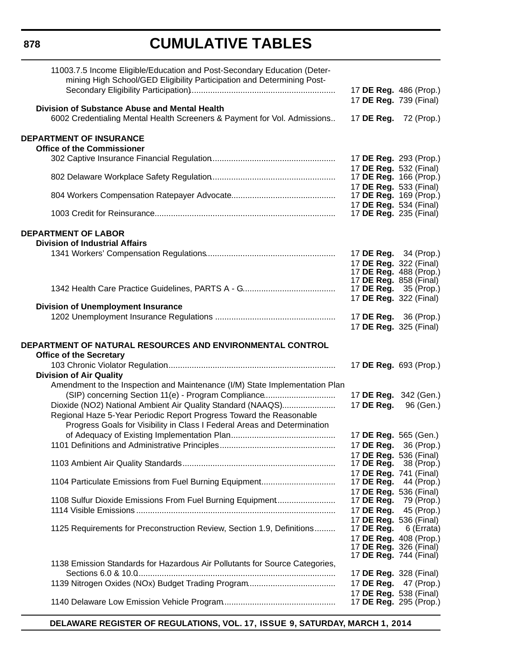**878**

# **CUMULATIVE TABLES**

| 11003.7.5 Income Eligible/Education and Post-Secondary Education (Deter-<br>mining High School/GED Eligibility Participation and Determining Post- | 17 DE Reg. 486 (Prop.)                                                           |            |
|----------------------------------------------------------------------------------------------------------------------------------------------------|----------------------------------------------------------------------------------|------------|
| <b>Division of Substance Abuse and Mental Health</b>                                                                                               | 17 DE Reg. 739 (Final)                                                           |            |
| 6002 Credentialing Mental Health Screeners & Payment for Vol. Admissions                                                                           | 17 DE Reg. 72 (Prop.)                                                            |            |
| <b>DEPARTMENT OF INSURANCE</b><br><b>Office of the Commissioner</b>                                                                                |                                                                                  |            |
|                                                                                                                                                    | 17 DE Reg. 293 (Prop.)<br>17 DE Reg. 532 (Final)                                 |            |
|                                                                                                                                                    | 17 DE Reg. 166 (Prop.)<br>17 DE Reg. 533 (Final)                                 |            |
|                                                                                                                                                    | 17 <b>DE Reg.</b> 169 (Prop.)<br>17 DE Reg. 534 (Final)                          |            |
|                                                                                                                                                    | 17 <b>DE Reg.</b> 235 (Final)                                                    |            |
| <b>DEPARTMENT OF LABOR</b><br><b>Division of Industrial Affairs</b>                                                                                |                                                                                  |            |
|                                                                                                                                                    | 17 DE Reg. 34 (Prop.)<br>17 DE Reg. 322 (Final)                                  |            |
|                                                                                                                                                    | 17 DE Reg. 488 (Prop.)<br>17 DE Reg. 858 (Final)<br>17 <b>DE Reg.</b> 35 (Prop.) |            |
|                                                                                                                                                    | 17 DE Reg. 322 (Final)                                                           |            |
| <b>Division of Unemployment Insurance</b>                                                                                                          | 17 <b>DE Reg.</b> 36 (Prop.)                                                     |            |
|                                                                                                                                                    | 17 DE Reg. 325 (Final)                                                           |            |
| DEPARTMENT OF NATURAL RESOURCES AND ENVIRONMENTAL CONTROL<br><b>Office of the Secretary</b>                                                        |                                                                                  |            |
| <b>Division of Air Quality</b>                                                                                                                     | 17 DE Reg. 693 (Prop.)                                                           |            |
| Amendment to the Inspection and Maintenance (I/M) State Implementation Plan                                                                        |                                                                                  |            |
| (SIP) concerning Section 11(e) - Program Compliance                                                                                                | 17 DE Reg. 342 (Gen.)                                                            |            |
| Dioxide (NO2) National Ambient Air Quality Standard (NAAQS)<br>Regional Haze 5-Year Periodic Report Progress Toward the Reasonable                 | 17 DE Reg.                                                                       | 96 (Gen.)  |
| Progress Goals for Visibility in Class I Federal Areas and Determination                                                                           |                                                                                  |            |
|                                                                                                                                                    | 17 DE Reg. 565 (Gen.)                                                            |            |
|                                                                                                                                                    | 17 <b>DE Reg.</b> 36 (Prop.)                                                     |            |
|                                                                                                                                                    | 17 DE Reg. 536 (Final)<br>17 DE Reg.                                             | 38 (Prop.) |
| 1104 Particulate Emissions from Fuel Burning Equipment                                                                                             | 17 DE Reg. 741 (Final)<br>17 DE Reg.                                             | 44 (Prop.) |
|                                                                                                                                                    | 17 DE Reg. 536 (Final)                                                           |            |
| 1108 Sulfur Dioxide Emissions From Fuel Burning Equipment                                                                                          | 17 <b>DE Reg.</b> 79 (Prop.)<br>17 DE Reg. 45 (Prop.)                            |            |
|                                                                                                                                                    | 17 DE Reg. 536 (Final)                                                           |            |
| 1125 Requirements for Preconstruction Review, Section 1.9, Definitions                                                                             | 17 DE Reg. $6$ (Errata)                                                          |            |
|                                                                                                                                                    | 17 DE Reg. 408 (Prop.)<br>17 <b>DE Reg.</b> 326 (Final)                          |            |
| 1138 Emission Standards for Hazardous Air Pollutants for Source Categories,                                                                        | 17 <b>DE Reg.</b> 744 (Final)                                                    |            |
|                                                                                                                                                    | 17 <b>DE Reg.</b> 328 (Final)                                                    |            |
|                                                                                                                                                    | 17 DE Reg. 47 (Prop.)                                                            |            |
|                                                                                                                                                    | 17 DE Reg. 538 (Final)<br>17 DE Reg. 295 (Prop.)                                 |            |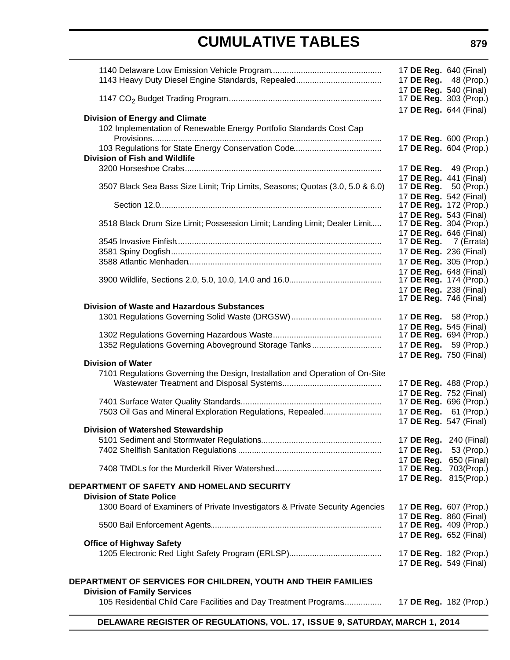|                                                                                                              | 17 <b>DE Reg.</b> 640 (Final)<br>17 DE Reg. 48 (Prop.)                            |                           |
|--------------------------------------------------------------------------------------------------------------|-----------------------------------------------------------------------------------|---------------------------|
|                                                                                                              | 17 DE Reg. 540 (Final)<br>17 <b>DE Reg.</b> 303 (Prop.)                           |                           |
|                                                                                                              | 17 DE Reg. 644 (Final)                                                            |                           |
| <b>Division of Energy and Climate</b><br>102 Implementation of Renewable Energy Portfolio Standards Cost Cap |                                                                                   |                           |
|                                                                                                              | 17 DE Reg. 604 (Prop.)                                                            | 17 DE Reg. 600 (Prop.)    |
| <b>Division of Fish and Wildlife</b>                                                                         | 17 <b>DE Reg.</b> 49 (Prop.)                                                      |                           |
| 3507 Black Sea Bass Size Limit; Trip Limits, Seasons; Quotas (3.0, 5.0 & 6.0)                                | 17 DE Reg. 441 (Final)<br>17 <b>DE Reg.</b> 50 (Prop.)                            |                           |
|                                                                                                              | 17 DE Reg. 542 (Final)<br>17 DE Reg. 172 (Prop.)                                  |                           |
| 3518 Black Drum Size Limit; Possession Limit; Landing Limit; Dealer Limit                                    | 17 DE Reg. 543 (Final)<br>17 <b>DE Reg.</b> 304 (Prop.)<br>17 DE Reg. 646 (Final) |                           |
|                                                                                                              | 17 DE Reg. 7 (Errata)                                                             |                           |
|                                                                                                              | 17 DE Reg. 236 (Final)<br>17 DE Reg. 305 (Prop.)                                  |                           |
|                                                                                                              | 17 DE Reg. 648 (Final)<br>17 DE Reg. 174 (Prop.)<br>17 DE Reg. 238 (Final)        |                           |
| Division of Waste and Hazardous Substances                                                                   | 17 <b>DE Reg.</b> 746 (Final)                                                     |                           |
|                                                                                                              | 17 DE Reg. 58 (Prop.)                                                             |                           |
| 1352 Regulations Governing Aboveground Storage Tanks                                                         | 17 DE Reg. 545 (Final)<br>17 DE Reg. 694 (Prop.)<br>17 DE Reg. 59 (Prop.)         |                           |
| <b>Division of Water</b>                                                                                     | 17 DE Reg. 750 (Final)                                                            |                           |
| 7101 Regulations Governing the Design, Installation and Operation of On-Site                                 |                                                                                   | 17 DE Reg. 488 (Prop.)    |
| 7503 Oil Gas and Mineral Exploration Regulations, Repealed                                                   | 17 DE Reg. 752 (Final)<br>17 <b>DE Reg.</b> 696 (Prop.)<br>17 DE Reg. 61 (Prop.)  |                           |
| <b>Division of Watershed Stewardship</b>                                                                     | 17 DE Reg. 547 (Final)                                                            |                           |
|                                                                                                              | 17 DE Reg. 240 (Final)                                                            |                           |
|                                                                                                              | 17 DE Reg.<br>17 DE Reg.                                                          | 53 (Prop.)<br>650 (Final) |
|                                                                                                              | 17 DE Reg. 703(Prop.)                                                             |                           |
| DEPARTMENT OF SAFETY AND HOMELAND SECURITY<br><b>Division of State Police</b>                                | 17 DE Reg. 815(Prop.)                                                             |                           |
| 1300 Board of Examiners of Private Investigators & Private Security Agencies                                 | 17 DE Reg. 607 (Prop.)                                                            |                           |
|                                                                                                              | 17 DE Reg. 860 (Final)<br>17 DE Reg. 652 (Final)                                  | 17 DE Reg. 409 (Prop.)    |
| <b>Office of Highway Safety</b>                                                                              | 17 DE Reg. 182 (Prop.)<br>17 DE Reg. 549 (Final)                                  |                           |
| DEPARTMENT OF SERVICES FOR CHILDREN, YOUTH AND THEIR FAMILIES                                                |                                                                                   |                           |
| <b>Division of Family Services</b><br>105 Residential Child Care Facilities and Day Treatment Programs       |                                                                                   | 17 DE Reg. 182 (Prop.)    |
|                                                                                                              |                                                                                   |                           |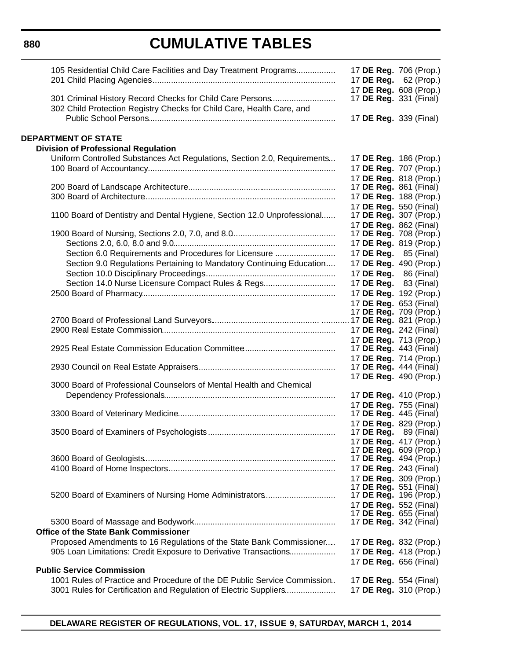**880**

# **CUMULATIVE TABLES**

| 105 Residential Child Care Facilities and Day Treatment Programs                                                                   | 17 DE Reg. 706 (Prop.)<br>17 DE Reg. 62 (Prop.)<br>17 DE Reg. 608 (Prop.) |  |
|------------------------------------------------------------------------------------------------------------------------------------|---------------------------------------------------------------------------|--|
| 301 Criminal History Record Checks for Child Care Persons<br>302 Child Protection Registry Checks for Child Care, Health Care, and | 17 DE Reg. 331 (Final)<br>17 DE Reg. 339 (Final)                          |  |
|                                                                                                                                    |                                                                           |  |
| <b>DEPARTMENT OF STATE</b>                                                                                                         |                                                                           |  |
| <b>Division of Professional Regulation</b>                                                                                         |                                                                           |  |
| Uniform Controlled Substances Act Regulations, Section 2.0, Requirements                                                           | 17 DE Reg. 186 (Prop.)                                                    |  |
|                                                                                                                                    | 17 DE Reg. 707 (Prop.)                                                    |  |
|                                                                                                                                    | 17 DE Reg. 818 (Prop.)                                                    |  |
|                                                                                                                                    | 17 DE Reg. 861 (Final)                                                    |  |
|                                                                                                                                    | 17 DE Reg. 188 (Prop.)<br>17 DE Reg. 550 (Final)                          |  |
| 1100 Board of Dentistry and Dental Hygiene, Section 12.0 Unprofessional                                                            | 17 <b>DE Reg.</b> 307 (Prop.)                                             |  |
|                                                                                                                                    | 17 DE Reg. 862 (Final)                                                    |  |
|                                                                                                                                    | 17 DE Reg. 708 (Prop.)                                                    |  |
|                                                                                                                                    | 17 DE Reg. 819 (Prop.)                                                    |  |
| Section 6.0 Requirements and Procedures for Licensure                                                                              | 17 <b>DE Reg.</b> 85 (Final)                                              |  |
| Section 9.0 Regulations Pertaining to Mandatory Continuing Education                                                               | 17 DE Reg. 490 (Prop.)                                                    |  |
|                                                                                                                                    | 17 DE Reg. 86 (Final)                                                     |  |
| Section 14.0 Nurse Licensure Compact Rules & Regs                                                                                  | 17 DE Reg. 83 (Final)                                                     |  |
|                                                                                                                                    | 17 DE Reg. 192 (Prop.)                                                    |  |
|                                                                                                                                    | 17 DE Reg. 653 (Final)                                                    |  |
|                                                                                                                                    | 17 DE Reg. 709 (Prop.)                                                    |  |
|                                                                                                                                    | 17 DE Reg. 242 (Final)                                                    |  |
|                                                                                                                                    | 17 DE Reg. 713 (Prop.)                                                    |  |
|                                                                                                                                    | 17 <b>DE Reg.</b> 443 (Final)                                             |  |
|                                                                                                                                    | 17 DE Reg. 714 (Prop.)                                                    |  |
|                                                                                                                                    | 17 <b>DE Reg.</b> 444 (Final)                                             |  |
|                                                                                                                                    | 17 DE Reg. 490 (Prop.)                                                    |  |
| 3000 Board of Professional Counselors of Mental Health and Chemical                                                                |                                                                           |  |
|                                                                                                                                    | 17 DE Reg. 410 (Prop.)                                                    |  |
|                                                                                                                                    | 17 DE Reg. 755 (Final)<br>17 DE Reg. 445 (Final)                          |  |
|                                                                                                                                    | 17 DE Reg. 829 (Prop.)                                                    |  |
|                                                                                                                                    | 17 <b>DE Reg.</b> 89 (Final)                                              |  |
|                                                                                                                                    | 17 DE Reg. 417 (Prop.)                                                    |  |
|                                                                                                                                    | 17 DE Reg. 609 (Prop.)                                                    |  |
|                                                                                                                                    | 17 DE Reg. 494 (Prop.)                                                    |  |
|                                                                                                                                    | 17 DE Reg. 243 (Final)                                                    |  |
|                                                                                                                                    | 17 DE Reg. 309 (Prop.)<br>17 <b>DE Reg.</b> 551 (Final)                   |  |
| 5200 Board of Examiners of Nursing Home Administrators                                                                             | 17 DE Reg. 196 (Prop.)                                                    |  |
|                                                                                                                                    | 17 DE Reg. 552 (Final)                                                    |  |
|                                                                                                                                    | 17 <b>DE Reg.</b> 655 (Final)                                             |  |
|                                                                                                                                    | 17 DE Reg. 342 (Final)                                                    |  |
| <b>Office of the State Bank Commissioner</b>                                                                                       |                                                                           |  |
| Proposed Amendments to 16 Regulations of the State Bank Commissioner                                                               | 17 DE Reg. 832 (Prop.)                                                    |  |
| 905 Loan Limitations: Credit Exposure to Derivative Transactions                                                                   | 17 DE Reg. 418 (Prop.)                                                    |  |
| <b>Public Service Commission</b>                                                                                                   | 17 DE Reg. 656 (Final)                                                    |  |
| 1001 Rules of Practice and Procedure of the DE Public Service Commission                                                           | 17 DE Reg. 554 (Final)                                                    |  |
| 3001 Rules for Certification and Regulation of Electric Suppliers                                                                  | 17 DE Reg. 310 (Prop.)                                                    |  |
|                                                                                                                                    |                                                                           |  |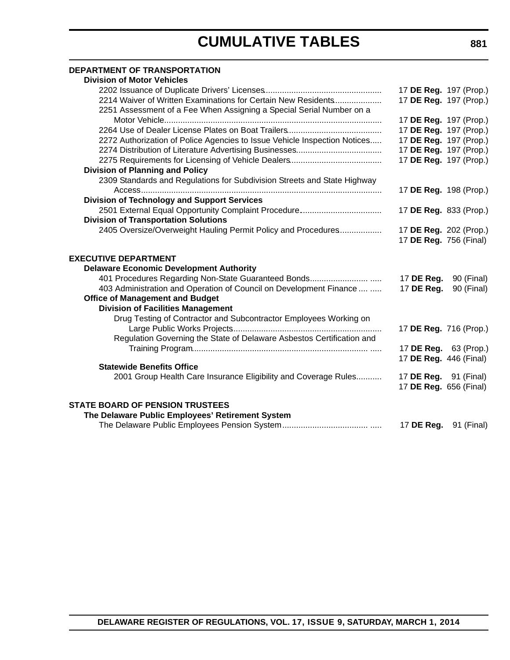#### **DEPARTMENT OF TRANSPORTATION**

| 17 DE Reg. 197 (Prop.)       |
|------------------------------|
| 17 DE Reg. 197 (Prop.)       |
|                              |
| 17 DE Reg. 197 (Prop.)       |
| 17 DE Reg. 197 (Prop.)       |
| 17 DE Reg. 197 (Prop.)       |
| 17 DE Reg. 197 (Prop.)       |
| 17 DE Reg. 197 (Prop.)       |
|                              |
|                              |
| 17 DE Reg. 198 (Prop.)       |
|                              |
| 17 DE Reg. 833 (Prop.)       |
|                              |
| 17 DE Reg. 202 (Prop.)       |
| 17 DE Reg. 756 (Final)       |
|                              |
|                              |
|                              |
| 90 (Final)<br>17 DE Reg.     |
| 17 DE Reg.<br>90 (Final)     |
|                              |
|                              |
|                              |
| 17 DE Reg. 716 (Prop.)       |
|                              |
| 17 DE Reg. 63 (Prop.)        |
| 17 DE Reg. 446 (Final)       |
| 17 <b>DE Reg.</b> 91 (Final) |
| 17 DE Reg. 656 (Final)       |
|                              |
|                              |
|                              |
| 17 DE Reg.<br>91 (Final)     |
|                              |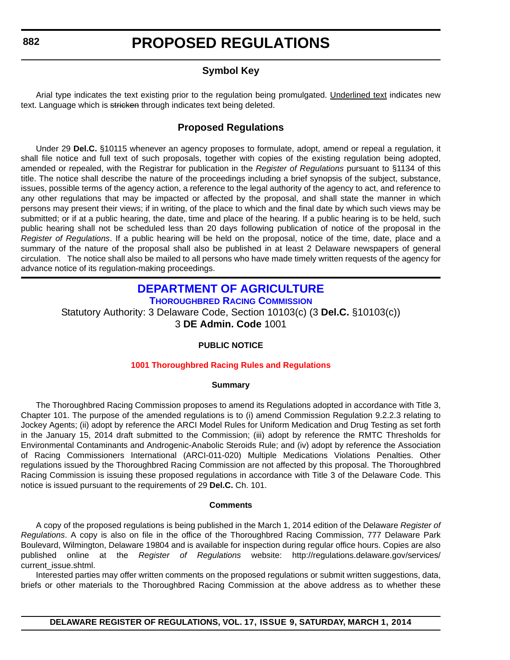#### **Symbol Key**

<span id="page-12-0"></span>Arial type indicates the text existing prior to the regulation being promulgated. Underlined text indicates new text. Language which is stricken through indicates text being deleted.

#### **Proposed Regulations**

Under 29 **Del.C.** §10115 whenever an agency proposes to formulate, adopt, amend or repeal a regulation, it shall file notice and full text of such proposals, together with copies of the existing regulation being adopted, amended or repealed, with the Registrar for publication in the *Register of Regulations* pursuant to §1134 of this title. The notice shall describe the nature of the proceedings including a brief synopsis of the subject, substance, issues, possible terms of the agency action, a reference to the legal authority of the agency to act, and reference to any other regulations that may be impacted or affected by the proposal, and shall state the manner in which persons may present their views; if in writing, of the place to which and the final date by which such views may be submitted; or if at a public hearing, the date, time and place of the hearing. If a public hearing is to be held, such public hearing shall not be scheduled less than 20 days following publication of notice of the proposal in the *Register of Regulations*. If a public hearing will be held on the proposal, notice of the time, date, place and a summary of the nature of the proposal shall also be published in at least 2 Delaware newspapers of general circulation. The notice shall also be mailed to all persons who have made timely written requests of the agency for advance notice of its regulation-making proceedings.

#### **[DEPARTMENT OF AGRICULTURE](http://dda.delaware.gov/thoroughbred/) THOROUGHBRED RACING COMMISSION**

Statutory Authority: 3 Delaware Code, Section 10103(c) (3 **Del.C.** §10103(c)) 3 **DE Admin. Code** 1001

#### **PUBLIC NOTICE**

#### **[1001 Thoroughbred Racing Rules and Regulations](#page-3-0)**

#### **Summary**

The Thoroughbred Racing Commission proposes to amend its Regulations adopted in accordance with Title 3, Chapter 101. The purpose of the amended regulations is to (i) amend Commission Regulation 9.2.2.3 relating to Jockey Agents; (ii) adopt by reference the ARCI Model Rules for Uniform Medication and Drug Testing as set forth in the January 15, 2014 draft submitted to the Commission; (iii) adopt by reference the RMTC Thresholds for Environmental Contaminants and Androgenic-Anabolic Steroids Rule; and (iv) adopt by reference the Association of Racing Commissioners International (ARCI-011-020) Multiple Medications Violations Penalties. Other regulations issued by the Thoroughbred Racing Commission are not affected by this proposal. The Thoroughbred Racing Commission is issuing these proposed regulations in accordance with Title 3 of the Delaware Code. This notice is issued pursuant to the requirements of 29 **Del.C.** Ch. 101.

#### **Comments**

A copy of the proposed regulations is being published in the March 1, 2014 edition of the Delaware *Register of Regulations*. A copy is also on file in the office of the Thoroughbred Racing Commission, 777 Delaware Park Boulevard, Wilmington, Delaware 19804 and is available for inspection during regular office hours. Copies are also published online at the *Register of Regulations* website: http://regulations.delaware.gov/services/ current\_issue.shtml.

Interested parties may offer written comments on the proposed regulations or submit written suggestions, data, briefs or other materials to the Thoroughbred Racing Commission at the above address as to whether these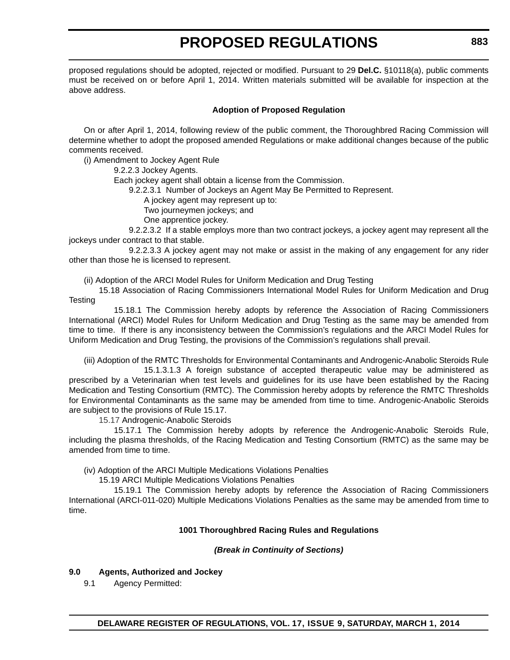proposed regulations should be adopted, rejected or modified. Pursuant to 29 **Del.C.** §10118(a), public comments must be received on or before April 1, 2014. Written materials submitted will be available for inspection at the above address.

#### **Adoption of Proposed Regulation**

On or after April 1, 2014, following review of the public comment, the Thoroughbred Racing Commission will determine whether to adopt the proposed amended Regulations or make additional changes because of the public comments received.

(i) Amendment to Jockey Agent Rule

9.2.2.3 Jockey Agents.

Each jockey agent shall obtain a license from the Commission.

9.2.2.3.1 Number of Jockeys an Agent May Be Permitted to Represent.

A jockey agent may represent up to:

Two journeymen jockeys; and

One apprentice jockey.

9.2.2.3.2 If a stable employs more than two contract jockeys, a jockey agent may represent all the jockeys under contract to that stable.

9.2.2.3.3 A jockey agent may not make or assist in the making of any engagement for any rider other than those he is licensed to represent.

(ii) Adoption of the ARCI Model Rules for Uniform Medication and Drug Testing

15.18 Association of Racing Commissioners International Model Rules for Uniform Medication and Drug **Testing** 

15.18.1 The Commission hereby adopts by reference the Association of Racing Commissioners International (ARCI) Model Rules for Uniform Medication and Drug Testing as the same may be amended from time to time. If there is any inconsistency between the Commission's regulations and the ARCI Model Rules for Uniform Medication and Drug Testing, the provisions of the Commission's regulations shall prevail.

(iii) Adoption of the RMTC Thresholds for Environmental Contaminants and Androgenic-Anabolic Steroids Rule

15.1.3.1.3 A foreign substance of accepted therapeutic value may be administered as prescribed by a Veterinarian when test levels and guidelines for its use have been established by the Racing Medication and Testing Consortium (RMTC). The Commission hereby adopts by reference the RMTC Thresholds for Environmental Contaminants as the same may be amended from time to time. Androgenic-Anabolic Steroids are subject to the provisions of Rule 15.17.

15.17 Androgenic-Anabolic Steroids

15.17.1 The Commission hereby adopts by reference the Androgenic-Anabolic Steroids Rule, including the plasma thresholds, of the Racing Medication and Testing Consortium (RMTC) as the same may be amended from time to time.

(iv) Adoption of the ARCI Multiple Medications Violations Penalties

15.19 ARCI Multiple Medications Violations Penalties

15.19.1 The Commission hereby adopts by reference the Association of Racing Commissioners International (ARCI-011-020) Multiple Medications Violations Penalties as the same may be amended from time to time.

#### **1001 Thoroughbred Racing Rules and Regulations**

#### *(Break in Continuity of Sections)*

#### **9.0 Agents, Authorized and Jockey**

9.1 Agency Permitted: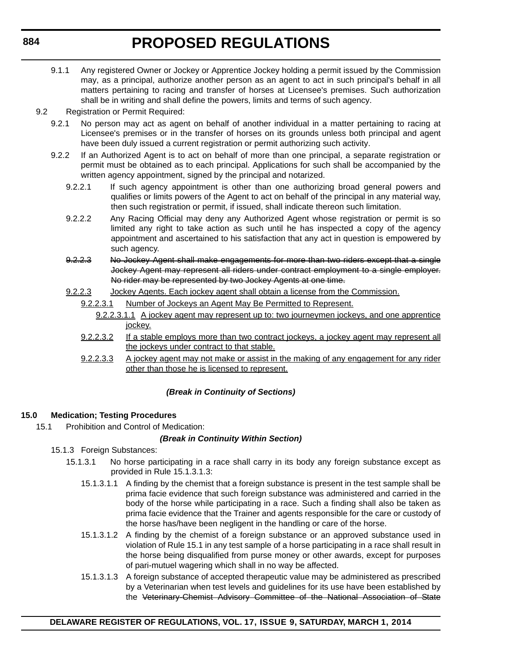- 9.1.1 Any registered Owner or Jockey or Apprentice Jockey holding a permit issued by the Commission may, as a principal, authorize another person as an agent to act in such principal's behalf in all matters pertaining to racing and transfer of horses at Licensee's premises. Such authorization shall be in writing and shall define the powers, limits and terms of such agency.
- 9.2 Registration or Permit Required:
	- 9.2.1 No person may act as agent on behalf of another individual in a matter pertaining to racing at Licensee's premises or in the transfer of horses on its grounds unless both principal and agent have been duly issued a current registration or permit authorizing such activity.
	- 9.2.2 If an Authorized Agent is to act on behalf of more than one principal, a separate registration or permit must be obtained as to each principal. Applications for such shall be accompanied by the written agency appointment, signed by the principal and notarized.
		- 9.2.2.1 If such agency appointment is other than one authorizing broad general powers and qualifies or limits powers of the Agent to act on behalf of the principal in any material way, then such registration or permit, if issued, shall indicate thereon such limitation.
		- 9.2.2.2 Any Racing Official may deny any Authorized Agent whose registration or permit is so limited any right to take action as such until he has inspected a copy of the agency appointment and ascertained to his satisfaction that any act in question is empowered by such agency.
		- 9.2.2.3 No Jockey Agent shall make engagements for more than two riders except that a single Jockey Agent may represent all riders under contract employment to a single employer. No rider may be represented by two Jockey Agents at one time.
		- 9.2.2.3 Jockey Agents. Each jockey agent shall obtain a license from the Commission.
			- 9.2.2.3.1 Number of Jockeys an Agent May Be Permitted to Represent.
				- 9.2.2.3.1.1 A jockey agent may represent up to: two journeymen jockeys, and one apprentice jockey.
			- 9.2.2.3.2 If a stable employs more than two contract jockeys, a jockey agent may represent all the jockeys under contract to that stable.
			- 9.2.2.3.3 A jockey agent may not make or assist in the making of any engagement for any rider other than those he is licensed to represent.

#### *(Break in Continuity of Sections)*

#### **15.0 Medication; Testing Procedures**

15.1 Prohibition and Control of Medication:

#### *(Break in Continuity Within Section)*

- 15.1.3 Foreign Substances:
	- 15.1.3.1 No horse participating in a race shall carry in its body any foreign substance except as provided in Rule 15.1.3.1.3:
		- 15.1.3.1.1 A finding by the chemist that a foreign substance is present in the test sample shall be prima facie evidence that such foreign substance was administered and carried in the body of the horse while participating in a race. Such a finding shall also be taken as prima facie evidence that the Trainer and agents responsible for the care or custody of the horse has/have been negligent in the handling or care of the horse.
		- 15.1.3.1.2 A finding by the chemist of a foreign substance or an approved substance used in violation of Rule 15.1 in any test sample of a horse participating in a race shall result in the horse being disqualified from purse money or other awards, except for purposes of pari-mutuel wagering which shall in no way be affected.
		- 15.1.3.1.3 A foreign substance of accepted therapeutic value may be administered as prescribed by a Veterinarian when test levels and guidelines for its use have been established by the Veterinary-Chemist Advisory Committee of the National Association of State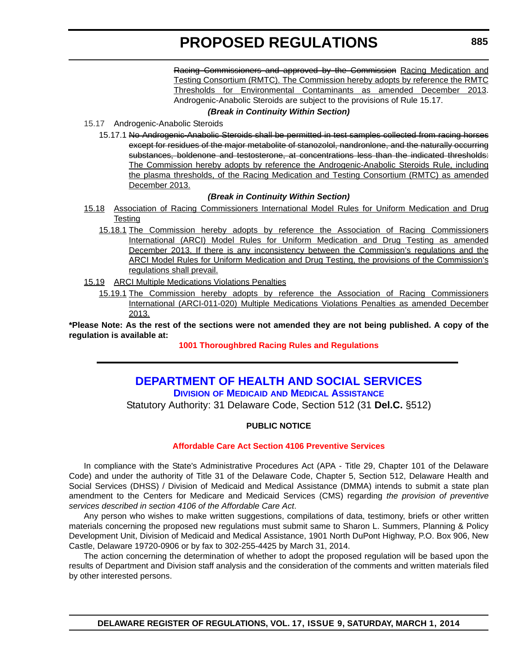Racing Commissioners and approved by the Commission Racing Medication and Testing Consortium (RMTC). The Commission hereby adopts by reference the RMTC Thresholds for Environmental Contaminants as amended December 2013. Androgenic-Anabolic Steroids are subject to the provisions of Rule 15.17.

#### *(Break in Continuity Within Section)*

<span id="page-15-0"></span>15.17 Androgenic-Anabolic Steroids

15.17.1 No Androgenic-Anabolic Steroids shall be permitted in test samples collected from racing horses except for residues of the major metabolite of stanozolol, nandronlone, and the naturally occurring substances, boldenone and testosterone, at concentrations less than the indicated thresholds: The Commission hereby adopts by reference the Androgenic-Anabolic Steroids Rule, including the plasma thresholds, of the Racing Medication and Testing Consortium (RMTC) as amended December 2013.

#### *(Break in Continuity Within Section)*

- 15.18 Association of Racing Commissioners International Model Rules for Uniform Medication and Drug **Testing** 
	- 15.18.1 The Commission hereby adopts by reference the Association of Racing Commissioners International (ARCI) Model Rules for Uniform Medication and Drug Testing as amended December 2013. If there is any inconsistency between the Commission's regulations and the ARCI Model Rules for Uniform Medication and Drug Testing, the provisions of the Commission's regulations shall prevail.
- 15.19 ARCI Multiple Medications Violations Penalties
	- 15.19.1 The Commission hereby adopts by reference the Association of Racing Commissioners International (ARCI-011-020) Multiple Medications Violations Penalties as amended December 2013.

**\*Please Note: As the rest of the sections were not amended they are not being published. A copy of the regulation is available at:**

**[1001 Thoroughbred Racing Rules and Regulations](http://regulations.delaware.gov/register/march2014/proposed/17 DE Reg 882 03-01-14.htm)**

### **[DEPARTMENT OF HEALTH AND SOCIAL SERVICES](http://www.dhss.delaware.gov/dhss/dmma/)**

**DIVISION OF MEDICAID AND MEDICAL ASSISTANCE**

Statutory Authority: 31 Delaware Code, Section 512 (31 **Del.C.** §512)

#### **PUBLIC NOTICE**

#### **[Affordable Care Act Section 4106 Preventive Services](#page-3-0)**

In compliance with the State's Administrative Procedures Act (APA - Title 29, Chapter 101 of the Delaware Code) and under the authority of Title 31 of the Delaware Code, Chapter 5, Section 512, Delaware Health and Social Services (DHSS) / Division of Medicaid and Medical Assistance (DMMA) intends to submit a state plan amendment to the Centers for Medicare and Medicaid Services (CMS) regarding *the provision of preventive services described in section 4106 of the Affordable Care Act*.

Any person who wishes to make written suggestions, compilations of data, testimony, briefs or other written materials concerning the proposed new regulations must submit same to Sharon L. Summers, Planning & Policy Development Unit, Division of Medicaid and Medical Assistance, 1901 North DuPont Highway, P.O. Box 906, New Castle, Delaware 19720-0906 or by fax to 302-255-4425 by March 31, 2014.

The action concerning the determination of whether to adopt the proposed regulation will be based upon the results of Department and Division staff analysis and the consideration of the comments and written materials filed by other interested persons.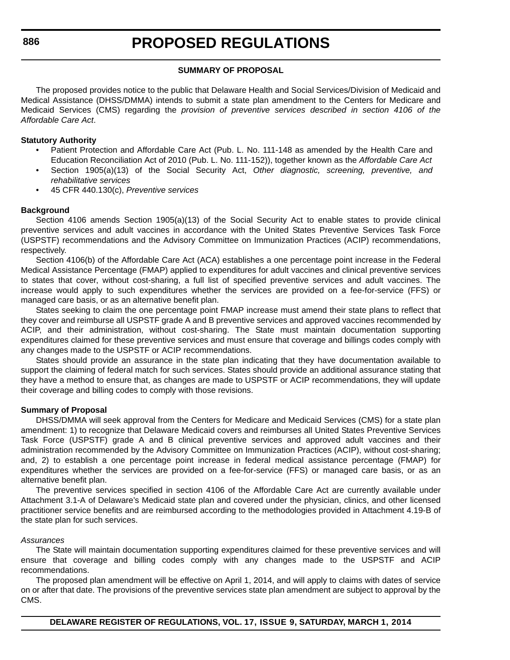#### **SUMMARY OF PROPOSAL**

The proposed provides notice to the public that Delaware Health and Social Services/Division of Medicaid and Medical Assistance (DHSS/DMMA) intends to submit a state plan amendment to the Centers for Medicare and Medicaid Services (CMS) regarding the *provision of preventive services described in section 4106 of the Affordable Care Act*.

#### **Statutory Authority**

- Patient Protection and Affordable Care Act (Pub. L. No. 111-148 as amended by the Health Care and Education Reconciliation Act of 2010 (Pub. L. No. 111-152)), together known as the *Affordable Care Act*
- Section 1905(a)(13) of the Social Security Act, *Other diagnostic, screening, preventive, and rehabilitative services*
- 45 CFR 440.130(c), *Preventive services*

#### **Background**

Section 4106 amends Section 1905(a)(13) of the Social Security Act to enable states to provide clinical preventive services and adult vaccines in accordance with the United States Preventive Services Task Force (USPSTF) recommendations and the Advisory Committee on Immunization Practices (ACIP) recommendations, respectively.

Section 4106(b) of the Affordable Care Act (ACA) establishes a one percentage point increase in the Federal Medical Assistance Percentage (FMAP) applied to expenditures for adult vaccines and clinical preventive services to states that cover, without cost-sharing, a full list of specified preventive services and adult vaccines. The increase would apply to such expenditures whether the services are provided on a fee-for-service (FFS) or managed care basis, or as an alternative benefit plan.

States seeking to claim the one percentage point FMAP increase must amend their state plans to reflect that they cover and reimburse all USPSTF grade A and B preventive services and approved vaccines recommended by ACIP, and their administration, without cost-sharing. The State must maintain documentation supporting expenditures claimed for these preventive services and must ensure that coverage and billings codes comply with any changes made to the USPSTF or ACIP recommendations.

States should provide an assurance in the state plan indicating that they have documentation available to support the claiming of federal match for such services. States should provide an additional assurance stating that they have a method to ensure that, as changes are made to USPSTF or ACIP recommendations, they will update their coverage and billing codes to comply with those revisions.

#### **Summary of Proposal**

DHSS/DMMA will seek approval from the Centers for Medicare and Medicaid Services (CMS) for a state plan amendment: 1) to recognize that Delaware Medicaid covers and reimburses all United States Preventive Services Task Force (USPSTF) grade A and B clinical preventive services and approved adult vaccines and their administration recommended by the Advisory Committee on Immunization Practices (ACIP), without cost-sharing; and, 2) to establish a one percentage point increase in federal medical assistance percentage (FMAP) for expenditures whether the services are provided on a fee-for-service (FFS) or managed care basis, or as an alternative benefit plan.

The preventive services specified in section 4106 of the Affordable Care Act are currently available under Attachment 3.1-A of Delaware's Medicaid state plan and covered under the physician, clinics, and other licensed practitioner service benefits and are reimbursed according to the methodologies provided in Attachment 4.19-B of the state plan for such services.

#### *Assurances*

The State will maintain documentation supporting expenditures claimed for these preventive services and will ensure that coverage and billing codes comply with any changes made to the USPSTF and ACIP recommendations.

The proposed plan amendment will be effective on April 1, 2014, and will apply to claims with dates of service on or after that date. The provisions of the preventive services state plan amendment are subject to approval by the CMS.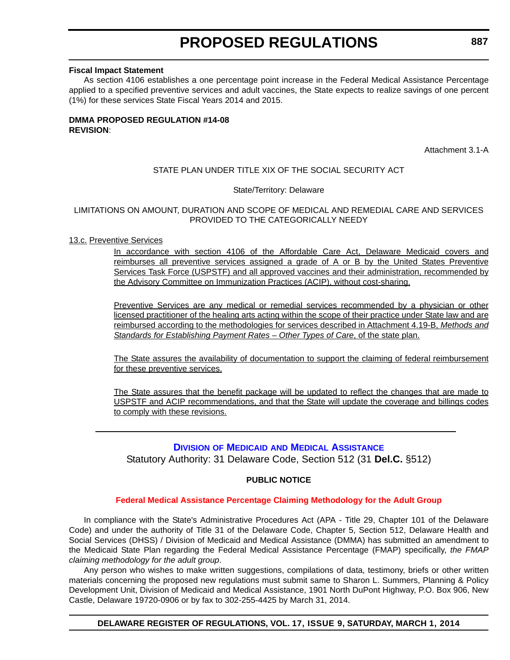#### <span id="page-17-0"></span>**Fiscal Impact Statement**

As section 4106 establishes a one percentage point increase in the Federal Medical Assistance Percentage applied to a specified preventive services and adult vaccines, the State expects to realize savings of one percent (1%) for these services State Fiscal Years 2014 and 2015.

#### **DMMA PROPOSED REGULATION #14-08 REVISION**:

Attachment 3.1-A

#### STATE PLAN UNDER TITLE XIX OF THE SOCIAL SECURITY ACT

#### State/Territory: Delaware

#### LIMITATIONS ON AMOUNT, DURATION AND SCOPE OF MEDICAL AND REMEDIAL CARE AND SERVICES PROVIDED TO THE CATEGORICALLY NEEDY

#### 13.c. Preventive Services

In accordance with section 4106 of the Affordable Care Act, Delaware Medicaid covers and reimburses all preventive services assigned a grade of A or B by the United States Preventive Services Task Force (USPSTF) and all approved vaccines and their administration, recommended by the Advisory Committee on Immunization Practices (ACIP), without cost-sharing.

Preventive Services are any medical or remedial services recommended by a physician or other licensed practitioner of the healing arts acting within the scope of their practice under State law and are reimbursed according to the methodologies for services described in Attachment 4.19-B, *Methods and Standards for Establishing Payment Rates – Other Types of Care*, of the state plan.

The State assures the availability of documentation to support the claiming of federal reimbursement for these preventive services.

The State assures that the benefit package will be updated to reflect the changes that are made to USPSTF and ACIP recommendations, and that the State will update the coverage and billings codes to comply with these revisions.

#### **DIVISION OF MEDICAID [AND MEDICAL ASSISTANCE](http://www.dhss.delaware.gov/dhss/dmma/)**

Statutory Authority: 31 Delaware Code, Section 512 (31 **Del.C.** §512)

#### **PUBLIC NOTICE**

#### **[Federal Medical Assistance Percentage Claiming Methodology for the Adult Group](#page-3-0)**

In compliance with the State's Administrative Procedures Act (APA - Title 29, Chapter 101 of the Delaware Code) and under the authority of Title 31 of the Delaware Code, Chapter 5, Section 512, Delaware Health and Social Services (DHSS) / Division of Medicaid and Medical Assistance (DMMA) has submitted an amendment to the Medicaid State Plan regarding the Federal Medical Assistance Percentage (FMAP) specifically, *the FMAP claiming methodology for the adult group*.

Any person who wishes to make written suggestions, compilations of data, testimony, briefs or other written materials concerning the proposed new regulations must submit same to Sharon L. Summers, Planning & Policy Development Unit, Division of Medicaid and Medical Assistance, 1901 North DuPont Highway, P.O. Box 906, New Castle, Delaware 19720-0906 or by fax to 302-255-4425 by March 31, 2014.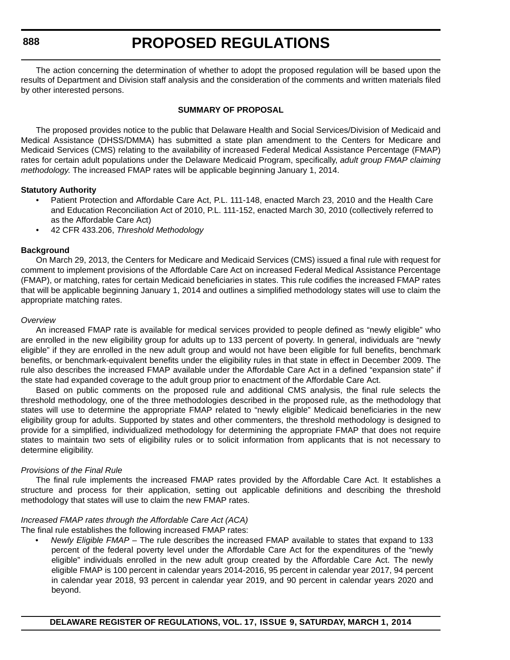**888**

### **PROPOSED REGULATIONS**

The action concerning the determination of whether to adopt the proposed regulation will be based upon the results of Department and Division staff analysis and the consideration of the comments and written materials filed by other interested persons.

#### **SUMMARY OF PROPOSAL**

The proposed provides notice to the public that Delaware Health and Social Services/Division of Medicaid and Medical Assistance (DHSS/DMMA) has submitted a state plan amendment to the Centers for Medicare and Medicaid Services (CMS) relating to the availability of increased Federal Medical Assistance Percentage (FMAP) rates for certain adult populations under the Delaware Medicaid Program, specifically, *adult group FMAP claiming methodology*. The increased FMAP rates will be applicable beginning January 1, 2014.

#### **Statutory Authority**

- Patient Protection and Affordable Care Act, P.L. 111-148, enacted March 23, 2010 and the Health Care and Education Reconciliation Act of 2010, P.L. 111-152, enacted March 30, 2010 (collectively referred to as the Affordable Care Act)
- 42 CFR 433.206, *Threshold Methodology*

#### **Background**

On March 29, 2013, the Centers for Medicare and Medicaid Services (CMS) issued a final rule with request for comment to implement provisions of the Affordable Care Act on increased Federal Medical Assistance Percentage (FMAP), or matching, rates for certain Medicaid beneficiaries in states. This rule codifies the increased FMAP rates that will be applicable beginning January 1, 2014 and outlines a simplified methodology states will use to claim the appropriate matching rates.

#### *Overview*

An increased FMAP rate is available for medical services provided to people defined as "newly eligible" who are enrolled in the new eligibility group for adults up to 133 percent of poverty. In general, individuals are "newly eligible" if they are enrolled in the new adult group and would not have been eligible for full benefits, benchmark benefits, or benchmark-equivalent benefits under the eligibility rules in that state in effect in December 2009. The rule also describes the increased FMAP available under the Affordable Care Act in a defined "expansion state" if the state had expanded coverage to the adult group prior to enactment of the Affordable Care Act.

Based on public comments on the proposed rule and additional CMS analysis, the final rule selects the threshold methodology, one of the three methodologies described in the proposed rule, as the methodology that states will use to determine the appropriate FMAP related to "newly eligible" Medicaid beneficiaries in the new eligibility group for adults. Supported by states and other commenters, the threshold methodology is designed to provide for a simplified, individualized methodology for determining the appropriate FMAP that does not require states to maintain two sets of eligibility rules or to solicit information from applicants that is not necessary to determine eligibility.

#### *Provisions of the Final Rule*

The final rule implements the increased FMAP rates provided by the Affordable Care Act. It establishes a structure and process for their application, setting out applicable definitions and describing the threshold methodology that states will use to claim the new FMAP rates.

#### *Increased FMAP rates through the Affordable Care Act (ACA)*

The final rule establishes the following increased FMAP rates:

• *Newly Eligible FMAP –* The rule describes the increased FMAP available to states that expand to 133 percent of the federal poverty level under the Affordable Care Act for the expenditures of the "newly eligible" individuals enrolled in the new adult group created by the Affordable Care Act. The newly eligible FMAP is 100 percent in calendar years 2014-2016, 95 percent in calendar year 2017, 94 percent in calendar year 2018, 93 percent in calendar year 2019, and 90 percent in calendar years 2020 and beyond.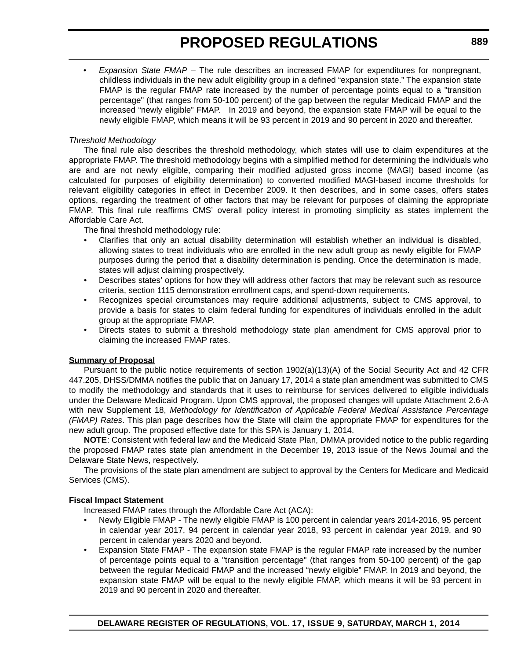• *Expansion State FMAP –* The rule describes an increased FMAP for expenditures for nonpregnant, childless individuals in the new adult eligibility group in a defined "expansion state." The expansion state FMAP is the regular FMAP rate increased by the number of percentage points equal to a "transition percentage" (that ranges from 50-100 percent) of the gap between the regular Medicaid FMAP and the increased "newly eligible" FMAP. In 2019 and beyond, the expansion state FMAP will be equal to the newly eligible FMAP, which means it will be 93 percent in 2019 and 90 percent in 2020 and thereafter.

#### *Threshold Methodology*

The final rule also describes the threshold methodology, which states will use to claim expenditures at the appropriate FMAP. The threshold methodology begins with a simplified method for determining the individuals who are and are not newly eligible, comparing their modified adjusted gross income (MAGI) based income (as calculated for purposes of eligibility determination) to converted modified MAGI-based income thresholds for relevant eligibility categories in effect in December 2009. It then describes, and in some cases, offers states options, regarding the treatment of other factors that may be relevant for purposes of claiming the appropriate FMAP. This final rule reaffirms CMS' overall policy interest in promoting simplicity as states implement the Affordable Care Act.

The final threshold methodology rule:

- Clarifies that only an actual disability determination will establish whether an individual is disabled, allowing states to treat individuals who are enrolled in the new adult group as newly eligible for FMAP purposes during the period that a disability determination is pending. Once the determination is made, states will adjust claiming prospectively.
- Describes states' options for how they will address other factors that may be relevant such as resource criteria, section 1115 demonstration enrollment caps, and spend-down requirements.
- Recognizes special circumstances may require additional adjustments, subject to CMS approval, to provide a basis for states to claim federal funding for expenditures of individuals enrolled in the adult group at the appropriate FMAP.
- Directs states to submit a threshold methodology state plan amendment for CMS approval prior to claiming the increased FMAP rates.

#### **Summary of Proposal**

Pursuant to the public notice requirements of section 1902(a)(13)(A) of the Social Security Act and 42 CFR 447.205, DHSS/DMMA notifies the public that on January 17, 2014 a state plan amendment was submitted to CMS to modify the methodology and standards that it uses to reimburse for services delivered to eligible individuals under the Delaware Medicaid Program. Upon CMS approval, the proposed changes will update Attachment 2.6-A with new Supplement 18, *Methodology for Identification of Applicable Federal Medical Assistance Percentage (FMAP) Rates*. This plan page describes how the State will claim the appropriate FMAP for expenditures for the new adult group. The proposed effective date for this SPA is January 1, 2014.

**NOTE**: Consistent with federal law and the Medicaid State Plan, DMMA provided notice to the public regarding the proposed FMAP rates state plan amendment in the December 19, 2013 issue of the News Journal and the Delaware State News, respectively.

The provisions of the state plan amendment are subject to approval by the Centers for Medicare and Medicaid Services (CMS).

#### **Fiscal Impact Statement**

Increased FMAP rates through the Affordable Care Act (ACA):

- Newly Eligible FMAP The newly eligible FMAP is 100 percent in calendar years 2014-2016, 95 percent in calendar year 2017, 94 percent in calendar year 2018, 93 percent in calendar year 2019, and 90 percent in calendar years 2020 and beyond.
- Expansion State FMAP The expansion state FMAP is the regular FMAP rate increased by the number of percentage points equal to a "transition percentage" (that ranges from 50-100 percent) of the gap between the regular Medicaid FMAP and the increased "newly eligible" FMAP. In 2019 and beyond, the expansion state FMAP will be equal to the newly eligible FMAP, which means it will be 93 percent in 2019 and 90 percent in 2020 and thereafter.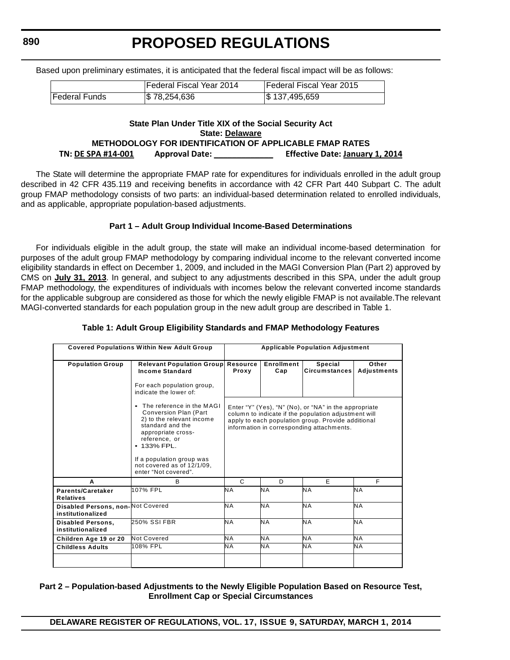Based upon preliminary estimates, it is anticipated that the federal fiscal impact will be as follows:

**PROPOSED REGULATIONS**

|                      | lFederal Fiscal Year 2014 | Federal Fiscal Year 2015  |
|----------------------|---------------------------|---------------------------|
| <b>Federal Funds</b> | \$ 78,254,636             | $\frac{1}{3}$ 137,495,659 |

#### **State Plan Under Title XIX of the Social Security Act State: Delaware METHODOLOGY FOR IDENTIFICATION OF APPLICABLE FMAP RATES TN: DE SPA #14‐001 Approval Date: \_\_\_\_\_\_\_\_\_\_\_\_\_ Effective Date: January 1, 2014**

The State will determine the appropriate FMAP rate for expenditures for individuals enrolled in the adult group described in 42 CFR 435.119 and receiving benefits in accordance with 42 CFR Part 440 Subpart C. The adult group FMAP methodology consists of two parts: an individual-based determination related to enrolled individuals, and as applicable, appropriate population-based adjustments.

#### **Part 1 – Adult Group Individual Income-Based Determinations**

For individuals eligible in the adult group, the state will make an individual income-based determination for purposes of the adult group FMAP methodology by comparing individual income to the relevant converted income eligibility standards in effect on December 1, 2009, and included in the MAGI Conversion Plan (Part 2) approved by CMS on **July 31, 2013**. In general, and subject to any adjustments described in this SPA, under the adult group FMAP methodology, the expenditures of individuals with incomes below the relevant converted income standards for the applicable subgroup are considered as those for which the newly eligible FMAP is not available.The relevant MAGI-converted standards for each population group in the new adult group are described in Table 1.

#### **Table 1: Adult Group Eligibility Standards and FMAP Methodology Features**

| <b>Covered Populations Within New Adult Group</b>      |                                                                                                                                                                                                                                                               | <b>Applicable Population Adjustment</b> |                   |                                                                                                                                                                                                                  |                             |
|--------------------------------------------------------|---------------------------------------------------------------------------------------------------------------------------------------------------------------------------------------------------------------------------------------------------------------|-----------------------------------------|-------------------|------------------------------------------------------------------------------------------------------------------------------------------------------------------------------------------------------------------|-----------------------------|
| <b>Population Group</b>                                | <b>Relevant Population Group Resource</b><br><b>Income Standard</b>                                                                                                                                                                                           | Proxy                                   | Enrollment<br>Cap | Special<br><b>Circumstances</b>                                                                                                                                                                                  | Other<br><b>Adjustments</b> |
|                                                        | For each population group,<br>indicate the lower of:                                                                                                                                                                                                          |                                         |                   |                                                                                                                                                                                                                  |                             |
|                                                        | • The reference in the MAGI<br><b>Conversion Plan (Part</b><br>2) to the relevant income<br>standard and the<br>appropriate cross-<br>reference, or<br>$\bullet$ 133% FPL.<br>If a population group was<br>not covered as of 12/1/09.<br>enter "Not covered". |                                         |                   | Enter "Y" (Yes), "N" (No), or "NA" in the appropriate<br>column to indicate if the population adjustment will<br>apply to each population group. Provide additional<br>information in corresponding attachments. |                             |
| A                                                      | В                                                                                                                                                                                                                                                             | C                                       | D                 | E                                                                                                                                                                                                                | F                           |
| Parents/Caretaker<br><b>Relatives</b>                  | 107% FPL                                                                                                                                                                                                                                                      | NА                                      | ΝA                | NA                                                                                                                                                                                                               | <b>NA</b>                   |
| Disabled Persons, non-Not Covered<br>institutionalized |                                                                                                                                                                                                                                                               | N A                                     | ΝA                | <b>NA</b>                                                                                                                                                                                                        | <b>NA</b>                   |
| <b>Disabled Persons,</b><br>institutionalized          | 250% SSI FBR                                                                                                                                                                                                                                                  | <b>NA</b>                               | <b>NA</b>         | <b>NA</b>                                                                                                                                                                                                        | <b>NA</b>                   |
| Children Age 19 or 20                                  | Not Covered                                                                                                                                                                                                                                                   | N A                                     | N A               | N A                                                                                                                                                                                                              | <b>NA</b>                   |
| <b>Childless Adults</b>                                | 108% FPL                                                                                                                                                                                                                                                      | NА                                      | NА                | <b>NA</b>                                                                                                                                                                                                        | <b>NA</b>                   |
|                                                        |                                                                                                                                                                                                                                                               |                                         |                   |                                                                                                                                                                                                                  |                             |

#### **Part 2 – Population-based Adjustments to the Newly Eligible Population Based on Resource Test, Enrollment Cap or Special Circumstances**

**890**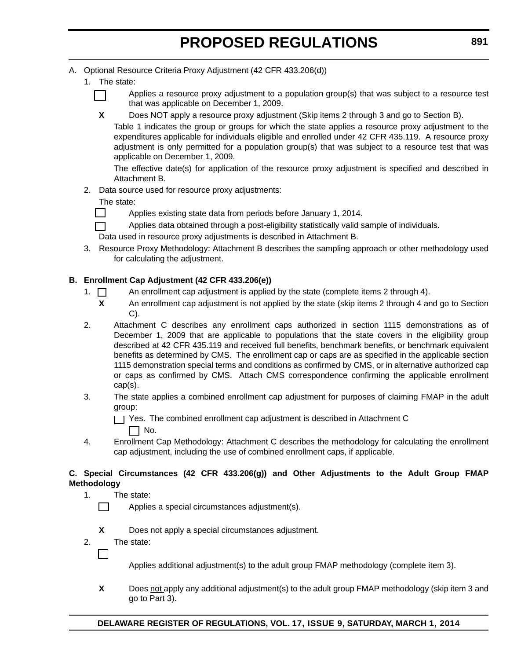- A. Optional Resource Criteria Proxy Adjustment (42 CFR 433.206(d))
	- 1. The state:



Applies a resource proxy adjustment to a population group(s) that was subject to a resource test that was applicable on December 1, 2009.

**X** Does NOT apply a resource proxy adjustment (Skip items 2 through 3 and go to Section B).

Table 1 indicates the group or groups for which the state applies a resource proxy adjustment to the expenditures applicable for individuals eligible and enrolled under 42 CFR 435.119. A resource proxy adjustment is only permitted for a population group(s) that was subject to a resource test that was applicable on December 1, 2009.

The effective date(s) for application of the resource proxy adjustment is specified and described in Attachment B.

2. Data source used for resource proxy adjustments:

#### The state:

 $\mathsf{I}$ 

Applies existing state data from periods before January 1, 2014.

Applies data obtained through a post-eligibility statistically valid sample of individuals.

Data used in resource proxy adjustments is described in Attachment B.

3. Resource Proxy Methodology: Attachment B describes the sampling approach or other methodology used for calculating the adjustment.

#### **B. Enrollment Cap Adjustment (42 CFR 433.206(e))**

- 1.  $\Box$  An enrollment cap adjustment is applied by the state (complete items 2 through 4).
	- **X** An enrollment cap adjustment is not applied by the state (skip items 2 through 4 and go to Section C).
- 2. Attachment C describes any enrollment caps authorized in section 1115 demonstrations as of December 1, 2009 that are applicable to populations that the state covers in the eligibility group described at 42 CFR 435.119 and received full benefits, benchmark benefits, or benchmark equivalent benefits as determined by CMS. The enrollment cap or caps are as specified in the applicable section 1115 demonstration special terms and conditions as confirmed by CMS, or in alternative authorized cap or caps as confirmed by CMS. Attach CMS correspondence confirming the applicable enrollment cap(s).
- 3. The state applies a combined enrollment cap adjustment for purposes of claiming FMAP in the adult group:
	- Yes. The combined enrollment cap adjustment is described in Attachment C
		- $\Box$  No.
- 4. Enrollment Cap Methodology: Attachment C describes the methodology for calculating the enrollment cap adjustment, including the use of combined enrollment caps, if applicable.

#### **C. Special Circumstances (42 CFR 433.206(g)) and Other Adjustments to the Adult Group FMAP Methodology**

- 1. The state:
	- Applies a special circumstances adjustment(s).
	- **X** Does not apply a special circumstances adjustment.
- 2. The state:

Applies additional adjustment(s) to the adult group FMAP methodology (complete item 3).

**X** Does not apply any additional adjustment(s) to the adult group FMAP methodology (skip item 3 and go to Part 3).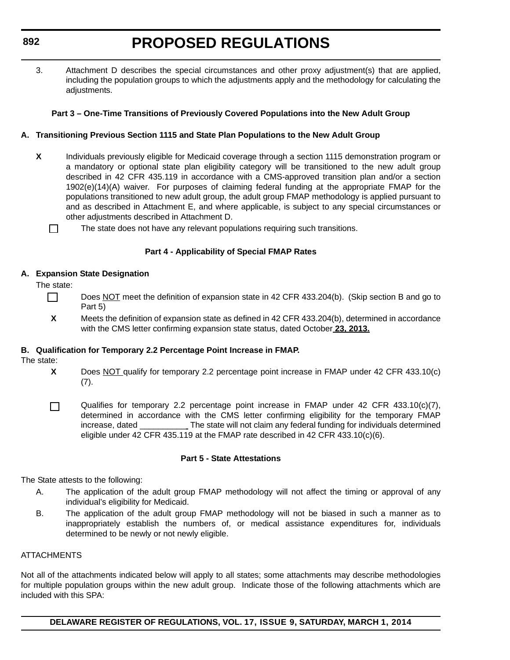<span id="page-22-0"></span>3. Attachment D describes the special circumstances and other proxy adjustment(s) that are applied, including the population groups to which the adjustments apply and the methodology for calculating the adiustments.

#### **Part 3 – One-Time Transitions of Previously Covered Populations into the New Adult Group**

#### **A. Transitioning Previous Section 1115 and State Plan Populations to the New Adult Group**

- **X** Individuals previously eligible for Medicaid coverage through a section 1115 demonstration program or a mandatory or optional state plan eligibility category will be transitioned to the new adult group described in 42 CFR 435.119 in accordance with a CMS-approved transition plan and/or a section 1902(e)(14)(A) waiver. For purposes of claiming federal funding at the appropriate FMAP for the populations transitioned to new adult group, the adult group FMAP methodology is applied pursuant to and as described in Attachment E, and where applicable, is subject to any special circumstances or other adjustments described in Attachment D.
	- П The state does not have any relevant populations requiring such transitions.

#### **Part 4 - Applicability of Special FMAP Rates**

#### **A. Expansion State Designation**

The state:

- П Does NOT meet the definition of expansion state in 42 CFR 433.204(b). (Skip section B and go to Part 5)
- **X** Meets the definition of expansion state as defined in 42 CFR 433.204(b), determined in accordance with the CMS letter confirming expansion state status, dated October **23, 2013.**

#### **B. Qualification for Temporary 2.2 Percentage Point Increase in FMAP.**

The state:

П

- **X** Does NOT qualify for temporary 2.2 percentage point increase in FMAP under 42 CFR 433.10(c) (7).
	- Qualifies for temporary 2.2 percentage point increase in FMAP under 42 CFR 433.10(c)(7), determined in accordance with the CMS letter confirming eligibility for the temporary FMAP increase, dated \_\_\_\_\_\_\_\_\_\_ The state will not claim any federal funding for individuals determined eligible under 42 CFR 435.119 at the FMAP rate described in 42 CFR 433.10(c)(6).

#### **Part 5 - State Attestations**

The State attests to the following:

- A. The application of the adult group FMAP methodology will not affect the timing or approval of any individual's eligibility for Medicaid.
- B. The application of the adult group FMAP methodology will not be biased in such a manner as to inappropriately establish the numbers of, or medical assistance expenditures for, individuals determined to be newly or not newly eligible.

#### **ATTACHMENTS**

Not all of the attachments indicated below will apply to all states; some attachments may describe methodologies for multiple population groups within the new adult group. Indicate those of the following attachments which are included with this SPA:

**DELAWARE REGISTER OF REGULATIONS, VOL. 17, ISSUE 9, SATURDAY, MARCH 1, 2014**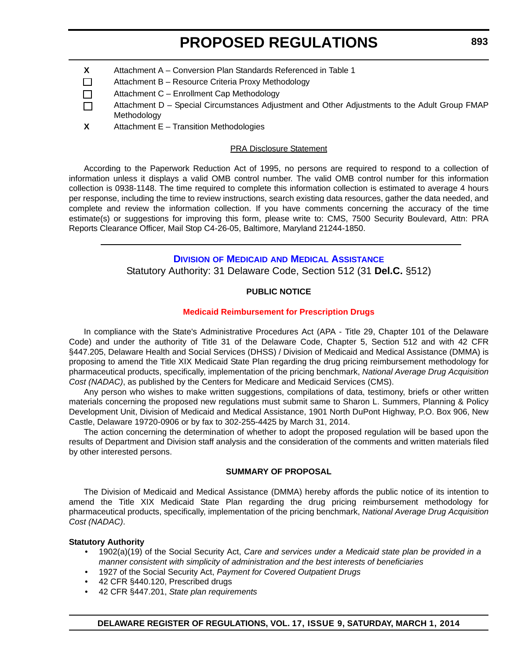- **X** Attachment A Conversion Plan Standards Referenced in Table 1
- $\Box$ Attachment B – Resource Criteria Proxy Methodology
- Attachment C Enrollment Cap Methodology П
- Attachment D Special Circumstances Adjustment and Other Adjustments to the Adult Group FMAP П Methodology
- **X** Attachment E Transition Methodologies

#### PRA Disclosure Statement

According to the Paperwork Reduction Act of 1995, no persons are required to respond to a collection of information unless it displays a valid OMB control number. The valid OMB control number for this information collection is 0938-1148. The time required to complete this information collection is estimated to average 4 hours per response, including the time to review instructions, search existing data resources, gather the data needed, and complete and review the information collection. If you have comments concerning the accuracy of the time estimate(s) or suggestions for improving this form, please write to: CMS, 7500 Security Boulevard, Attn: PRA Reports Clearance Officer, Mail Stop C4-26-05, Baltimore, Maryland 21244-1850.

#### **DIVISION OF MEDICAID [AND MEDICAL ASSISTANCE](http://www.dhss.delaware.gov/dhss/dmma/)**

Statutory Authority: 31 Delaware Code, Section 512 (31 **Del.C.** §512)

#### **PUBLIC NOTICE**

#### **[Medicaid Reimbursement for Prescription Drugs](#page-3-0)**

In compliance with the State's Administrative Procedures Act (APA - Title 29, Chapter 101 of the Delaware Code) and under the authority of Title 31 of the Delaware Code, Chapter 5, Section 512 and with 42 CFR §447.205, Delaware Health and Social Services (DHSS) / Division of Medicaid and Medical Assistance (DMMA) is proposing to amend the Title XIX Medicaid State Plan regarding the drug pricing reimbursement methodology for pharmaceutical products, specifically, implementation of the pricing benchmark, *National Average Drug Acquisition Cost (NADAC)*, as published by the Centers for Medicare and Medicaid Services (CMS).

Any person who wishes to make written suggestions, compilations of data, testimony, briefs or other written materials concerning the proposed new regulations must submit same to Sharon L. Summers, Planning & Policy Development Unit, Division of Medicaid and Medical Assistance, 1901 North DuPont Highway, P.O. Box 906, New Castle, Delaware 19720-0906 or by fax to 302-255-4425 by March 31, 2014.

The action concerning the determination of whether to adopt the proposed regulation will be based upon the results of Department and Division staff analysis and the consideration of the comments and written materials filed by other interested persons.

#### **SUMMARY OF PROPOSAL**

The Division of Medicaid and Medical Assistance (DMMA) hereby affords the public notice of its intention to amend the Title XIX Medicaid State Plan regarding the drug pricing reimbursement methodology for pharmaceutical products, specifically, implementation of the pricing benchmark, *National Average Drug Acquisition Cost (NADAC)*.

#### **Statutory Authority**

- 1902(a)(19) of the Social Security Act, *Care and services under a Medicaid state plan be provided in a manner consistent with simplicity of administration and the best interests of beneficiaries*
- 1927 of the Social Security Act, *Payment for Covered Outpatient Drugs*
- 42 CFR §440.120, Prescribed drugs
- 42 CFR §447.201, *State plan requirements*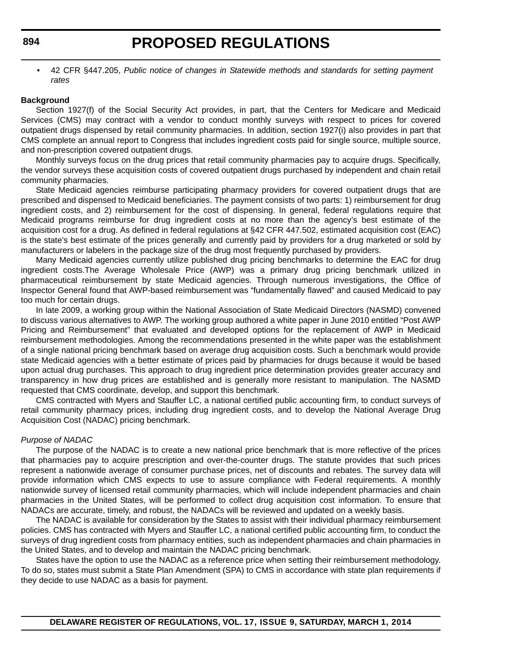• 42 CFR §447.205, *Public notice of changes in Statewide methods and standards for setting payment rates*

#### **Background**

Section 1927(f) of the Social Security Act provides, in part, that the Centers for Medicare and Medicaid Services (CMS) may contract with a vendor to conduct monthly surveys with respect to prices for covered outpatient drugs dispensed by retail community pharmacies. In addition, section 1927(i) also provides in part that CMS complete an annual report to Congress that includes ingredient costs paid for single source, multiple source, and non-prescription covered outpatient drugs.

Monthly surveys focus on the drug prices that retail community pharmacies pay to acquire drugs. Specifically, the vendor surveys these acquisition costs of covered outpatient drugs purchased by independent and chain retail community pharmacies.

State Medicaid agencies reimburse participating pharmacy providers for covered outpatient drugs that are prescribed and dispensed to Medicaid beneficiaries. The payment consists of two parts: 1) reimbursement for drug ingredient costs, and 2) reimbursement for the cost of dispensing. In general, federal regulations require that Medicaid programs reimburse for drug ingredient costs at no more than the agency's best estimate of the acquisition cost for a drug. As defined in federal regulations at §42 CFR 447.502, estimated acquisition cost (EAC) is the state's best estimate of the prices generally and currently paid by providers for a drug marketed or sold by manufacturers or labelers in the package size of the drug most frequently purchased by providers.

Many Medicaid agencies currently utilize published drug pricing benchmarks to determine the EAC for drug ingredient costs.The Average Wholesale Price (AWP) was a primary drug pricing benchmark utilized in pharmaceutical reimbursement by state Medicaid agencies. Through numerous investigations, the Office of Inspector General found that AWP-based reimbursement was "fundamentally flawed" and caused Medicaid to pay too much for certain drugs.

In late 2009, a working group within the National Association of State Medicaid Directors (NASMD) convened to discuss various alternatives to AWP. The working group authored a white paper in June 2010 entitled "Post AWP Pricing and Reimbursement" that evaluated and developed options for the replacement of AWP in Medicaid reimbursement methodologies. Among the recommendations presented in the white paper was the establishment of a single national pricing benchmark based on average drug acquisition costs. Such a benchmark would provide state Medicaid agencies with a better estimate of prices paid by pharmacies for drugs because it would be based upon actual drug purchases. This approach to drug ingredient price determination provides greater accuracy and transparency in how drug prices are established and is generally more resistant to manipulation. The NASMD requested that CMS coordinate, develop, and support this benchmark.

CMS contracted with Myers and Stauffer LC, a national certified public accounting firm, to conduct surveys of retail community pharmacy prices, including drug ingredient costs, and to develop the National Average Drug Acquisition Cost (NADAC) pricing benchmark.

#### *Purpose of NADAC*

The purpose of the NADAC is to create a new national price benchmark that is more reflective of the prices that pharmacies pay to acquire prescription and over-the-counter drugs. The statute provides that such prices represent a nationwide average of consumer purchase prices, net of discounts and rebates. The survey data will provide information which CMS expects to use to assure compliance with Federal requirements. A monthly nationwide survey of licensed retail community pharmacies, which will include independent pharmacies and chain pharmacies in the United States, will be performed to collect drug acquisition cost information. To ensure that NADACs are accurate, timely, and robust, the NADACs will be reviewed and updated on a weekly basis.

The NADAC is available for consideration by the States to assist with their individual pharmacy reimbursement policies. CMS has contracted with Myers and Stauffer LC, a national certified public accounting firm, to conduct the surveys of drug ingredient costs from pharmacy entities, such as independent pharmacies and chain pharmacies in the United States, and to develop and maintain the NADAC pricing benchmark.

States have the option to use the NADAC as a reference price when setting their reimbursement methodology. To do so, states must submit a State Plan Amendment (SPA) to CMS in accordance with state plan requirements if they decide to use NADAC as a basis for payment.

**DELAWARE REGISTER OF REGULATIONS, VOL. 17, ISSUE 9, SATURDAY, MARCH 1, 2014**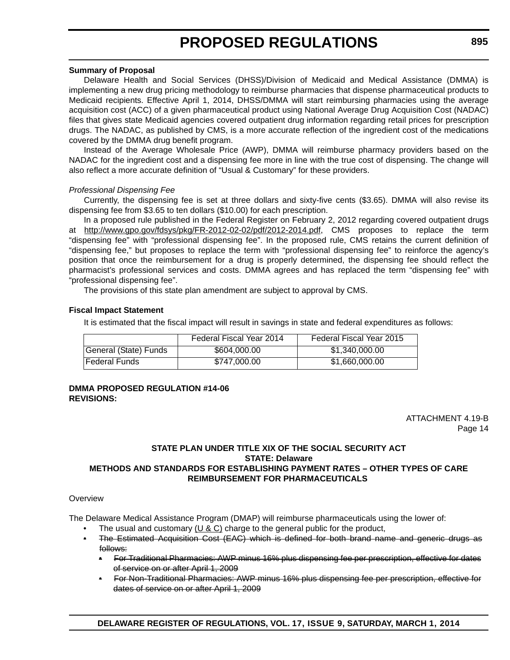#### **Summary of Proposal**

Delaware Health and Social Services (DHSS)/Division of Medicaid and Medical Assistance (DMMA) is implementing a new drug pricing methodology to reimburse pharmacies that dispense pharmaceutical products to Medicaid recipients. Effective April 1, 2014, DHSS/DMMA will start reimbursing pharmacies using the average acquisition cost (ACC) of a given pharmaceutical product using National Average Drug Acquisition Cost (NADAC) files that gives state Medicaid agencies covered outpatient drug information regarding retail prices for prescription drugs. The NADAC, as published by CMS, is a more accurate reflection of the ingredient cost of the medications covered by the DMMA drug benefit program.

Instead of the Average Wholesale Price (AWP), DMMA will reimburse pharmacy providers based on the NADAC for the ingredient cost and a dispensing fee more in line with the true cost of dispensing. The change will also reflect a more accurate definition of "Usual & Customary" for these providers.

#### *Professional Dispensing Fee*

Currently, the dispensing fee is set at three dollars and sixty-five cents (\$3.65). DMMA will also revise its dispensing fee from \$3.65 to ten dollars (\$10.00) for each prescription.

In a proposed rule published in the Federal Register on February 2, 2012 regarding covered outpatient drugs at http://www.gpo.gov/fdsys/pkg/FR-2012-02-02/pdf/2012-2014.pdf, CMS proposes to replace the term "dispensing fee" with "professional dispensing fee". In the proposed rule, CMS retains the current definition of "dispensing fee," but proposes to replace the term with "professional dispensing fee" to reinforce the agency's position that once the reimbursement for a drug is properly determined, the dispensing fee should reflect the pharmacist's professional services and costs. DMMA agrees and has replaced the term "dispensing fee" with "professional dispensing fee".

The provisions of this state plan amendment are subject to approval by CMS.

#### **Fiscal Impact Statement**

It is estimated that the fiscal impact will result in savings in state and federal expenditures as follows:

|                       | Federal Fiscal Year 2014 | Federal Fiscal Year 2015 |
|-----------------------|--------------------------|--------------------------|
| General (State) Funds | \$604,000,00             | \$1.340.000.00           |
| lFederal Funds        | \$747,000,00             | \$1,660,000.00           |

#### **DMMA PROPOSED REGULATION #14-06 REVISIONS:**

ATTACHMENT 4.19-B Page 14

#### **STATE PLAN UNDER TITLE XIX OF THE SOCIAL SECURITY ACT STATE: Delaware METHODS AND STANDARDS FOR ESTABLISHING PAYMENT RATES – OTHER TYPES OF CARE REIMBURSEMENT FOR PHARMACEUTICALS**

#### **Overview**

The Delaware Medical Assistance Program (DMAP) will reimburse pharmaceuticals using the lower of:

- The usual and customary ( $U & C$ ) charge to the general public for the product,
- The Estimated Acquisition Cost (EAC) which is defined for both brand name and generic drugs as follows:
	- For Traditional Pharmacies: AWP minus 16% plus dispensing fee per prescription, effective for dates of service on or after April 1, 2009
	- For Non-Traditional Pharmacies: AWP minus 16% plus dispensing fee per prescription, effective for dates of service on or after April 1, 2009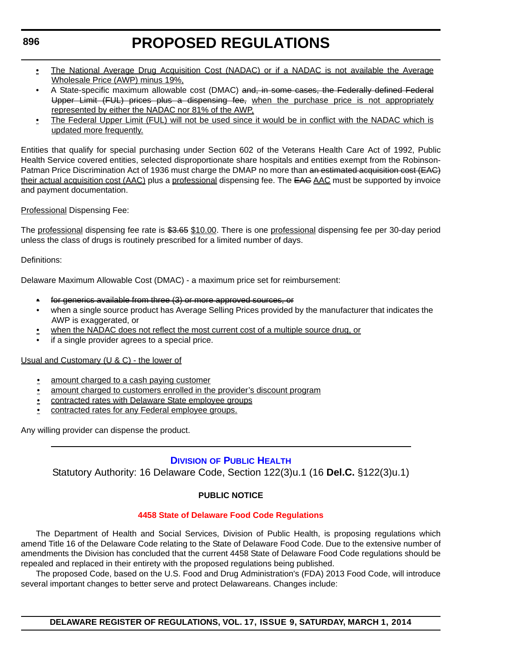#### <span id="page-26-0"></span>**896**

### **PROPOSED REGULATIONS**

- The National Average Drug Acquisition Cost (NADAC) or if a NADAC is not available the Average Wholesale Price (AWP) minus 19%,
- A State-specific maximum allowable cost (DMAC) and, in some cases, the Federally defined Federal Upper Limit (FUL) prices plus a dispensing fee, when the purchase price is not appropriately represented by either the NADAC nor 81% of the AWP,
- The Federal Upper Limit (FUL) will not be used since it would be in conflict with the NADAC which is updated more frequently.

Entities that qualify for special purchasing under Section 602 of the Veterans Health Care Act of 1992, Public Health Service covered entities, selected disproportionate share hospitals and entities exempt from the Robinson-Patman Price Discrimination Act of 1936 must charge the DMAP no more than an estimated acquisition cost (EAC) their actual acquisition cost (AAC) plus a professional dispensing fee. The EAC AAC must be supported by invoice and payment documentation.

Professional Dispensing Fee:

The professional dispensing fee rate is \$3.65 \$10.00. There is one professional dispensing fee per 30-day period unless the class of drugs is routinely prescribed for a limited number of days.

#### Definitions:

Delaware Maximum Allowable Cost (DMAC) - a maximum price set for reimbursement:

- for generics available from three (3) or more approved sources, or
- when a single source product has Average Selling Prices provided by the manufacturer that indicates the AWP is exaggerated, or
- when the NADAC does not reflect the most current cost of a multiple source drug, or
- if a single provider agrees to a special price.

#### Usual and Customary (U & C) - the lower of

- amount charged to a cash paying customer
- amount charged to customers enrolled in the provider's discount program
- contracted rates with Delaware State employee groups
- contracted rates for any Federal employee groups.

Any willing provider can dispense the product.

#### **DIVISION [OF PUBLIC HEALTH](http://www.dhss.delaware.gov/dhss/dph/index.html)**

Statutory Authority: 16 Delaware Code, Section 122(3)u.1 (16 **Del.C.** §122(3)u.1)

#### **PUBLIC NOTICE**

#### **[4458 State of Delaware Food Code Regulations](#page-3-0)**

The Department of Health and Social Services, Division of Public Health, is proposing regulations which amend Title 16 of the Delaware Code relating to the State of Delaware Food Code. Due to the extensive number of amendments the Division has concluded that the current 4458 State of Delaware Food Code regulations should be repealed and replaced in their entirety with the proposed regulations being published.

The proposed Code, based on the U.S. Food and Drug Administration's (FDA) 2013 Food Code, will introduce several important changes to better serve and protect Delawareans. Changes include: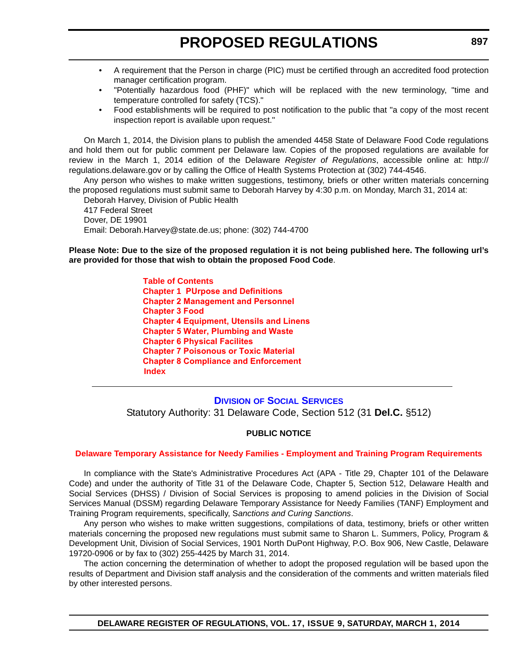- <span id="page-27-0"></span>• A requirement that the Person in charge (PIC) must be certified through an accredited food protection manager certification program.
- "Potentially hazardous food (PHF)" which will be replaced with the new terminology, "time and temperature controlled for safety (TCS)."
- Food establishments will be required to post notification to the public that "a copy of the most recent inspection report is available upon request."

On March 1, 2014, the Division plans to publish the amended 4458 State of Delaware Food Code regulations and hold them out for public comment per Delaware law. Copies of the proposed regulations are available for review in the March 1, 2014 edition of the Delaware *Register of Regulations*, accessible online at: http:// regulations.delaware.gov or by calling the Office of Health Systems Protection at (302) 744-4546.

Any person who wishes to make written suggestions, testimony, briefs or other written materials concerning the proposed regulations must submit same to Deborah Harvey by 4:30 p.m. on Monday, March 31, 2014 at:

Deborah Harvey, Division of Public Health 417 Federal Street Dover, DE 19901 Email: Deborah.Harvey@state.de.us; phone: (302) 744-4700

**Please Note: Due to the size of the proposed regulation it is not being published here. The following url's are provided for those that wish to obtain the proposed Food Code**.

> **[Table of Contents](http://regulations.delaware.gov/register/march2014/proposed/TOC.pdf) Chapter 1 [PUrpose and Definitions](http://regulations.delaware.gov/register/march2014/proposed/Chapter1.pdf) [Chapter 2 Management and Personnel](http://regulations.delaware.gov/register/march2014/proposed/Chapter2.pdf) [Chapter 3 Food](http://regulations.delaware.gov/register/march2014/proposed/Chapter3.pdf) [Chapter 4 Equipment, Utensils and Linens](http://regulations.delaware.gov/register/march2014/proposed/Chapter4.pdf) [Chapter 5 Water, Plumbing and Waste](http://regulations.delaware.gov/register/march2014/proposed/Chapter5.pdf) [Chapter 6 Physical Facilites](http://regulations.delaware.gov/register/march2014/proposed/Chapter6.pdf) [Chapter 7 Poisonous or Toxic Material](http://regulations.delaware.gov/register/march2014/proposed/Chapter7.pdf) [Chapter 8 Compliance and Enforcement](http://regulations.delaware.gov/register/march2014/proposed/Chapter8.pdf) [Index](http://regulations.delaware.gov/register/march2014/proposed/Index.pdf)**

**DIVISION [OF SOCIAL SERVICES](http://www.dhss.delaware.gov/dhss/dss/)** Statutory Authority: 31 Delaware Code, Section 512 (31 **Del.C.** §512)

#### **PUBLIC NOTICE**

#### **[Delaware Temporary Assistance for Needy Families - Employment and Training Program Requirements](#page-3-0)**

In compliance with the State's Administrative Procedures Act (APA - Title 29, Chapter 101 of the Delaware Code) and under the authority of Title 31 of the Delaware Code, Chapter 5, Section 512, Delaware Health and Social Services (DHSS) / Division of Social Services is proposing to amend policies in the Division of Social Services Manual (DSSM) regarding Delaware Temporary Assistance for Needy Families (TANF) Employment and Training Program requirements, specifically, S*anctions and Curing Sanctions*.

Any person who wishes to make written suggestions, compilations of data, testimony, briefs or other written materials concerning the proposed new regulations must submit same to Sharon L. Summers, Policy, Program & Development Unit, Division of Social Services, 1901 North DuPont Highway, P.O. Box 906, New Castle, Delaware 19720-0906 or by fax to (302) 255-4425 by March 31, 2014.

The action concerning the determination of whether to adopt the proposed regulation will be based upon the results of Department and Division staff analysis and the consideration of the comments and written materials filed by other interested persons.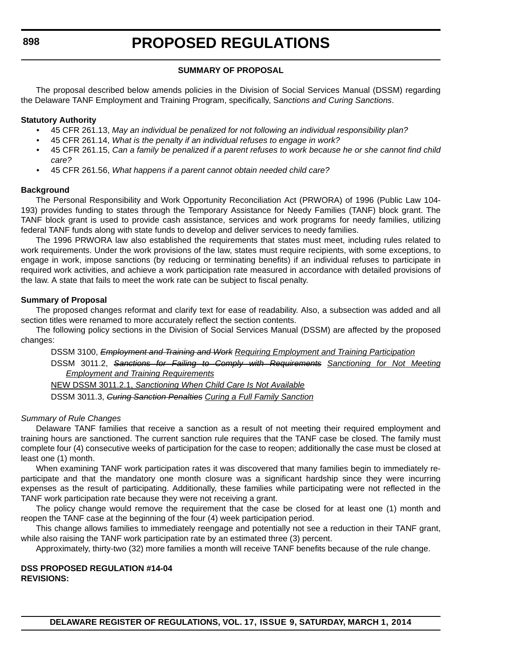#### **SUMMARY OF PROPOSAL**

The proposal described below amends policies in the Division of Social Services Manual (DSSM) regarding the Delaware TANF Employment and Training Program, specifically, S*anctions and Curing Sanctions*.

#### **Statutory Authority**

- 45 CFR 261.13, *May an individual be penalized for not following an individual responsibility plan?*
- 45 CFR 261.14, *What is the penalty if an individual refuses to engage in work?*
- 45 CFR 261.15, *Can a family be penalized if a parent refuses to work because he or she cannot find child care?*
- 45 CFR 261.56, *What happens if a parent cannot obtain needed child care?*

#### **Background**

The Personal Responsibility and Work Opportunity Reconciliation Act (PRWORA) of 1996 (Public Law 104- 193) provides funding to states through the Temporary Assistance for Needy Families (TANF) block grant. The TANF block grant is used to provide cash assistance, services and work programs for needy families, utilizing federal TANF funds along with state funds to develop and deliver services to needy families.

The 1996 PRWORA law also established the requirements that states must meet, including rules related to work requirements. Under the work provisions of the law, states must require recipients, with some exceptions, to engage in work, impose sanctions (by reducing or terminating benefits) if an individual refuses to participate in required work activities, and achieve a work participation rate measured in accordance with detailed provisions of the law. A state that fails to meet the work rate can be subject to fiscal penalty.

#### **Summary of Proposal**

The proposed changes reformat and clarify text for ease of readability. Also, a subsection was added and all section titles were renamed to more accurately reflect the section contents.

The following policy sections in the Division of Social Services Manual (DSSM) are affected by the proposed changes:

DSSM 3100, *Employment and Training and Work Requiring Employment and Training Participation* DSSM 3011.2, *Sanctions for Failing to Comply with Requirements Sanctioning for Not Meeting Employment and Training Requirements*

NEW DSSM 3011.2.1, *Sanctioning When Child Care Is Not Available* DSSM 3011.3, *Curing Sanction Penalties Curing a Full Family Sanction*

#### *Summary of Rule Changes*

Delaware TANF families that receive a sanction as a result of not meeting their required employment and training hours are sanctioned. The current sanction rule requires that the TANF case be closed. The family must complete four (4) consecutive weeks of participation for the case to reopen; additionally the case must be closed at least one (1) month.

When examining TANF work participation rates it was discovered that many families begin to immediately reparticipate and that the mandatory one month closure was a significant hardship since they were incurring expenses as the result of participating. Additionally, these families while participating were not reflected in the TANF work participation rate because they were not receiving a grant.

The policy change would remove the requirement that the case be closed for at least one (1) month and reopen the TANF case at the beginning of the four (4) week participation period.

This change allows families to immediately reengage and potentially not see a reduction in their TANF grant, while also raising the TANF work participation rate by an estimated three (3) percent.

Approximately, thirty-two (32) more families a month will receive TANF benefits because of the rule change.

#### **DSS PROPOSED REGULATION #14-04 REVISIONS:**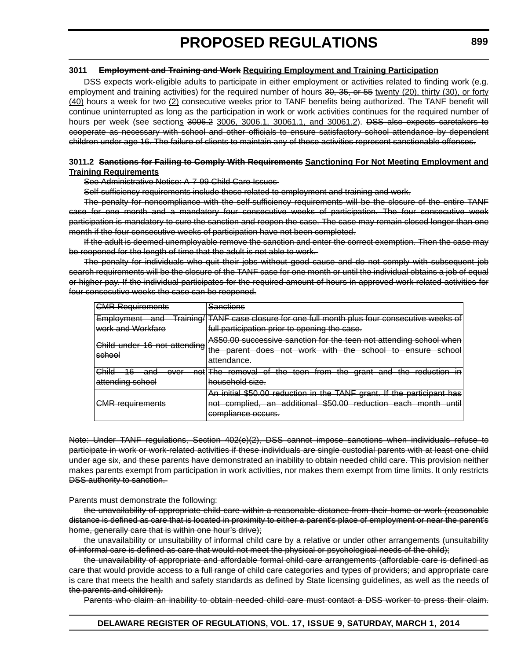#### **3011 Employment and Training and Work Requiring Employment and Training Participation**

DSS expects work-eligible adults to participate in either employment or activities related to finding work (e.g. employment and training activities) for the required number of hours 30, 35, or 55 twenty (20), thirty (30), or forty (40) hours a week for two (2) consecutive weeks prior to TANF benefits being authorized. The TANF benefit will continue uninterrupted as long as the participation in work or work activities continues for the required number of hours per week (see sections 3006.2 3006, 3006.1, 30061.1, and 30061.2). DSS also expects caretakers to cooperate as necessary with school and other officials to ensure satisfactory school attendance by dependent children under age 16. The failure of clients to maintain any of these activities represent sanctionable offenses.

#### **3011.2 Sanctions for Failing to Comply With Requirements Sanctioning For Not Meeting Employment and Training Requirements**

See Administrative Notice: A-7-99 Child Care Issues

Self-sufficiency requirements include those related to employment and training and work.

The penalty for noncompliance with the self-sufficiency requirements will be the closure of the entire TANF case for one month and a mandatory four consecutive weeks of participation. The four consecutive week participation is mandatory to cure the sanction and reopen the case. The case may remain closed longer than one month if the four consecutive weeks of participation have not been completed.

If the adult is deemed unemployable remove the sanction and enter the correct exemption. Then the case may be reopened for the length of time that the adult is not able to work.

The penalty for individuals who quit their jobs without good cause and do not comply with subsequent job search requirements will be the closure of the TANF case for one month or until the individual obtains a job of equal or higher pay. If the individual participates for the required amount of hours in approved work related activities for four consecutive weeks the case can be reopened.

| <b>CMR Requirements</b>                                                                                                              | <b>Sanctions</b>                                                                                                                                                                                                                                                                                                                                         |
|--------------------------------------------------------------------------------------------------------------------------------------|----------------------------------------------------------------------------------------------------------------------------------------------------------------------------------------------------------------------------------------------------------------------------------------------------------------------------------------------------------|
| raininn/<br><b>Employment</b><br>ond<br>ana<br><del>namma</del><br>work and Workfare                                                 | <b>TANF case closure for one full month plus four consecutive weeks of</b><br>full participation prior to opening the case.                                                                                                                                                                                                                              |
| Child under 16 not attending<br>school                                                                                               | <u>ASEA AA successive sanction for the teen not attending school when</u><br><del>Aww.wo successive sancilon for the teen not attenuing school when</del><br>the parent does not work with the<br>cohool<br>to ancura cchool<br><del>ensure</del><br><del>the parent</del><br>uvv<br>πστ<br><del>oonoo</del> n<br>w<br><del>oonoo</del> n<br>attendance. |
| Րհilժ<br>R<br>$\sim$<br>ond<br>not<br><del>∪linu</del><br>ю<br>anu<br>ত⊽তা<br>᠇ᠠᡨ<br>attanding echool<br><del>allonaing sunuui</del> | the reduction<br>Tho.<br>$th \alpha$<br>th∩<br>∩t<br>toon<br>tr∩m<br>arant and<br>ramoval<br><del>urant</del><br>ana<br><del>nio iomova</del> i<br>ਯ<br>गाण<br>त्त्व्वता<br>┉<br>गाण<br>पाप<br><del>Touuoilon</del><br>محنف املمطمعينمط<br><del>nouschold size.</del>                                                                                    |
| CMR requirements<br><del>omn rogull chlonic</del>                                                                                    | An initial \$50.00 reduction in the TANF grant. If the participant has<br>an additional \$50.00.<br>reduction each month<br>complied<br>until<br>nnt.<br><del>auunonar</del><br><del>woo.oo</del><br>пvг<br><del>oompnou</del> .<br>प्रा<br>compliance occurs.                                                                                           |

Note: Under TANF regulations, Section 402(e)(2), DSS cannot impose sanctions when individuals refuse to participate in work or work-related activities if these individuals are single custodial parents with at least one child under age six, and these parents have demonstrated an inability to obtain needed child care. This provision neither makes parents exempt from participation in work activities, nor makes them exempt from time limits. It only restricts DSS authority to sanction.

Parents must demonstrate the following:

the unavailability of appropriate child care within a reasonable distance from their home or work (reasonable distance is defined as care that is located in proximity to either a parent's place of employment or near the parent's home, generally care that is within one hour's drive);

the unavailability or unsuitability of informal child care by a relative or under other arrangements (unsuitability of informal care is defined as care that would not meet the physical or psychological needs of the child);

the unavailability of appropriate and affordable formal child care arrangements (affordable care is defined as care that would provide access to a full range of child care categories and types of providers; and appropriate care is care that meets the health and safety standards as defined by State licensing guidelines, as well as the needs of the parents and children).

Parents who claim an inability to obtain needed child care must contact a DSS worker to press their claim.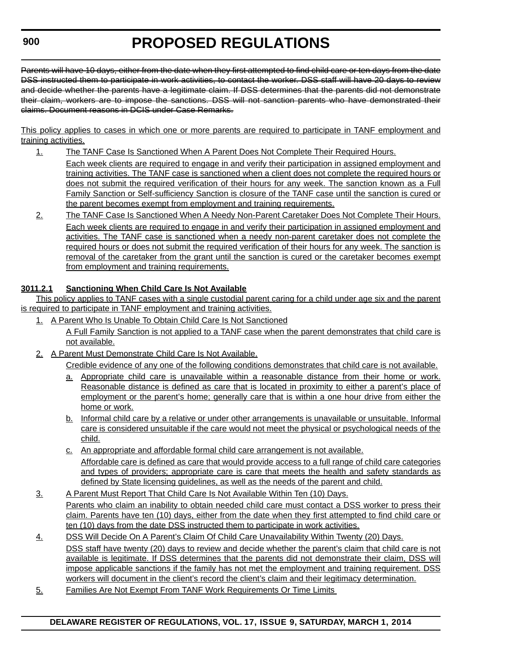#### **900**

# **PROPOSED REGULATIONS**

Parents will have 10 days, either from the date when they first attempted to find child care or ten days from the date DSS instructed them to participate in work activities, to contact the worker. DSS staff will have 20 days to review and decide whether the parents have a legitimate claim. If DSS determines that the parents did not demonstrate their claim, workers are to impose the sanctions. DSS will not sanction parents who have demonstrated their claims. Document reasons in DCIS under Case Remarks.

This policy applies to cases in which one or more parents are required to participate in TANF employment and training activities.

- 1. The TANF Case Is Sanctioned When A Parent Does Not Complete Their Required Hours. Each week clients are required to engage in and verify their participation in assigned employment and training activities. The TANF case is sanctioned when a client does not complete the required hours or does not submit the required verification of their hours for any week. The sanction known as a Full Family Sanction or Self-sufficiency Sanction is closure of the TANF case until the sanction is cured or the parent becomes exempt from employment and training requirements.
- 2. The TANF Case Is Sanctioned When A Needy Non-Parent Caretaker Does Not Complete Their Hours. Each week clients are required to engage in and verify their participation in assigned employment and activities. The TANF case is sanctioned when a needy non-parent caretaker does not complete the required hours or does not submit the required verification of their hours for any week. The sanction is removal of the caretaker from the grant until the sanction is cured or the caretaker becomes exempt from employment and training requirements.

#### **3011.2.1 Sanctioning When Child Care Is Not Available**

This policy applies to TANF cases with a single custodial parent caring for a child under age six and the parent is required to participate in TANF employment and training activities.

- 1. A Parent Who Is Unable To Obtain Child Care Is Not Sanctioned A Full Family Sanction is not applied to a TANF case when the parent demonstrates that child care is not available.
- 2. A Parent Must Demonstrate Child Care Is Not Available.

Credible evidence of any one of the following conditions demonstrates that child care is not available.

- a. Appropriate child care is unavailable within a reasonable distance from their home or work. Reasonable distance is defined as care that is located in proximity to either a parent's place of employment or the parent's home; generally care that is within a one hour drive from either the home or work.
- b. Informal child care by a relative or under other arrangements is unavailable or unsuitable. Informal care is considered unsuitable if the care would not meet the physical or psychological needs of the child.
- c. An appropriate and affordable formal child care arrangement is not available. Affordable care is defined as care that would provide access to a full range of child care categories and types of providers; appropriate care is care that meets the health and safety standards as defined by State licensing guidelines, as well as the needs of the parent and child.
- 3. A Parent Must Report That Child Care Is Not Available Within Ten (10) Days. Parents who claim an inability to obtain needed child care must contact a DSS worker to press their claim. Parents have ten (10) days, either from the date when they first attempted to find child care or ten (10) days from the date DSS instructed them to participate in work activities.
- 4. DSS Will Decide On A Parent's Claim Of Child Care Unavailability Within Twenty (20) Days. DSS staff have twenty (20) days to review and decide whether the parent's claim that child care is not available is legitimate. If DSS determines that the parents did not demonstrate their claim, DSS will impose applicable sanctions if the family has not met the employment and training requirement. DSS workers will document in the client's record the client's claim and their legitimacy determination.
- 5. Families Are Not Exempt From TANF Work Requirements Or Time Limits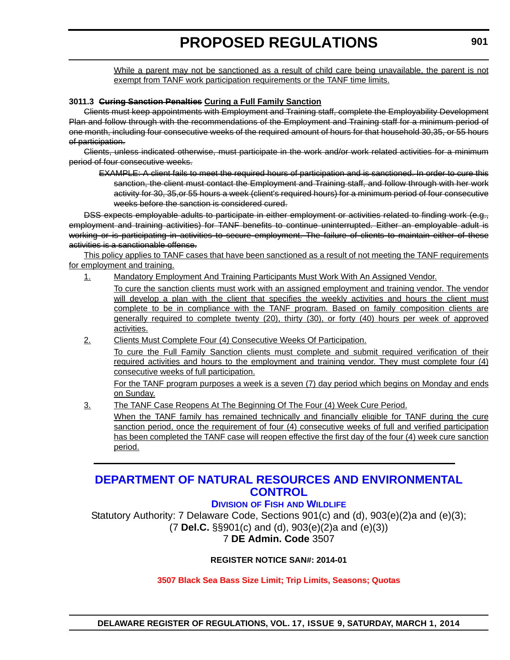<span id="page-31-0"></span>While a parent may not be sanctioned as a result of child care being unavailable, the parent is not exempt from TANF work participation requirements or the TANF time limits.

#### **3011.3 Curing Sanction Penalties Curing a Full Family Sanction**

Clients must keep appointments with Employment and Training staff, complete the Employability Development Plan and follow through with the recommendations of the Employment and Training staff for a minimum period of one month, including four consecutive weeks of the required amount of hours for that household 30,35, or 55 hours of participation.

Clients, unless indicated otherwise, must participate in the work and/or work related activities for a minimum period of four consecutive weeks.

EXAMPLE: A client fails to meet the required hours of participation and is sanctioned. In order to cure this sanction, the client must contact the Employment and Training staff, and follow through with her work activity for 30, 35,or 55 hours a week (client's required hours) for a minimum period of four consecutive weeks before the sanction is considered cured.

DSS expects employable adults to participate in either employment or activities related to finding work (e.g., employment and training activities) for TANF benefits to continue uninterrupted. Either an employable adult is working or is participating in activities to secure employment. The failure of clients to maintain either of these activities is a sanctionable offense.

This policy applies to TANF cases that have been sanctioned as a result of not meeting the TANF requirements for employment and training.

1. Mandatory Employment And Training Participants Must Work With An Assigned Vendor.

To cure the sanction clients must work with an assigned employment and training vendor. The vendor will develop a plan with the client that specifies the weekly activities and hours the client must complete to be in compliance with the TANF program. Based on family composition clients are generally required to complete twenty (20), thirty (30), or forty (40) hours per week of approved activities.

2. Clients Must Complete Four (4) Consecutive Weeks Of Participation.

To cure the Full Family Sanction clients must complete and submit required verification of their required activities and hours to the employment and training vendor. They must complete four (4) consecutive weeks of full participation.

For the TANF program purposes a week is a seven (7) day period which begins on Monday and ends on Sunday.

3. The TANF Case Reopens At The Beginning Of The Four (4) Week Cure Period.

When the TANF family has remained technically and financially eligible for TANF during the cure sanction period, once the requirement of four (4) consecutive weeks of full and verified participation has been completed the TANF case will reopen effective the first day of the four (4) week cure sanction period.

### **[DEPARTMENT OF NATURAL RESOURCES AND ENVIRONMENTAL](http://www.dnrec.delaware.gov/fw/Pages/FWPortal.aspx)  CONTROL**

#### **DIVISION OF FISH AND WILDLIFE**

Statutory Authority: 7 Delaware Code, Sections 901(c) and (d), 903(e)(2)a and (e)(3); (7 **Del.C.** §§901(c) and (d), 903(e)(2)a and (e)(3)) 7 **DE Admin. Code** 3507

#### **REGISTER NOTICE SAN#: 2014-01**

#### **[3507 Black Sea Bass Size Limit; Trip Limits, Seasons; Quotas](#page-3-0)**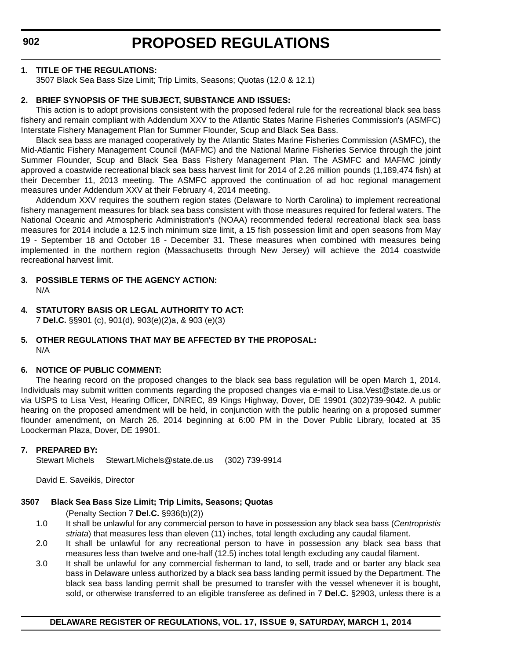#### **1. TITLE OF THE REGULATIONS:**

3507 Black Sea Bass Size Limit; Trip Limits, Seasons; Quotas (12.0 & 12.1)

#### **2. BRIEF SYNOPSIS OF THE SUBJECT, SUBSTANCE AND ISSUES:**

This action is to adopt provisions consistent with the proposed federal rule for the recreational black sea bass fishery and remain compliant with Addendum XXV to the Atlantic States Marine Fisheries Commission's (ASMFC) Interstate Fishery Management Plan for Summer Flounder, Scup and Black Sea Bass.

Black sea bass are managed cooperatively by the Atlantic States Marine Fisheries Commission (ASMFC), the Mid-Atlantic Fishery Management Council (MAFMC) and the National Marine Fisheries Service through the joint Summer Flounder, Scup and Black Sea Bass Fishery Management Plan. The ASMFC and MAFMC jointly approved a coastwide recreational black sea bass harvest limit for 2014 of 2.26 million pounds (1,189,474 fish) at their December 11, 2013 meeting. The ASMFC approved the continuation of ad hoc regional management measures under Addendum XXV at their February 4, 2014 meeting.

Addendum XXV requires the southern region states (Delaware to North Carolina) to implement recreational fishery management measures for black sea bass consistent with those measures required for federal waters. The National Oceanic and Atmospheric Administration's (NOAA) recommended federal recreational black sea bass measures for 2014 include a 12.5 inch minimum size limit, a 15 fish possession limit and open seasons from May 19 - September 18 and October 18 - December 31. These measures when combined with measures being implemented in the northern region (Massachusetts through New Jersey) will achieve the 2014 coastwide recreational harvest limit.

- **3. POSSIBLE TERMS OF THE AGENCY ACTION:** N/A
- **4. STATUTORY BASIS OR LEGAL AUTHORITY TO ACT:** 7 **Del.C.** §§901 (c), 901(d), 903(e)(2)a, & 903 (e)(3)

#### **5. OTHER REGULATIONS THAT MAY BE AFFECTED BY THE PROPOSAL:** N/A

#### **6. NOTICE OF PUBLIC COMMENT:**

The hearing record on the proposed changes to the black sea bass regulation will be open March 1, 2014. Individuals may submit written comments regarding the proposed changes via e-mail to Lisa.Vest@state.de.us or via USPS to Lisa Vest, Hearing Officer, DNREC, 89 Kings Highway, Dover, DE 19901 (302)739-9042. A public hearing on the proposed amendment will be held, in conjunction with the public hearing on a proposed summer flounder amendment, on March 26, 2014 beginning at 6:00 PM in the Dover Public Library, located at 35 Loockerman Plaza, Dover, DE 19901.

#### **7. PREPARED BY:**

Stewart Michels Stewart.Michels@state.de.us (302) 739-9914

David E. Saveikis, Director

#### **3507 Black Sea Bass Size Limit; Trip Limits, Seasons; Quotas**

(Penalty Section 7 **Del.C.** §936(b)(2))

- 1.0 It shall be unlawful for any commercial person to have in possession any black sea bass (*Centropristis striata*) that measures less than eleven (11) inches, total length excluding any caudal filament.
- 2.0 It shall be unlawful for any recreational person to have in possession any black sea bass that measures less than twelve and one-half (12.5) inches total length excluding any caudal filament.
- 3.0 It shall be unlawful for any commercial fisherman to land, to sell, trade and or barter any black sea bass in Delaware unless authorized by a black sea bass landing permit issued by the Department. The black sea bass landing permit shall be presumed to transfer with the vessel whenever it is bought, sold, or otherwise transferred to an eligible transferee as defined in 7 **Del.C.** §2903, unless there is a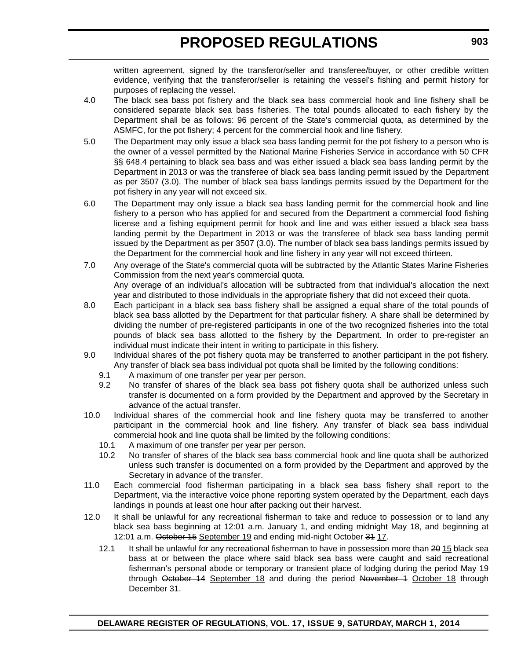written agreement, signed by the transferor/seller and transferee/buyer, or other credible written evidence, verifying that the transferor/seller is retaining the vessel's fishing and permit history for purposes of replacing the vessel.

- 4.0 The black sea bass pot fishery and the black sea bass commercial hook and line fishery shall be considered separate black sea bass fisheries. The total pounds allocated to each fishery by the Department shall be as follows: 96 percent of the State's commercial quota, as determined by the ASMFC, for the pot fishery; 4 percent for the commercial hook and line fishery.
- 5.0 The Department may only issue a black sea bass landing permit for the pot fishery to a person who is the owner of a vessel permitted by the National Marine Fisheries Service in accordance with 50 CFR §§ 648.4 pertaining to black sea bass and was either issued a black sea bass landing permit by the Department in 2013 or was the transferee of black sea bass landing permit issued by the Department as per 3507 (3.0). The number of black sea bass landings permits issued by the Department for the pot fishery in any year will not exceed six.
- 6.0 The Department may only issue a black sea bass landing permit for the commercial hook and line fishery to a person who has applied for and secured from the Department a commercial food fishing license and a fishing equipment permit for hook and line and was either issued a black sea bass landing permit by the Department in 2013 or was the transferee of black sea bass landing permit issued by the Department as per 3507 (3.0). The number of black sea bass landings permits issued by the Department for the commercial hook and line fishery in any year will not exceed thirteen.
- 7.0 Any overage of the State's commercial quota will be subtracted by the Atlantic States Marine Fisheries Commission from the next year's commercial quota. Any overage of an individual's allocation will be subtracted from that individual's allocation the next year and distributed to those individuals in the appropriate fishery that did not exceed their quota.
- 8.0 Each participant in a black sea bass fishery shall be assigned a equal share of the total pounds of black sea bass allotted by the Department for that particular fishery. A share shall be determined by dividing the number of pre-registered participants in one of the two recognized fisheries into the total pounds of black sea bass allotted to the fishery by the Department. In order to pre-register an individual must indicate their intent in writing to participate in this fishery.
- 9.0 Individual shares of the pot fishery quota may be transferred to another participant in the pot fishery. Any transfer of black sea bass individual pot quota shall be limited by the following conditions:
	- 9.1 A maximum of one transfer per year per person.
	- 9.2 No transfer of shares of the black sea bass pot fishery quota shall be authorized unless such transfer is documented on a form provided by the Department and approved by the Secretary in advance of the actual transfer.
- 10.0 Individual shares of the commercial hook and line fishery quota may be transferred to another participant in the commercial hook and line fishery. Any transfer of black sea bass individual commercial hook and line quota shall be limited by the following conditions:
	- 10.1 A maximum of one transfer per year per person.
	- 10.2 No transfer of shares of the black sea bass commercial hook and line quota shall be authorized unless such transfer is documented on a form provided by the Department and approved by the Secretary in advance of the transfer.
- 11.0 Each commercial food fisherman participating in a black sea bass fishery shall report to the Department, via the interactive voice phone reporting system operated by the Department, each days landings in pounds at least one hour after packing out their harvest.
- 12.0 It shall be unlawful for any recreational fisherman to take and reduce to possession or to land any black sea bass beginning at 12:01 a.m. January 1, and ending midnight May 18, and beginning at 12:01 a.m. October 15 September 19 and ending mid-night October 34 17.
	- 12.1 It shall be unlawful for any recreational fisherman to have in possession more than 2015 black sea bass at or between the place where said black sea bass were caught and said recreational fisherman's personal abode or temporary or transient place of lodging during the period May 19 through October 14 September 18 and during the period November 1 October 18 through December 31.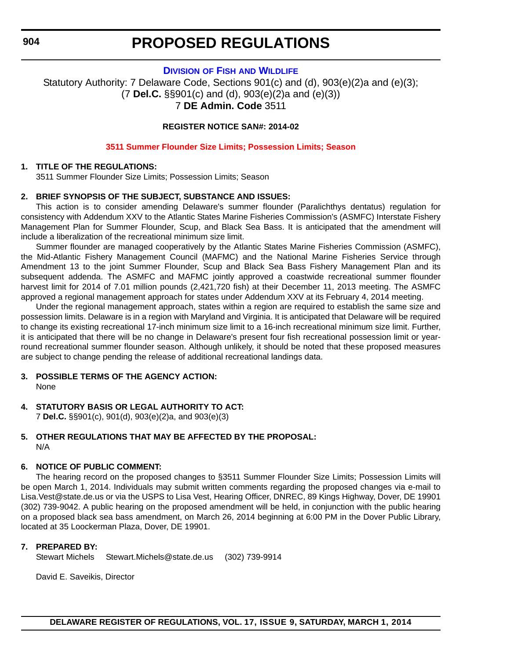#### **DIVISION OF FISH [AND WILDLIFE](http://www.dnrec.delaware.gov/fw/Pages/FWPortal.aspx)**

<span id="page-34-0"></span>Statutory Authority: 7 Delaware Code, Sections 901(c) and (d), 903(e)(2)a and (e)(3); (7 **Del.C.** §§901(c) and (d), 903(e)(2)a and (e)(3)) 7 **DE Admin. Code** 3511

#### **REGISTER NOTICE SAN#: 2014-02**

#### **[3511 Summer Flounder Size Limits; Possession Limits; Season](#page-3-0)**

#### **1. TITLE OF THE REGULATIONS:**

3511 Summer Flounder Size Limits; Possession Limits; Season

#### **2. BRIEF SYNOPSIS OF THE SUBJECT, SUBSTANCE AND ISSUES:**

This action is to consider amending Delaware's summer flounder (Paralichthys dentatus) regulation for consistency with Addendum XXV to the Atlantic States Marine Fisheries Commission's (ASMFC) Interstate Fishery Management Plan for Summer Flounder, Scup, and Black Sea Bass. It is anticipated that the amendment will include a liberalization of the recreational minimum size limit.

Summer flounder are managed cooperatively by the Atlantic States Marine Fisheries Commission (ASMFC), the Mid-Atlantic Fishery Management Council (MAFMC) and the National Marine Fisheries Service through Amendment 13 to the joint Summer Flounder, Scup and Black Sea Bass Fishery Management Plan and its subsequent addenda. The ASMFC and MAFMC jointly approved a coastwide recreational summer flounder harvest limit for 2014 of 7.01 million pounds (2,421,720 fish) at their December 11, 2013 meeting. The ASMFC approved a regional management approach for states under Addendum XXV at its February 4, 2014 meeting.

Under the regional management approach, states within a region are required to establish the same size and possession limits. Delaware is in a region with Maryland and Virginia. It is anticipated that Delaware will be required to change its existing recreational 17-inch minimum size limit to a 16-inch recreational minimum size limit. Further, it is anticipated that there will be no change in Delaware's present four fish recreational possession limit or yearround recreational summer flounder season. Although unlikely, it should be noted that these proposed measures are subject to change pending the release of additional recreational landings data.

#### **3. POSSIBLE TERMS OF THE AGENCY ACTION:** None

**4. STATUTORY BASIS OR LEGAL AUTHORITY TO ACT:** 7 **Del.C.** §§901(c), 901(d), 903(e)(2)a, and 903(e)(3)

#### **5. OTHER REGULATIONS THAT MAY BE AFFECTED BY THE PROPOSAL:** N/A

#### **6. NOTICE OF PUBLIC COMMENT:**

The hearing record on the proposed changes to §3511 Summer Flounder Size Limits; Possession Limits will be open March 1, 2014. Individuals may submit written comments regarding the proposed changes via e-mail to Lisa.Vest@state.de.us or via the USPS to Lisa Vest, Hearing Officer, DNREC, 89 Kings Highway, Dover, DE 19901 (302) 739-9042. A public hearing on the proposed amendment will be held, in conjunction with the public hearing on a proposed black sea bass amendment, on March 26, 2014 beginning at 6:00 PM in the Dover Public Library, located at 35 Loockerman Plaza, Dover, DE 19901.

#### **7. PREPARED BY:**

Stewart Michels Stewart.Michels@state.de.us (302) 739-9914

David E. Saveikis, Director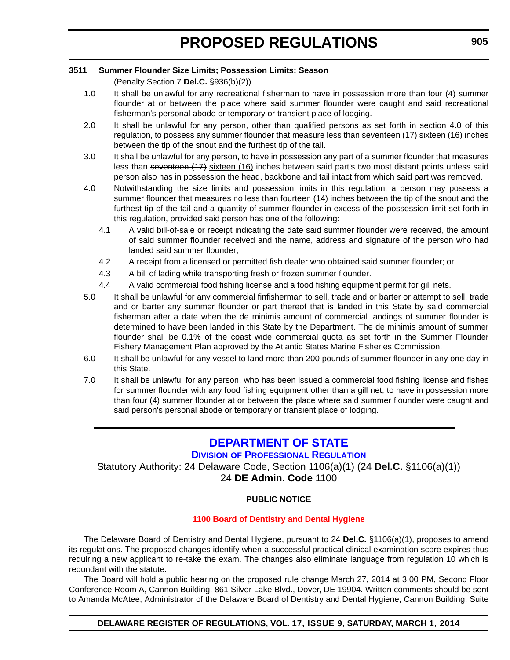#### <span id="page-35-0"></span>**3511 Summer Flounder Size Limits; Possession Limits; Season**

(Penalty Section 7 **Del.C.** §936(b)(2))

- 1.0 It shall be unlawful for any recreational fisherman to have in possession more than four (4) summer flounder at or between the place where said summer flounder were caught and said recreational fisherman's personal abode or temporary or transient place of lodging.
- 2.0 It shall be unlawful for any person, other than qualified persons as set forth in section 4.0 of this regulation, to possess any summer flounder that measure less than seventeen (17) sixteen (16) inches between the tip of the snout and the furthest tip of the tail.
- 3.0 It shall be unlawful for any person, to have in possession any part of a summer flounder that measures less than seventeen (17) sixteen (16) inches between said part's two most distant points unless said person also has in possession the head, backbone and tail intact from which said part was removed.
- 4.0 Notwithstanding the size limits and possession limits in this regulation, a person may possess a summer flounder that measures no less than fourteen (14) inches between the tip of the snout and the furthest tip of the tail and a quantity of summer flounder in excess of the possession limit set forth in this regulation, provided said person has one of the following:
	- 4.1 A valid bill-of-sale or receipt indicating the date said summer flounder were received, the amount of said summer flounder received and the name, address and signature of the person who had landed said summer flounder;
	- 4.2 A receipt from a licensed or permitted fish dealer who obtained said summer flounder; or
	- 4.3 A bill of lading while transporting fresh or frozen summer flounder.
	- 4.4 A valid commercial food fishing license and a food fishing equipment permit for gill nets.
- 5.0 It shall be unlawful for any commercial finfisherman to sell, trade and or barter or attempt to sell, trade and or barter any summer flounder or part thereof that is landed in this State by said commercial fisherman after a date when the de minimis amount of commercial landings of summer flounder is determined to have been landed in this State by the Department. The de minimis amount of summer flounder shall be 0.1% of the coast wide commercial quota as set forth in the Summer Flounder Fishery Management Plan approved by the Atlantic States Marine Fisheries Commission.
- 6.0 It shall be unlawful for any vessel to land more than 200 pounds of summer flounder in any one day in this State.
- 7.0 It shall be unlawful for any person, who has been issued a commercial food fishing license and fishes for summer flounder with any food fishing equipment other than a gill net, to have in possession more than four (4) summer flounder at or between the place where said summer flounder were caught and said person's personal abode or temporary or transient place of lodging.

### **[DEPARTMENT OF STATE](http://dpr.delaware.gov/)**

**DIVISION OF PROFESSIONAL REGULATION**

Statutory Authority: 24 Delaware Code, Section 1106(a)(1) (24 **Del.C.** §1106(a)(1)) 24 **DE Admin. Code** 1100

#### **PUBLIC NOTICE**

#### **[1100 Board of Dentistry and Dental Hygiene](#page-3-0)**

The Delaware Board of Dentistry and Dental Hygiene, pursuant to 24 **Del.C.** §1106(a)(1), proposes to amend its regulations. The proposed changes identify when a successful practical clinical examination score expires thus requiring a new applicant to re-take the exam. The changes also eliminate language from regulation 10 which is redundant with the statute.

The Board will hold a public hearing on the proposed rule change March 27, 2014 at 3:00 PM, Second Floor Conference Room A, Cannon Building, 861 Silver Lake Blvd., Dover, DE 19904. Written comments should be sent to Amanda McAtee, Administrator of the Delaware Board of Dentistry and Dental Hygiene, Cannon Building, Suite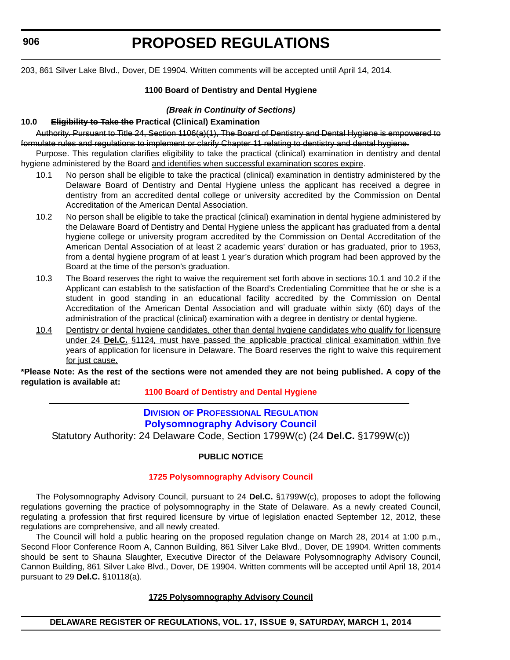<span id="page-36-0"></span>**906**

# **PROPOSED REGULATIONS**

203, 861 Silver Lake Blvd., Dover, DE 19904. Written comments will be accepted until April 14, 2014.

#### **1100 Board of Dentistry and Dental Hygiene**

#### *(Break in Continuity of Sections)*

#### **10.0 Eligibility to Take the Practical (Clinical) Examination**

Authority. Pursuant to Title 24, Section 1106(a)(1), The Board of Dentistry and Dental Hygiene is empowered to formulate rules and regulations to implement or clarify Chapter 11 relating to dentistry and dental hygiene.

Purpose. This regulation clarifies eligibility to take the practical (clinical) examination in dentistry and dental hygiene administered by the Board and identifies when successful examination scores expire.

- 10.1 No person shall be eligible to take the practical (clinical) examination in dentistry administered by the Delaware Board of Dentistry and Dental Hygiene unless the applicant has received a degree in dentistry from an accredited dental college or university accredited by the Commission on Dental Accreditation of the American Dental Association.
- 10.2 No person shall be eligible to take the practical (clinical) examination in dental hygiene administered by the Delaware Board of Dentistry and Dental Hygiene unless the applicant has graduated from a dental hygiene college or university program accredited by the Commission on Dental Accreditation of the American Dental Association of at least 2 academic years' duration or has graduated, prior to 1953, from a dental hygiene program of at least 1 year's duration which program had been approved by the Board at the time of the person's graduation.
- 10.3 The Board reserves the right to waive the requirement set forth above in sections 10.1 and 10.2 if the Applicant can establish to the satisfaction of the Board's Credentialing Committee that he or she is a student in good standing in an educational facility accredited by the Commission on Dental Accreditation of the American Dental Association and will graduate within sixty (60) days of the administration of the practical (clinical) examination with a degree in dentistry or dental hygiene.
- 10.4 Dentistry or dental hygiene candidates, other than dental hygiene candidates who qualify for licensure under 24 **Del.C.** §1124*,* must have passed the applicable practical clinical examination within five years of application for licensure in Delaware. The Board reserves the right to waive this requirement for just cause.

**\*Please Note: As the rest of the sections were not amended they are not being published. A copy of the regulation is available at:**

**[1100 Board of Dentistry and Dental Hygiene](http://regulations.delaware.gov/register/march2014/proposed/17 DE Reg 906 03-01-14.htm)**

#### **DIVISION OF PROFESSIONAL REGULATION [Polysomnography Advisory Council](http://dpr.delaware.gov/)**

Statutory Authority: 24 Delaware Code, Section 1799W(c) (24 **Del.C.** §1799W(c))

#### **PUBLIC NOTICE**

#### **[1725 Polysomnography Advisory Council](#page-3-0)**

The Polysomnography Advisory Council, pursuant to 24 **Del.C.** §1799W(c), proposes to adopt the following regulations governing the practice of polysomnography in the State of Delaware. As a newly created Council, regulating a profession that first required licensure by virtue of legislation enacted September 12, 2012, these regulations are comprehensive, and all newly created.

The Council will hold a public hearing on the proposed regulation change on March 28, 2014 at 1:00 p.m., Second Floor Conference Room A, Cannon Building, 861 Silver Lake Blvd., Dover, DE 19904. Written comments should be sent to Shauna Slaughter, Executive Director of the Delaware Polysomnography Advisory Council, Cannon Building, 861 Silver Lake Blvd., Dover, DE 19904. Written comments will be accepted until April 18, 2014 pursuant to 29 **Del.C.** §10118(a).

#### **1725 Polysomnography Advisory Council**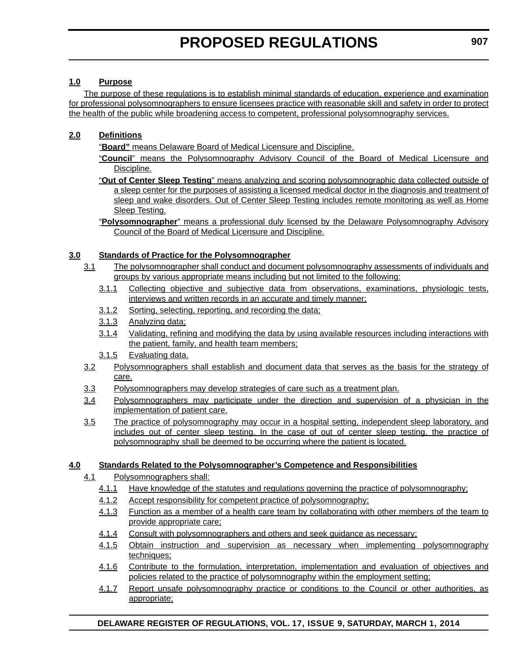#### **1.0 Purpose**

The purpose of these regulations is to establish minimal standards of education, experience and examination for professional polysomnographers to ensure licensees practice with reasonable skill and safety in order to protect the health of the public while broadening access to competent, professional polysomnography services.

#### **2.0 Definitions**

"**Board"** means Delaware Board of Medical Licensure and Discipline.

- "**Council**" means the Polysomnography Advisory Council of the Board of Medical Licensure and Discipline.
- "**Out of Center Sleep Testing**" means analyzing and scoring polysomnographic data collected outside of a sleep center for the purposes of assisting a licensed medical doctor in the diagnosis and treatment of sleep and wake disorders. Out of Center Sleep Testing includes remote monitoring as well as Home Sleep Testing.
- "**Polysomnographer**" means a professional duly licensed by the Delaware Polysomnography Advisory Council of the Board of Medical Licensure and Discipline.

#### **3.0 Standards of Practice for the Polysomnographer**

- 3.1 The polysomnographer shall conduct and document polysomnography assessments of individuals and groups by various appropriate means including but not limited to the following:
	- 3.1.1 Collecting objective and subjective data from observations, examinations, physiologic tests, interviews and written records in an accurate and timely manner;
	- 3.1.2 Sorting, selecting, reporting, and recording the data;
	- 3.1.3 Analyzing data;
	- 3.1.4 Validating, refining and modifying the data by using available resources including interactions with the patient, family, and health team members;
	- 3.1.5 Evaluating data.
- 3.2 Polysomnographers shall establish and document data that serves as the basis for the strategy of care.
- 3.3 Polysomnographers may develop strategies of care such as a treatment plan.
- 3.4 Polysomnographers may participate under the direction and supervision of a physician in the implementation of patient care.
- 3.5 The practice of polysomnography may occur in a hospital setting, independent sleep laboratory, and includes out of center sleep testing. In the case of out of center sleep testing, the practice of polysomnography shall be deemed to be occurring where the patient is located.

#### **4.0 Standards Related to the Polysomnographer's Competence and Responsibilities**

- 4.1 Polysomnographers shall:
	- 4.1.1 Have knowledge of the statutes and regulations governing the practice of polysomnography;
	- 4.1.2 Accept responsibility for competent practice of polysomnography;
	- 4.1.3 Function as a member of a health care team by collaborating with other members of the team to provide appropriate care;
	- 4.1.4 Consult with polysomnographers and others and seek guidance as necessary;
	- 4.1.5 Obtain instruction and supervision as necessary when implementing polysomnography techniques;
	- 4.1.6 Contribute to the formulation, interpretation, implementation and evaluation of objectives and policies related to the practice of polysomnography within the employment setting;
	- 4.1.7 Report unsafe polysomnography practice or conditions to the Council or other authorities, as appropriate;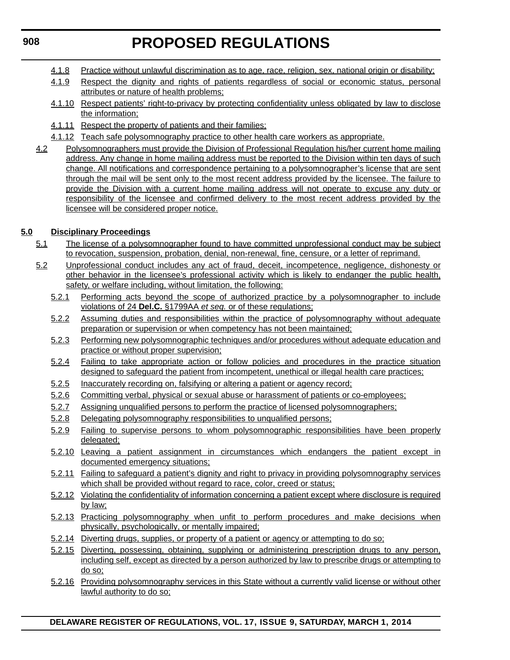- 4.1.8 Practice without unlawful discrimination as to age, race, religion, sex, national origin or disability;
- 4.1.9 Respect the dignity and rights of patients regardless of social or economic status, personal attributes or nature of health problems;
- 4.1.10 Respect patients' right-to-privacy by protecting confidentiality unless obligated by law to disclose the information;
- 4.1.11 Respect the property of patients and their families;
- 4.1.12 Teach safe polysomnography practice to other health care workers as appropriate.
- 4.2 Polysomnographers must provide the Division of Professional Regulation his/her current home mailing address. Any change in home mailing address must be reported to the Division within ten days of such change. All notifications and correspondence pertaining to a polysomnographer's license that are sent through the mail will be sent only to the most recent address provided by the licensee. The failure to provide the Division with a current home mailing address will not operate to excuse any duty or responsibility of the licensee and confirmed delivery to the most recent address provided by the licensee will be considered proper notice.

#### **5.0 Disciplinary Proceedings**

- 5.1 The license of a polysomnographer found to have committed unprofessional conduct may be subject to revocation, suspension, probation, denial, non-renewal, fine, censure, or a letter of reprimand.
- 5.2 Unprofessional conduct includes any act of fraud, deceit, incompetence, negligence, dishonesty or other behavior in the licensee's professional activity which is likely to endanger the public health, safety, or welfare including, without limitation, the following:
	- 5.2.1 Performing acts beyond the scope of authorized practice by a polysomnographer to include violations of 24 **Del.C.** §1799AA *et seq.* or of these regulations;
	- 5.2.2 Assuming duties and responsibilities within the practice of polysomnography without adequate preparation or supervision or when competency has not been maintained;
	- 5.2.3 Performing new polysomnographic techniques and/or procedures without adequate education and practice or without proper supervision;
	- 5.2.4 Failing to take appropriate action or follow policies and procedures in the practice situation designed to safeguard the patient from incompetent, unethical or illegal health care practices;
	- 5.2.5 Inaccurately recording on, falsifying or altering a patient or agency record;
	- 5.2.6 Committing verbal, physical or sexual abuse or harassment of patients or co-employees;
	- 5.2.7 Assigning unqualified persons to perform the practice of licensed polysomnographers;
	- 5.2.8 Delegating polysomnography responsibilities to unqualified persons;
	- 5.2.9 Failing to supervise persons to whom polysomnographic responsibilities have been properly delegated;
	- 5.2.10 Leaving a patient assignment in circumstances which endangers the patient except in documented emergency situations;
	- 5.2.11 Failing to safeguard a patient's dignity and right to privacy in providing polysomnography services which shall be provided without regard to race, color, creed or status;
	- 5.2.12 Violating the confidentiality of information concerning a patient except where disclosure is required by law;
	- 5.2.13 Practicing polysomnography when unfit to perform procedures and make decisions when physically, psychologically, or mentally impaired;
	- 5.2.14 Diverting drugs, supplies, or property of a patient or agency or attempting to do so;
	- 5.2.15 Diverting, possessing, obtaining, supplying or administering prescription drugs to any person, including self, except as directed by a person authorized by law to prescribe drugs or attempting to do so;
	- 5.2.16 Providing polysomnography services in this State without a currently valid license or without other lawful authority to do so;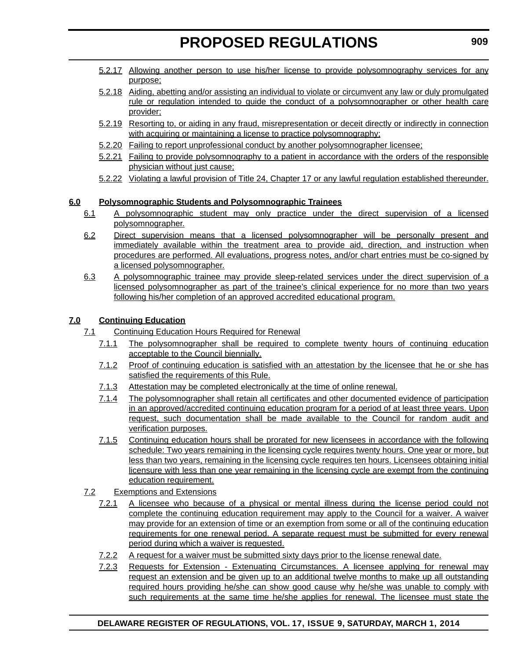- 5.2.17 Allowing another person to use his/her license to provide polysomnography services for any purpose;
- 5.2.18 Aiding, abetting and/or assisting an individual to violate or circumvent any law or duly promulgated rule or regulation intended to guide the conduct of a polysomnographer or other health care provider;
- 5.2.19 Resorting to, or aiding in any fraud, misrepresentation or deceit directly or indirectly in connection with acquiring or maintaining a license to practice polysomnography;
- 5.2.20 Failing to report unprofessional conduct by another polysomnographer licensee;
- 5.2.21 Failing to provide polysomnography to a patient in accordance with the orders of the responsible physician without just cause;
- 5.2.22 Violating a lawful provision of Title 24, Chapter 17 or any lawful regulation established thereunder.

#### **6.0 Polysomnographic Students and Polysomnographic Trainees**

- 6.1 A polysomnographic student may only practice under the direct supervision of a licensed polysomnographer.
- 6.2 Direct supervision means that a licensed polysomnographer will be personally present and immediately available within the treatment area to provide aid, direction, and instruction when procedures are performed. All evaluations, progress notes, and/or chart entries must be co-signed by a licensed polysomnographer.
- 6.3 A polysomnographic trainee may provide sleep-related services under the direct supervision of a licensed polysomnographer as part of the trainee's clinical experience for no more than two years following his/her completion of an approved accredited educational program.

#### **7.0 Continuing Education**

- 7.1 Continuing Education Hours Required for Renewal
	- 7.1.1 The polysomnographer shall be required to complete twenty hours of continuing education acceptable to the Council biennially.
	- 7.1.2 Proof of continuing education is satisfied with an attestation by the licensee that he or she has satisfied the requirements of this Rule.
	- 7.1.3 Attestation may be completed electronically at the time of online renewal.
	- 7.1.4 The polysomnographer shall retain all certificates and other documented evidence of participation in an approved/accredited continuing education program for a period of at least three years. Upon request, such documentation shall be made available to the Council for random audit and verification purposes.
	- 7.1.5 Continuing education hours shall be prorated for new licensees in accordance with the following schedule: Two years remaining in the licensing cycle requires twenty hours. One year or more, but less than two years, remaining in the licensing cycle requires ten hours. Licensees obtaining initial licensure with less than one year remaining in the licensing cycle are exempt from the continuing education requirement.
- 7.2 Exemptions and Extensions
	- 7.2.1 A licensee who because of a physical or mental illness during the license period could not complete the continuing education requirement may apply to the Council for a waiver. A waiver may provide for an extension of time or an exemption from some or all of the continuing education requirements for one renewal period. A separate request must be submitted for every renewal period during which a waiver is requested.
	- 7.2.2 A request for a waiver must be submitted sixty days prior to the license renewal date.
	- 7.2.3 Requests for Extension Extenuating Circumstances. A licensee applying for renewal may request an extension and be given up to an additional twelve months to make up all outstanding required hours providing he/she can show good cause why he/she was unable to comply with such requirements at the same time he/she applies for renewal. The licensee must state the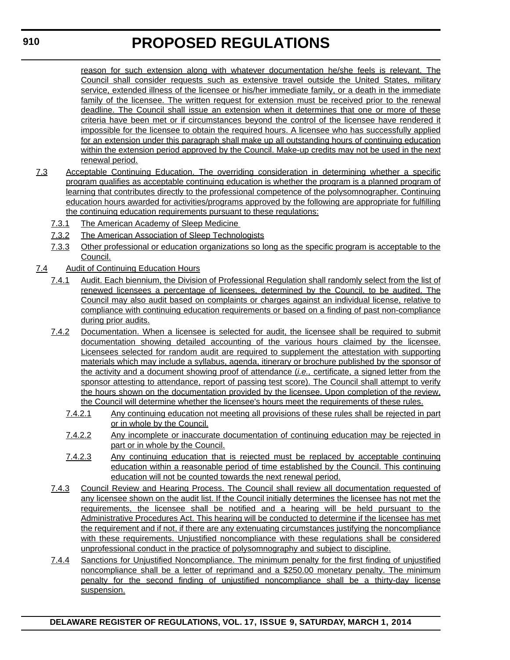reason for such extension along with whatever documentation he/she feels is relevant. The Council shall consider requests such as extensive travel outside the United States, military service, extended illness of the licensee or his/her immediate family, or a death in the immediate family of the licensee. The written request for extension must be received prior to the renewal deadline. The Council shall issue an extension when it determines that one or more of these criteria have been met or if circumstances beyond the control of the licensee have rendered it impossible for the licensee to obtain the required hours. A licensee who has successfully applied for an extension under this paragraph shall make up all outstanding hours of continuing education within the extension period approved by the Council. Make-up credits may not be used in the next renewal period.

- 7.3 Acceptable Continuing Education. The overriding consideration in determining whether a specific program qualifies as acceptable continuing education is whether the program is a planned program of learning that contributes directly to the professional competence of the polysomnographer. Continuing education hours awarded for activities/programs approved by the following are appropriate for fulfilling the continuing education requirements pursuant to these regulations:
	- 7.3.1 The American Academy of Sleep Medicine
	- 7.3.2 The American Association of Sleep Technologists
	- 7.3.3 Other professional or education organizations so long as the specific program is acceptable to the Council.
- 7.4 Audit of Continuing Education Hours
	- 7.4.1 Audit. Each biennium, the Division of Professional Regulation shall randomly select from the list of renewed licensees a percentage of licensees, determined by the Council, to be audited. The Council may also audit based on complaints or charges against an individual license, relative to compliance with continuing education requirements or based on a finding of past non-compliance during prior audits.
	- 7.4.2 Documentation. When a licensee is selected for audit, the licensee shall be required to submit documentation showing detailed accounting of the various hours claimed by the licensee. Licensees selected for random audit are required to supplement the attestation with supporting materials which may include a syllabus, agenda, itinerary or brochure published by the sponsor of the activity and a document showing proof of attendance (*i.e.,* certificate, a signed letter from the sponsor attesting to attendance, report of passing test score). The Council shall attempt to verify the hours shown on the documentation provided by the licensee. Upon completion of the review, the Council will determine whether the licensee's hours meet the requirements of these rules.
		- 7.4.2.1 Any continuing education not meeting all provisions of these rules shall be rejected in part or in whole by the Council.
		- 7.4.2.2 Any incomplete or inaccurate documentation of continuing education may be rejected in part or in whole by the Council.
		- 7.4.2.3 Any continuing education that is rejected must be replaced by acceptable continuing education within a reasonable period of time established by the Council. This continuing education will not be counted towards the next renewal period.
	- 7.4.3 Council Review and Hearing Process. The Council shall review all documentation requested of any licensee shown on the audit list. If the Council initially determines the licensee has not met the requirements, the licensee shall be notified and a hearing will be held pursuant to the Administrative Procedures Act. This hearing will be conducted to determine if the licensee has met the requirement and if not, if there are any extenuating circumstances justifying the noncompliance with these requirements. Unjustified noncompliance with these regulations shall be considered unprofessional conduct in the practice of polysomnography and subject to discipline.
	- 7.4.4 Sanctions for Unjustified Noncompliance. The minimum penalty for the first finding of unjustified noncompliance shall be a letter of reprimand and a \$250.00 monetary penalty. The minimum penalty for the second finding of unjustified noncompliance shall be a thirty-day license suspension.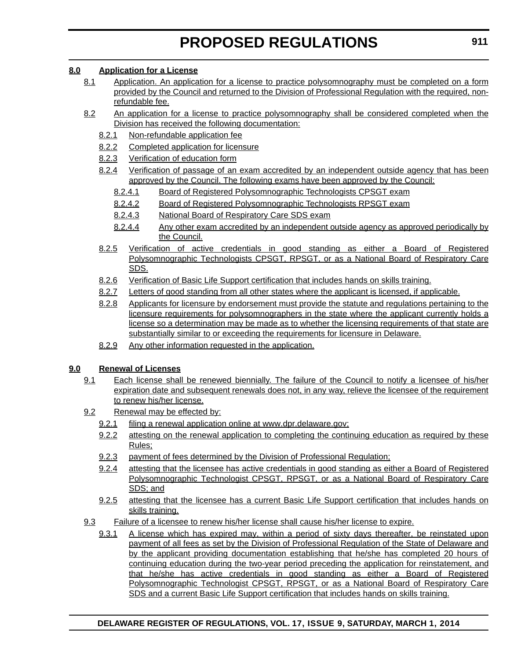#### **8.0 Application for a License**

- 8.1 Application. An application for a license to practice polysomnography must be completed on a form provided by the Council and returned to the Division of Professional Regulation with the required, nonrefundable fee.
- 8.2 An application for a license to practice polysomnography shall be considered completed when the Division has received the following documentation:
	- 8.2.1 Non-refundable application fee
	- 8.2.2 Completed application for licensure
	- 8.2.3 Verification of education form
	- 8.2.4 Verification of passage of an exam accredited by an independent outside agency that has been approved by the Council. The following exams have been approved by the Council:
		- 8.2.4.1 Board of Registered Polysomnographic Technologists CPSGT exam
		- 8.2.4.2 Board of Registered Polysomnographic Technologists RPSGT exam
		- 8.2.4.3 National Board of Respiratory Care SDS exam
		- 8.2.4.4 Any other exam accredited by an independent outside agency as approved periodically by the Council.
	- 8.2.5 Verification of active credentials in good standing as either a Board of Registered Polysomnographic Technologists CPSGT, RPSGT, or as a National Board of Respiratory Care SDS.
	- 8.2.6 Verification of Basic Life Support certification that includes hands on skills training.
	- 8.2.7 Letters of good standing from all other states where the applicant is licensed, if applicable.
	- 8.2.8 Applicants for licensure by endorsement must provide the statute and regulations pertaining to the licensure requirements for polysomnographers in the state where the applicant currently holds a license so a determination may be made as to whether the licensing requirements of that state are substantially similar to or exceeding the requirements for licensure in Delaware.
	- 8.2.9 Any other information requested in the application.

#### **9.0 Renewal of Licenses**

- 9.1 Each license shall be renewed biennially. The failure of the Council to notify a licensee of his/her expiration date and subsequent renewals does not, in any way, relieve the licensee of the requirement to renew his/her license.
- 9.2 Renewal may be effected by:
	- 9.2.1 filing a renewal application online at www.dpr.delaware.gov;
	- 9.2.2 attesting on the renewal application to completing the continuing education as required by these Rules;
	- 9.2.3 payment of fees determined by the Division of Professional Regulation;
	- 9.2.4 attesting that the licensee has active credentials in good standing as either a Board of Registered Polysomnographic Technologist CPSGT, RPSGT, or as a National Board of Respiratory Care SDS; and
	- 9.2.5 attesting that the licensee has a current Basic Life Support certification that includes hands on skills training.
- 9.3 Failure of a licensee to renew his/her license shall cause his/her license to expire.
	- 9.3.1 A license which has expired may, within a period of sixty days thereafter, be reinstated upon payment of all fees as set by the Division of Professional Regulation of the State of Delaware and by the applicant providing documentation establishing that he/she has completed 20 hours of continuing education during the two-year period preceding the application for reinstatement, and that he/she has active credentials in good standing as either a Board of Registered Polysomnographic Technologist CPSGT, RPSGT, or as a National Board of Respiratory Care SDS and a current Basic Life Support certification that includes hands on skills training.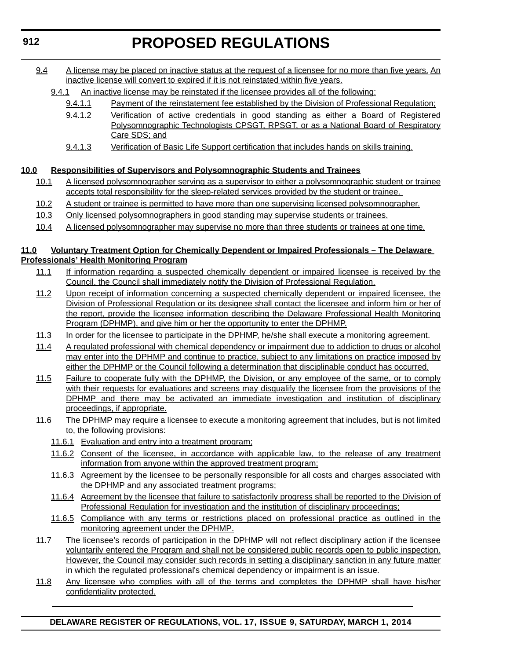- 9.4 A license may be placed on inactive status at the request of a licensee for no more than five years. An inactive license will convert to expired if it is not reinstated within five years.
	- 9.4.1 An inactive license may be reinstated if the licensee provides all of the following:
		- 9.4.1.1 Payment of the reinstatement fee established by the Division of Professional Regulation;
		- 9.4.1.2 Verification of active credentials in good standing as either a Board of Registered Polysomnographic Technologists CPSGT, RPSGT, or as a National Board of Respiratory Care SDS; and
		- 9.4.1.3 Verification of Basic Life Support certification that includes hands on skills training.

#### **10.0 Responsibilities of Supervisors and Polysomnographic Students and Trainees**

- 10.1 A licensed polysomnographer serving as a supervisor to either a polysomnographic student or trainee accepts total responsibility for the sleep-related services provided by the student or trainee.
- 10.2 A student or trainee is permitted to have more than one supervising licensed polysomnographer.
- 10.3 Only licensed polysomnographers in good standing may supervise students or trainees.
- 10.4 A licensed polysomnographer may supervise no more than three students or trainees at one time.

#### **11.0 Voluntary Treatment Option for Chemically Dependent or Impaired Professionals – The Delaware Professionals' Health Monitoring Program**

- 11.1 If information regarding a suspected chemically dependent or impaired licensee is received by the Council, the Council shall immediately notify the Division of Professional Regulation.
- 11.2 Upon receipt of information concerning a suspected chemically dependent or impaired licensee, the Division of Professional Regulation or its designee shall contact the licensee and inform him or her of the report, provide the licensee information describing the Delaware Professional Health Monitoring Program (DPHMP), and give him or her the opportunity to enter the DPHMP.
- 11.3 In order for the licensee to participate in the DPHMP, he/she shall execute a monitoring agreement.
- 11.4 A regulated professional with chemical dependency or impairment due to addiction to drugs or alcohol may enter into the DPHMP and continue to practice, subject to any limitations on practice imposed by either the DPHMP or the Council following a determination that disciplinable conduct has occurred.
- 11.5 Failure to cooperate fully with the DPHMP, the Division, or any employee of the same, or to comply with their requests for evaluations and screens may disqualify the licensee from the provisions of the DPHMP and there may be activated an immediate investigation and institution of disciplinary proceedings, if appropriate.
- 11.6 The DPHMP may require a licensee to execute a monitoring agreement that includes, but is not limited to, the following provisions:
	- 11.6.1 Evaluation and entry into a treatment program;
	- 11.6.2 Consent of the licensee, in accordance with applicable law, to the release of any treatment information from anyone within the approved treatment program;
	- 11.6.3 Agreement by the licensee to be personally responsible for all costs and charges associated with the DPHMP and any associated treatment programs;
	- 11.6.4 Agreement by the licensee that failure to satisfactorily progress shall be reported to the Division of Professional Regulation for investigation and the institution of disciplinary proceedings;
	- 11.6.5 Compliance with any terms or restrictions placed on professional practice as outlined in the monitoring agreement under the DPHMP.
- 11.7 The licensee's records of participation in the DPHMP will not reflect disciplinary action if the licensee voluntarily entered the Program and shall not be considered public records open to public inspection. However, the Council may consider such records in setting a disciplinary sanction in any future matter in which the regulated professional's chemical dependency or impairment is an issue.
- 11.8 Any licensee who complies with all of the terms and completes the DPHMP shall have his/her confidentiality protected.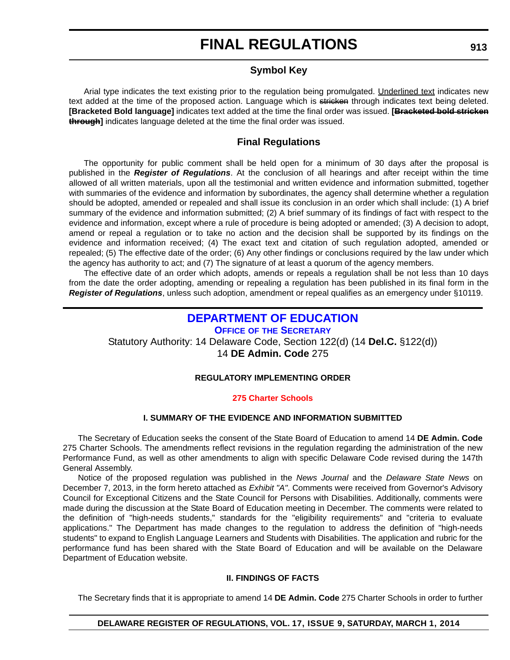#### **Symbol Key**

<span id="page-43-0"></span>Arial type indicates the text existing prior to the regulation being promulgated. Underlined text indicates new text added at the time of the proposed action. Language which is stricken through indicates text being deleted. **[Bracketed Bold language]** indicates text added at the time the final order was issued. **[Bracketed bold stricken through]** indicates language deleted at the time the final order was issued.

#### **Final Regulations**

The opportunity for public comment shall be held open for a minimum of 30 days after the proposal is published in the *Register of Regulations*. At the conclusion of all hearings and after receipt within the time allowed of all written materials, upon all the testimonial and written evidence and information submitted, together with summaries of the evidence and information by subordinates, the agency shall determine whether a regulation should be adopted, amended or repealed and shall issue its conclusion in an order which shall include: (1) A brief summary of the evidence and information submitted; (2) A brief summary of its findings of fact with respect to the evidence and information, except where a rule of procedure is being adopted or amended; (3) A decision to adopt, amend or repeal a regulation or to take no action and the decision shall be supported by its findings on the evidence and information received; (4) The exact text and citation of such regulation adopted, amended or repealed; (5) The effective date of the order; (6) Any other findings or conclusions required by the law under which the agency has authority to act; and (7) The signature of at least a quorum of the agency members.

The effective date of an order which adopts, amends or repeals a regulation shall be not less than 10 days from the date the order adopting, amending or repealing a regulation has been published in its final form in the *Register of Regulations*, unless such adoption, amendment or repeal qualifies as an emergency under §10119.

#### **[DEPARTMENT OF EDUCATION](http://www.doe.k12.de.us/) OFFICE OF THE SECRETARY**

Statutory Authority: 14 Delaware Code, Section 122(d) (14 **Del.C.** §122(d)) 14 **DE Admin. Code** 275

#### **REGULATORY IMPLEMENTING ORDER**

#### **[275 Charter Schools](#page-3-0)**

#### **I. SUMMARY OF THE EVIDENCE AND INFORMATION SUBMITTED**

The Secretary of Education seeks the consent of the State Board of Education to amend 14 **DE Admin. Code**  275 Charter Schools. The amendments reflect revisions in the regulation regarding the administration of the new Performance Fund, as well as other amendments to align with specific Delaware Code revised during the 147th General Assembly.

Notice of the proposed regulation was published in the *News Journal* and the *Delaware State News* on December 7, 2013, in the form hereto attached as *Exhibit "A"*. Comments were received from Governor's Advisory Council for Exceptional Citizens and the State Council for Persons with Disabilities. Additionally, comments were made during the discussion at the State Board of Education meeting in December. The comments were related to the definition of "high-needs students," standards for the "eligibility requirements" and "criteria to evaluate applications." The Department has made changes to the regulation to address the definition of "high-needs students" to expand to English Language Learners and Students with Disabilities. The application and rubric for the performance fund has been shared with the State Board of Education and will be available on the Delaware Department of Education website.

#### **II. FINDINGS OF FACTS**

The Secretary finds that it is appropriate to amend 14 **DE Admin. Code** 275 Charter Schools in order to further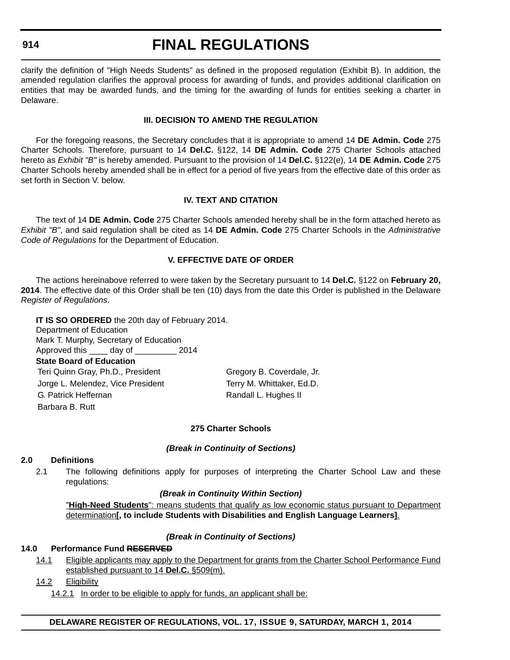#### **914**

### **FINAL REGULATIONS**

clarify the definition of "High Needs Students" as defined in the proposed regulation (Exhibit B). In addition, the amended regulation clarifies the approval process for awarding of funds, and provides additional clarification on entities that may be awarded funds, and the timing for the awarding of funds for entities seeking a charter in Delaware.

#### **III. DECISION TO AMEND THE REGULATION**

For the foregoing reasons, the Secretary concludes that it is appropriate to amend 14 **DE Admin. Code** 275 Charter Schools. Therefore, pursuant to 14 **Del.C.** §122, 14 **DE Admin. Code** 275 Charter Schools attached hereto as *Exhibit "B"* is hereby amended. Pursuant to the provision of 14 **Del.C.** §122(e), 14 **DE Admin. Code** 275 Charter Schools hereby amended shall be in effect for a period of five years from the effective date of this order as set forth in Section V. below.

#### **IV. TEXT AND CITATION**

The text of 14 **DE Admin. Code** 275 Charter Schools amended hereby shall be in the form attached hereto as *Exhibit "B"*, and said regulation shall be cited as 14 **DE Admin. Code** 275 Charter Schools in the *Administrative Code of Regulations* for the Department of Education.

#### **V. EFFECTIVE DATE OF ORDER**

The actions hereinabove referred to were taken by the Secretary pursuant to 14 **Del.C.** §122 on **February 20, 2014**. The effective date of this Order shall be ten (10) days from the date this Order is published in the Delaware *Register of Regulations*.

**IT IS SO ORDERED** the 20th day of February 2014. Department of Education Mark T. Murphy, Secretary of Education Approved this \_\_\_\_ day of \_\_\_\_\_\_\_\_\_ 2014 **State Board of Education** Teri Quinn Gray, Ph.D., President Gregory B. Coverdale, Jr. Jorge L. Melendez, Vice President Terry M. Whittaker, Ed.D. G. Patrick Heffernan Randall L. Hughes II Barbara B. Rutt

#### **275 Charter Schools**

#### *(Break in Continuity of Sections)*

#### **2.0 Definitions**

2.1 The following definitions apply for purposes of interpreting the Charter School Law and these regulations:

#### *(Break in Continuity Within Section)*

"**High-Need Students**": means students that qualify as low economic status pursuant to Department determination**[, to include Students with Disabilities and English Language Learners]**.

#### *(Break in Continuity of Sections)*

#### **14.0 Performance Fund RESERVED**

14.1 Eligible applicants may apply to the Department for grants from the Charter School Performance Fund established pursuant to 14 **Del.C.** §509(m).

#### 14.2 Eligibility

14.2.1 In order to be eligible to apply for funds, an applicant shall be: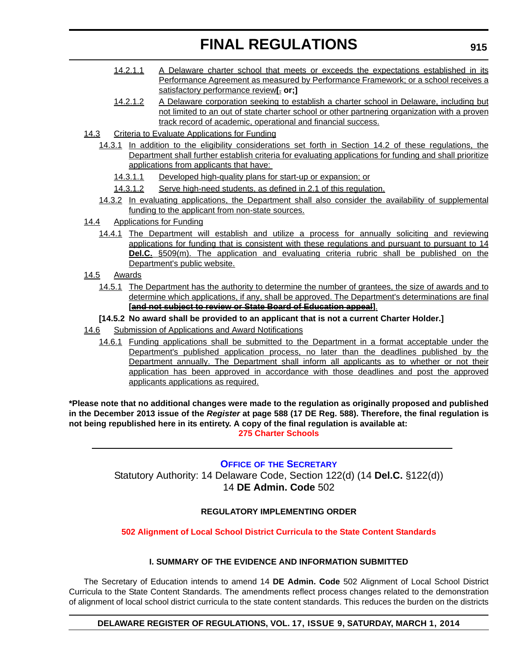- 14.2.1.1 A Delaware charter school that meets or exceeds the expectations established in its Performance Agreement as measured by Performance Framework; or a school receives a satisfactory performance review**[**. **or;]**
- 14.2.1.2 A Delaware corporation seeking to establish a charter school in Delaware, including but not limited to an out of state charter school or other partnering organization with a proven track record of academic, operational and financial success.
- 14.3 Criteria to Evaluate Applications for Funding
	- 14.3.1 In addition to the eligibility considerations set forth in Section 14.2 of these regulations, the Department shall further establish criteria for evaluating applications for funding and shall prioritize applications from applicants that have:
		- 14.3.1.1 Developed high-quality plans for start-up or expansion; or
		- 14.3.1.2 Serve high-need students, as defined in 2.1 of this regulation.
	- 14.3.2 In evaluating applications, the Department shall also consider the availability of supplemental funding to the applicant from non-state sources.
- 14.4 Applications for Funding
	- 14.4.1 The Department will establish and utilize a process for annually soliciting and reviewing applications for funding that is consistent with these regulations and pursuant to pursuant to 14 **Del.C.** §509(m). The application and evaluating criteria rubric shall be published on the Department's public website.
- 14.5 Awards
	- 14.5.1 The Department has the authority to determine the number of grantees, the size of awards and to determine which applications, if any, shall be approved. The Department's determinations are final **[and not subject to review or State Board of Education appeal]**.
	- **[14.5.2 No award shall be provided to an applicant that is not a current Charter Holder.]**
- 14.6 Submission of Applications and Award Notifications
	- 14.6.1 Funding applications shall be submitted to the Department in a format acceptable under the Department's published application process, no later than the deadlines published by the Department annually. The Department shall inform all applicants as to whether or not their application has been approved in accordance with those deadlines and post the approved applicants applications as required.

**\*Please note that no additional changes were made to the regulation as originally proposed and published in the December 2013 issue of the** *Register* **at page 588 (17 DE Reg. 588). Therefore, the final regulation is not being republished here in its entirety. A copy of the final regulation is available at: [275 Charter Schools](http://regulations.delaware.gov/register/march2014/final/17 DE Reg 913 03-01-14.htm)**

**OFFICE OF [THE SECRETARY](http://www.doe.k12.de.us/)**

Statutory Authority: 14 Delaware Code, Section 122(d) (14 **Del.C.** §122(d)) 14 **DE Admin. Code** 502

#### **REGULATORY IMPLEMENTING ORDER**

#### **[502 Alignment of Local School District Curricula to the State Content Standards](#page-3-0)**

#### **I. SUMMARY OF THE EVIDENCE AND INFORMATION SUBMITTED**

The Secretary of Education intends to amend 14 **DE Admin. Code** 502 Alignment of Local School District Curricula to the State Content Standards. The amendments reflect process changes related to the demonstration of alignment of local school district curricula to the state content standards. This reduces the burden on the districts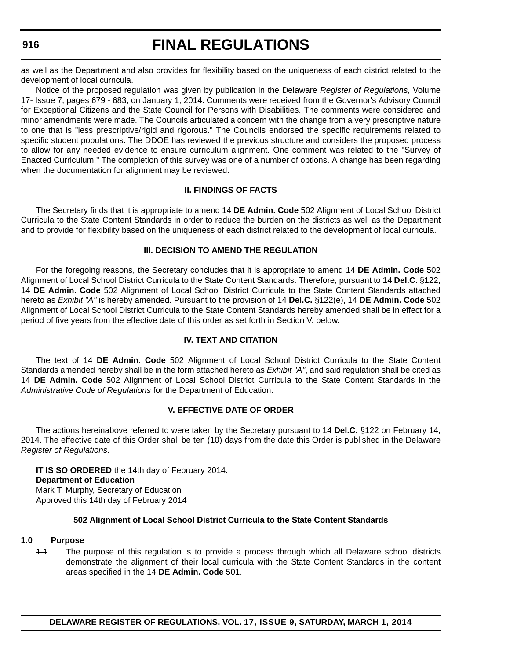#### <span id="page-46-0"></span>**916**

### **FINAL REGULATIONS**

as well as the Department and also provides for flexibility based on the uniqueness of each district related to the development of local curricula.

Notice of the proposed regulation was given by publication in the Delaware *Register of Regulations*, Volume 17- Issue 7, pages 679 - 683, on January 1, 2014. Comments were received from the Governor's Advisory Council for Exceptional Citizens and the State Council for Persons with Disabilities. The comments were considered and minor amendments were made. The Councils articulated a concern with the change from a very prescriptive nature to one that is "less prescriptive/rigid and rigorous." The Councils endorsed the specific requirements related to specific student populations. The DDOE has reviewed the previous structure and considers the proposed process to allow for any needed evidence to ensure curriculum alignment. One comment was related to the "Survey of Enacted Curriculum." The completion of this survey was one of a number of options. A change has been regarding when the documentation for alignment may be reviewed.

#### **II. FINDINGS OF FACTS**

The Secretary finds that it is appropriate to amend 14 **DE Admin. Code** 502 Alignment of Local School District Curricula to the State Content Standards in order to reduce the burden on the districts as well as the Department and to provide for flexibility based on the uniqueness of each district related to the development of local curricula.

#### **III. DECISION TO AMEND THE REGULATION**

For the foregoing reasons, the Secretary concludes that it is appropriate to amend 14 **DE Admin. Code** 502 Alignment of Local School District Curricula to the State Content Standards. Therefore, pursuant to 14 **Del.C.** §122, 14 **DE Admin. Code** 502 Alignment of Local School District Curricula to the State Content Standards attached hereto as *Exhibit "A"* is hereby amended. Pursuant to the provision of 14 **Del.C.** §122(e), 14 **DE Admin. Code** 502 Alignment of Local School District Curricula to the State Content Standards hereby amended shall be in effect for a period of five years from the effective date of this order as set forth in Section V. below.

#### **IV. TEXT AND CITATION**

The text of 14 **DE Admin. Code** 502 Alignment of Local School District Curricula to the State Content Standards amended hereby shall be in the form attached hereto as *Exhibit "A"*, and said regulation shall be cited as 14 **DE Admin. Code** 502 Alignment of Local School District Curricula to the State Content Standards in the *Administrative Code of Regulations* for the Department of Education.

#### **V. EFFECTIVE DATE OF ORDER**

The actions hereinabove referred to were taken by the Secretary pursuant to 14 **Del.C.** §122 on February 14, 2014. The effective date of this Order shall be ten (10) days from the date this Order is published in the Delaware *Register of Regulations*.

**IT IS SO ORDERED** the 14th day of February 2014. **Department of Education** Mark T. Murphy, Secretary of Education Approved this 14th day of February 2014

#### **502 Alignment of Local School District Curricula to the State Content Standards**

#### **1.0 Purpose**

1.1 The purpose of this regulation is to provide a process through which all Delaware school districts demonstrate the alignment of their local curricula with the State Content Standards in the content areas specified in the 14 **DE Admin. Code** 501.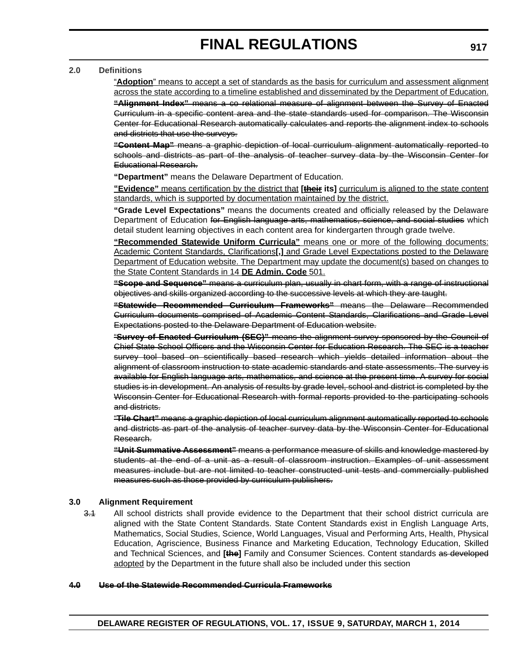#### **2.0 Definitions**

"**Adoption**" means to accept a set of standards as the basis for curriculum and assessment alignment across the state according to a timeline established and disseminated by the Department of Education. **"Alignment Index"** means a co relational measure of alignment between the Survey of Enacted Curriculum in a specific content area and the state standards used for comparison. The Wisconsin Center for Educational Research automatically calculates and reports the alignment index to schools and districts that use the surveys.

**"Content Map"** means a graphic depiction of local curriculum alignment automatically reported to schools and districts as part of the analysis of teacher survey data by the Wisconsin Center for Educational Research.

**"Department"** means the Delaware Department of Education.

**"Evidence"** means certification by the district that **[their its]** curriculum is aligned to the state content standards, which is supported by documentation maintained by the district.

**"Grade Level Expectations"** means the documents created and officially released by the Delaware Department of Education for English language arts, mathematics, science, and social studies which detail student learning objectives in each content area for kindergarten through grade twelve.

**"Recommended Statewide Uniform Curricula"** means one or more of the following documents: Academic Content Standards, Clarifications**[,]** and Grade Level Expectations posted to the Delaware Department of Education website. The Department may update the document(s) based on changes to the State Content Standards in 14 **DE Admin. Code** 501.

**"Scope and Sequence"** means a curriculum plan, usually in chart form, with a range of instructional objectives and skills organized according to the successive levels at which they are taught.

**"Statewide Recommended Curriculum Frameworks"** means the Delaware Recommended Curriculum documents comprised of Academic Content Standards, Clarifications and Grade Level Expectations posted to the Delaware Department of Education website.

"**Survey of Enacted Curriculum (SEC)"** means the alignment survey sponsored by the Council of Chief State School Officers and the Wisconsin Center for Education Research. The SEC is a teacher survey tool based on scientifically based research which yields detailed information about the alignment of classroom instruction to state academic standards and state assessments. The survey is available for English language arts, mathematics, and science at the present time. A survey for social studies is in development. An analysis of results by grade level, school and district is completed by the Wisconsin Center for Educational Research with formal reports provided to the participating schools and districts.

"**Tile Chart"** means a graphic depiction of local curriculum alignment automatically reported to schools and districts as part of the analysis of teacher survey data by the Wisconsin Center for Educational Research.

**"Unit Summative Assessment"** means a performance measure of skills and knowledge mastered by students at the end of a unit as a result of classroom instruction. Examples of unit assessment measures include but are not limited to teacher constructed unit tests and commercially published measures such as those provided by curriculum publishers.

#### **3.0 Alignment Requirement**

3.1 All school districts shall provide evidence to the Department that their school district curricula are aligned with the State Content Standards. State Content Standards exist in English Language Arts, Mathematics, Social Studies, Science, World Languages, Visual and Performing Arts, Health, Physical Education, Agriscience, Business Finance and Marketing Education, Technology Education, Skilled and Technical Sciences, and **[the]** Family and Consumer Sciences. Content standards as developed adopted by the Department in the future shall also be included under this section

#### **4.0 Use of the Statewide Recommended Curricula Frameworks**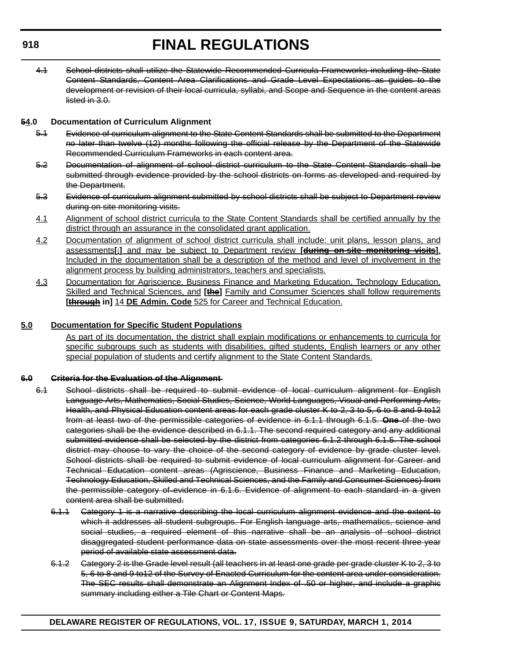4.1 School districts shall utilize the Statewide Recommended Curricula Frameworks including the State Content Standards, Content Area Clarifications and Grade Level Expectations as guides to the development or revision of their local curricula, syllabi, and Scope and Sequence in the content areas listed in 3.0.

#### **54.0 Documentation of Curriculum Alignment**

- 5.1 Evidence of curriculum alignment to the State Content Standards shall be submitted to the Department no later than twelve (12) months following the official release by the Department of the Statewide Recommended Curriculum Frameworks in each content area.
- 5.2 Documentation of alignment of school district curriculum to the State Content Standards shall be submitted through evidence provided by the school districts on forms as developed and required by the Department.
- 5.3 Evidence of curriculum alignment submitted by school districts shall be subject to Department review during on site monitoring visits.
- 4.1 Alignment of school district curricula to the State Content Standards shall be certified annually by the district through an assurance in the consolidated grant application.
- 4.2 Documentation of alignment of school district curricula shall include: unit plans, lesson plans, and assessments**[**;**]** and may be subject to Department review **[during on-site monitoring visits]**. Included in the documentation shall be a description of the method and level of involvement in the alignment process by building administrators, teachers and specialists.
- 4.3 Documentation for Agriscience, Business Finance and Marketing Education, Technology Education, Skilled and Technical Sciences, and **[the]** Family and Consumer Sciences shall follow requirements **[through in]** 14 **DE Admin. Code** 525 for Career and Technical Education.

#### **5.0 Documentation for Specific Student Populations**

As part of its documentation, the district shall explain modifications or enhancements to curricula for specific subgroups such as students with disabilities, gifted students, English learners or any other special population of students and certify alignment to the State Content Standards.

#### **6.0 Criteria for the Evaluation of the Alignment**

- 6.1 School districts shall be required to submit evidence of local curriculum alignment for English Language Arts, Mathematics, Social Studies, Science, World Languages, Visual and Performing Arts, Health, and Physical Education content areas for each grade cluster K to 2, 3 to 5, 6 to 8 and 9 to12 from at least two of the permissible categories of evidence in 6.1.1 through 6.1.5. **One** of the two categories shall be the evidence described in 6.1.1. The second required category and any additional submitted evidence shall be selected by the district from categories 6.1.2 through 6.1.5. The school district may choose to vary the choice of the second category of evidence by grade cluster level. School districts shall be required to submit evidence of local curriculum alignment for Career and Technical Education content areas (Agriscience, Business Finance and Marketing Education, Technology Education, Skilled and Technical Sciences, and the Family and Consumer Sciences) from the permissible category of evidence in 6.1.6. Evidence of alignment to each standard in a given content area shall be submitted.
	- 6.1.1 Category 1 is a narrative describing the local curriculum alignment evidence and the extent to which it addresses all student subgroups. For English language arts, mathematics, science and social studies, a required element of this narrative shall be an analysis of school district disaggregated student performance data on state assessments over the most recent three year period of available state assessment data.
	- 6.1.2 Category 2 is the Grade level result (all teachers in at least one grade per grade cluster K to 2, 3 to 5, 6 to 8 and 9 to12 of the Survey of Enacted Curriculum for the content area under consideration. The SEC results shall demonstrate an Alignment Index of .50 or higher, and include a graphic summary including either a Tile Chart or Content Maps.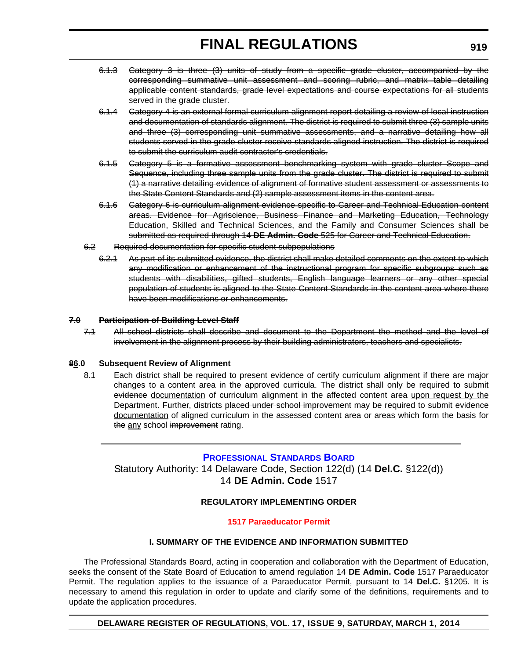- <span id="page-49-0"></span>6.1.3 Category 3 is three (3) units of study from a specific grade cluster, accompanied by the corresponding summative unit assessment and scoring rubric, and matrix table detailing applicable content standards, grade level expectations and course expectations for all students served in the grade cluster.
- 6.1.4 Category 4 is an external formal curriculum alignment report detailing a review of local instruction and documentation of standards alignment. The district is required to submit three (3) sample units and three (3) corresponding unit summative assessments, and a narrative detailing how all students served in the grade cluster receive standards aligned instruction. The district is required to submit the curriculum audit contractor's credentials.
- 6.1.5 Category 5 is a formative assessment benchmarking system with grade cluster Scope and Sequence, including three sample units from the grade cluster. The district is required to submit (1) a narrative detailing evidence of alignment of formative student assessment or assessments to the State Content Standards and (2) sample assessment items in the content area.
- 6.1.6 Category 6 is curriculum alignment evidence specific to Career and Technical Education content areas. Evidence for Agriscience, Business Finance and Marketing Education, Technology Education, Skilled and Technical Sciences, and the Family and Consumer Sciences shall be submitted as required through 14 **DE Admin. Code** 525 for Career and Technical Education.
- 6.2 Required documentation for specific student subpopulations
	- 6.2.1 As part of its submitted evidence, the district shall make detailed comments on the extent to which any modification or enhancement of the instructional program for specific subgroups such as students with disabilities, gifted students, English language learners or any other special population of students is aligned to the State Content Standards in the content area where there have been modifications or enhancements.

#### **7.0 Participation of Building Level Staff**

7.1 All school districts shall describe and document to the Department the method and the level of involvement in the alignment process by their building administrators, teachers and specialists.

#### **86.0 Subsequent Review of Alignment**

8.1 Each district shall be required to present evidence of certify curriculum alignment if there are major changes to a content area in the approved curricula. The district shall only be required to submit evidence documentation of curriculum alignment in the affected content area upon request by the Department. Further, districts placed under school improvement may be required to submit evidence documentation of aligned curriculum in the assessed content area or areas which form the basis for the any school improvement rating.

#### **[PROFESSIONAL STANDARDS BOARD](http://www.doe.k12.de.us/)**

Statutory Authority: 14 Delaware Code, Section 122(d) (14 **Del.C.** §122(d)) 14 **DE Admin. Code** 1517

#### **REGULATORY IMPLEMENTING ORDER**

#### **[1517 Paraeducator Permit](#page-3-0)**

#### **I. SUMMARY OF THE EVIDENCE AND INFORMATION SUBMITTED**

The Professional Standards Board, acting in cooperation and collaboration with the Department of Education, seeks the consent of the State Board of Education to amend regulation 14 **DE Admin. Code** 1517 Paraeducator Permit. The regulation applies to the issuance of a Paraeducator Permit, pursuant to 14 **Del.C.** §1205. It is necessary to amend this regulation in order to update and clarify some of the definitions, requirements and to update the application procedures.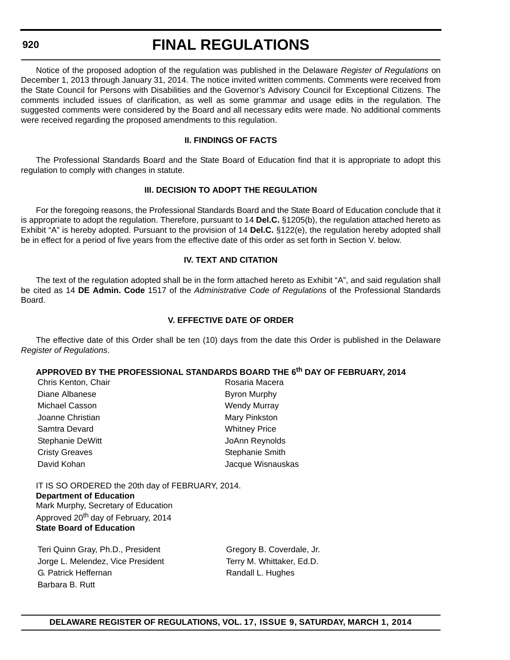#### **920**

### **FINAL REGULATIONS**

Notice of the proposed adoption of the regulation was published in the Delaware *Register of Regulations* on December 1, 2013 through January 31, 2014. The notice invited written comments. Comments were received from the State Council for Persons with Disabilities and the Governor's Advisory Council for Exceptional Citizens. The comments included issues of clarification, as well as some grammar and usage edits in the regulation. The suggested comments were considered by the Board and all necessary edits were made. No additional comments were received regarding the proposed amendments to this regulation.

#### **II. FINDINGS OF FACTS**

The Professional Standards Board and the State Board of Education find that it is appropriate to adopt this regulation to comply with changes in statute.

#### **III. DECISION TO ADOPT THE REGULATION**

For the foregoing reasons, the Professional Standards Board and the State Board of Education conclude that it is appropriate to adopt the regulation. Therefore, pursuant to 14 **Del.C.** §1205(b), the regulation attached hereto as Exhibit "A" is hereby adopted. Pursuant to the provision of 14 **Del.C.** §122(e), the regulation hereby adopted shall be in effect for a period of five years from the effective date of this order as set forth in Section V. below.

#### **IV. TEXT AND CITATION**

The text of the regulation adopted shall be in the form attached hereto as Exhibit "A", and said regulation shall be cited as 14 **DE Admin. Code** 1517 of the *Administrative Code of Regulations* of the Professional Standards Board.

#### **V. EFFECTIVE DATE OF ORDER**

The effective date of this Order shall be ten (10) days from the date this Order is published in the Delaware *Register of Regulations*.

#### **APPROVED BY THE PROFESSIONAL STANDARDS BOARD THE 6th DAY OF FEBRUARY, 2014**

| Chris Kenton, Chair   | Rosaria Macera       |
|-----------------------|----------------------|
| Diane Albanese        | <b>Byron Murphy</b>  |
| Michael Casson        | <b>Wendy Murray</b>  |
| Joanne Christian      | Mary Pinkston        |
| Samtra Devard         | <b>Whitney Price</b> |
| Stephanie DeWitt      | JoAnn Reynolds       |
| <b>Cristy Greaves</b> | Stephanie Smith      |
| David Kohan           | Jacque Wisnauskas    |

IT IS SO ORDERED the 20th day of FEBRUARY, 2014. **Department of Education** Mark Murphy, Secretary of Education Approved 20<sup>th</sup> day of February, 2014 **State Board of Education**

Teri Quinn Gray, Ph.D., President Gregory B. Coverdale, Jr. Jorge L. Melendez, Vice President Terry M. Whittaker, Ed.D. G. Patrick Heffernan **Randall L. Hughes** Barbara B. Rutt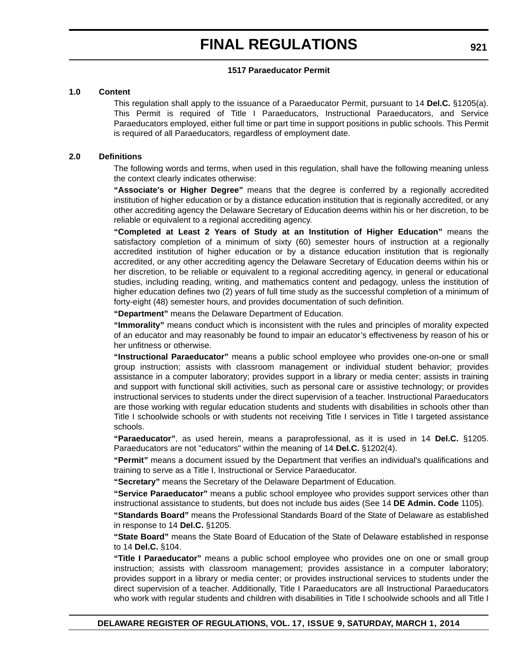#### **1517 Paraeducator Permit**

#### **1.0 Content**

This regulation shall apply to the issuance of a Paraeducator Permit, pursuant to 14 **Del.C.** §1205(a). This Permit is required of Title I Paraeducators, Instructional Paraeducators, and Service Paraeducators employed, either full time or part time in support positions in public schools. This Permit is required of all Paraeducators, regardless of employment date.

#### **2.0 Definitions**

The following words and terms, when used in this regulation, shall have the following meaning unless the context clearly indicates otherwise:

**"Associate's or Higher Degree"** means that the degree is conferred by a regionally accredited institution of higher education or by a distance education institution that is regionally accredited, or any other accrediting agency the Delaware Secretary of Education deems within his or her discretion, to be reliable or equivalent to a regional accrediting agency.

**"Completed at Least 2 Years of Study at an Institution of Higher Education"** means the satisfactory completion of a minimum of sixty (60) semester hours of instruction at a regionally accredited institution of higher education or by a distance education institution that is regionally accredited, or any other accrediting agency the Delaware Secretary of Education deems within his or her discretion, to be reliable or equivalent to a regional accrediting agency, in general or educational studies, including reading, writing, and mathematics content and pedagogy, unless the institution of higher education defines two (2) years of full time study as the successful completion of a minimum of forty-eight (48) semester hours, and provides documentation of such definition.

**"Department"** means the Delaware Department of Education.

**"Immorality"** means conduct which is inconsistent with the rules and principles of morality expected of an educator and may reasonably be found to impair an educator's effectiveness by reason of his or her unfitness or otherwise.

**"Instructional Paraeducator"** means a public school employee who provides one-on-one or small group instruction; assists with classroom management or individual student behavior; provides assistance in a computer laboratory; provides support in a library or media center; assists in training and support with functional skill activities, such as personal care or assistive technology; or provides instructional services to students under the direct supervision of a teacher. Instructional Paraeducators are those working with regular education students and students with disabilities in schools other than Title I schoolwide schools or with students not receiving Title I services in Title I targeted assistance schools.

**"Paraeducator"**, as used herein, means a paraprofessional, as it is used in 14 **Del.C.** §1205. Paraeducators are not "educators" within the meaning of 14 **Del.C.** §1202(4).

**"Permit"** means a document issued by the Department that verifies an individual's qualifications and training to serve as a Title I, Instructional or Service Paraeducator.

**"Secretary"** means the Secretary of the Delaware Department of Education.

**"Service Paraeducator"** means a public school employee who provides support services other than instructional assistance to students, but does not include bus aides (See 14 **DE Admin. Code** 1105).

**"Standards Board"** means the Professional Standards Board of the State of Delaware as established in response to 14 **Del.C.** §1205.

**"State Board"** means the State Board of Education of the State of Delaware established in response to 14 **Del.C.** §104.

**"Title I Paraeducator"** means a public school employee who provides one on one or small group instruction; assists with classroom management; provides assistance in a computer laboratory; provides support in a library or media center; or provides instructional services to students under the direct supervision of a teacher. Additionally, Title I Paraeducators are all Instructional Paraeducators who work with regular students and children with disabilities in Title I schoolwide schools and all Title I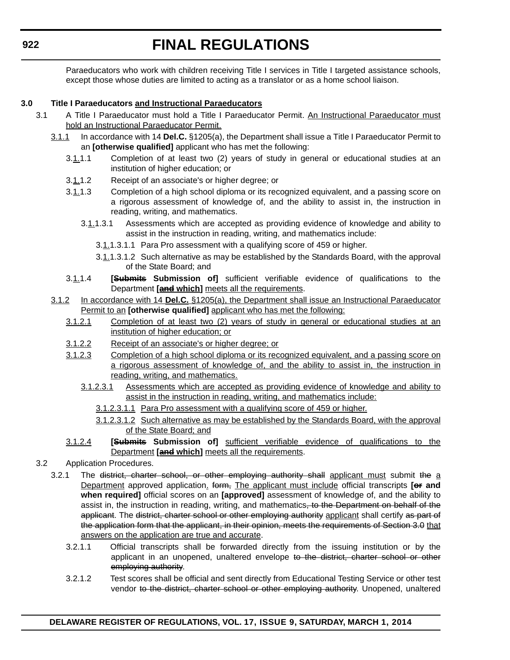Paraeducators who work with children receiving Title I services in Title I targeted assistance schools, except those whose duties are limited to acting as a translator or as a home school liaison.

#### **3.0 Title I Paraeducators and Instructional Paraeducators**

- 3.1 A Title I Paraeducator must hold a Title I Paraeducator Permit. An Instructional Paraeducator must hold an Instructional Paraeducator Permit.
	- 3.1.1 In accordance with 14 **Del.C.** §1205(a), the Department shall issue a Title I Paraeducator Permit to an **[otherwise qualified]** applicant who has met the following:
		- 3.1.1.1 Completion of at least two (2) years of study in general or educational studies at an institution of higher education; or
		- 3.1.1.2 Receipt of an associate's or higher degree; or
		- 3.1.1.3 Completion of a high school diploma or its recognized equivalent, and a passing score on a rigorous assessment of knowledge of, and the ability to assist in, the instruction in reading, writing, and mathematics.
			- 3.1.1.3.1 Assessments which are accepted as providing evidence of knowledge and ability to assist in the instruction in reading, writing, and mathematics include:
				- 3.1.1.3.1.1 Para Pro assessment with a qualifying score of 459 or higher.
				- 3.1.1.3.1.2 Such alternative as may be established by the Standards Board, with the approval of the State Board; and
		- 3.1.1.4 **[Submits Submission of]** sufficient verifiable evidence of qualifications to the Department **[and which]** meets all the requirements.
	- 3.1.2 In accordance with 14 **Del.C.** §1205(a), the Department shall issue an Instructional Paraeducator Permit to an **[otherwise qualified]** applicant who has met the following:
		- 3.1.2.1 Completion of at least two (2) years of study in general or educational studies at an institution of higher education; or
		- 3.1.2.2 Receipt of an associate's or higher degree; or
		- 3.1.2.3 Completion of a high school diploma or its recognized equivalent, and a passing score on a rigorous assessment of knowledge of, and the ability to assist in, the instruction in reading, writing, and mathematics.
			- 3.1.2.3.1 Assessments which are accepted as providing evidence of knowledge and ability to assist in the instruction in reading, writing, and mathematics include:
				- 3.1.2.3.1.1 Para Pro assessment with a qualifying score of 459 or higher.
				- 3.1.2.3.1.2 Such alternative as may be established by the Standards Board, with the approval of the State Board; and
		- 3.1.2.4 **[Submits Submission of]** sufficient verifiable evidence of qualifications to the Department **[and which]** meets all the requirements.
- 3.2 Application Procedures.
	- 3.2.1 The district, charter school, or other employing authority shall applicant must submit the a Department approved application. form, The applicant must include official transcripts [or and **when required]** official scores on an **[approved]** assessment of knowledge of, and the ability to assist in, the instruction in reading, writing, and mathematics, to the Department on behalf of the applicant. The district, charter school or other employing authority applicant shall certify as part of the application form that the applicant, in their opinion, meets the requirements of Section 3.0 that answers on the application are true and accurate.
		- 3.2.1.1 Official transcripts shall be forwarded directly from the issuing institution or by the applicant in an unopened, unaltered envelope to the district, charter school or other employing authority.
		- 3.2.1.2 Test scores shall be official and sent directly from Educational Testing Service or other test vendor to the district, charter school or other employing authority. Unopened, unaltered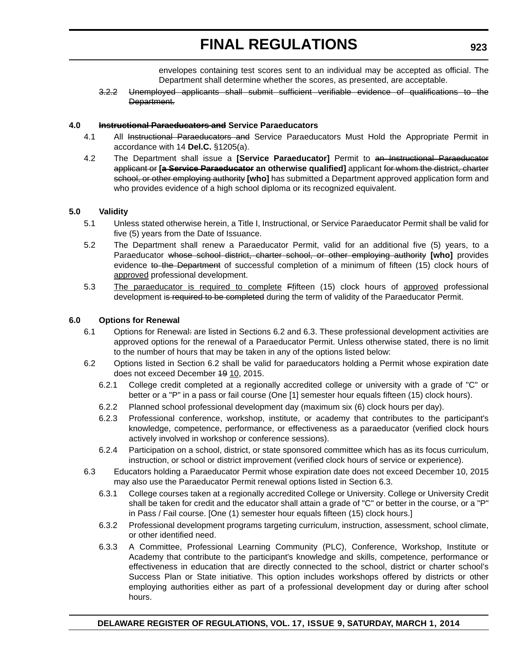envelopes containing test scores sent to an individual may be accepted as official. The Department shall determine whether the scores, as presented, are acceptable.

3.2.2 Unemployed applicants shall submit sufficient verifiable evidence of qualifications to the Department.

#### **4.0 Instructional Paraeducators and Service Paraeducators**

- 4.1 All Instructional Paraeducators and Service Paraeducators Must Hold the Appropriate Permit in accordance with 14 **Del.C.** §1205(a).
- 4.2 The Department shall issue a **[Service Paraeducator]** Permit to an Instructional Paraeducator applicant or **[a Service Paraeducator an otherwise qualified]** applicant for whom the district, charter school, or other employing authority **[who]** has submitted a Department approved application form and who provides evidence of a high school diploma or its recognized equivalent.

#### **5.0 Validity**

- 5.1 Unless stated otherwise herein, a Title I, Instructional, or Service Paraeducator Permit shall be valid for five (5) years from the Date of Issuance.
- 5.2 The Department shall renew a Paraeducator Permit, valid for an additional five (5) years, to a Paraeducator whose school district, charter school, or other employing authority **[who]** provides evidence to the Department of successful completion of a minimum of fifteen (15) clock hours of approved professional development.
- 5.3 The paraeducator is required to complete Ffifteen (15) clock hours of approved professional development is required to be completed during the term of validity of the Paraeducator Permit.

#### **6.0 Options for Renewal**

- 6.1 Options for Renewal: are listed in Sections 6.2 and 6.3. These professional development activities are approved options for the renewal of a Paraeducator Permit. Unless otherwise stated, there is no limit to the number of hours that may be taken in any of the options listed below:
- 6.2 Options listed in Section 6.2 shall be valid for paraeducators holding a Permit whose expiration date does not exceed December 19 10, 2015.
	- 6.2.1 College credit completed at a regionally accredited college or university with a grade of "C" or better or a "P" in a pass or fail course (One [1] semester hour equals fifteen (15) clock hours).
	- 6.2.2 Planned school professional development day (maximum six (6) clock hours per day).
	- 6.2.3 Professional conference, workshop, institute, or academy that contributes to the participant's knowledge, competence, performance, or effectiveness as a paraeducator (verified clock hours actively involved in workshop or conference sessions).
	- 6.2.4 Participation on a school, district, or state sponsored committee which has as its focus curriculum, instruction, or school or district improvement (verified clock hours of service or experience).
- 6.3 Educators holding a Paraeducator Permit whose expiration date does not exceed December 10, 2015 may also use the Paraeducator Permit renewal options listed in Section 6.3.
	- 6.3.1 College courses taken at a regionally accredited College or University. College or University Credit shall be taken for credit and the educator shall attain a grade of "C" or better in the course, or a "P" in Pass / Fail course. [One (1) semester hour equals fifteen (15) clock hours.]
	- 6.3.2 Professional development programs targeting curriculum, instruction, assessment, school climate, or other identified need.
	- 6.3.3 A Committee, Professional Learning Community (PLC), Conference, Workshop, Institute or Academy that contribute to the participant's knowledge and skills, competence, performance or effectiveness in education that are directly connected to the school, district or charter school's Success Plan or State initiative. This option includes workshops offered by districts or other employing authorities either as part of a professional development day or during after school hours.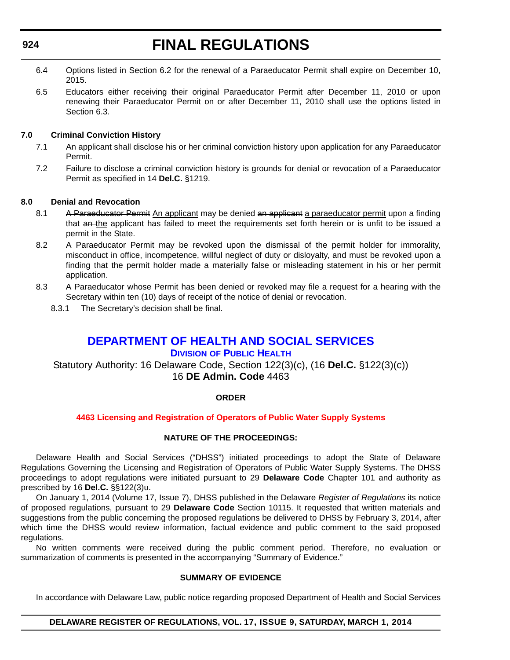- <span id="page-54-0"></span>6.4 Options listed in Section 6.2 for the renewal of a Paraeducator Permit shall expire on December 10, 2015.
- 6.5 Educators either receiving their original Paraeducator Permit after December 11, 2010 or upon renewing their Paraeducator Permit on or after December 11, 2010 shall use the options listed in Section 6.3.

#### **7.0 Criminal Conviction History**

- 7.1 An applicant shall disclose his or her criminal conviction history upon application for any Paraeducator Permit.
- 7.2 Failure to disclose a criminal conviction history is grounds for denial or revocation of a Paraeducator Permit as specified in 14 **Del.C.** §1219.

#### **8.0 Denial and Revocation**

- 8.1 A Paraeducator Permit An applicant may be denied an applicant a paraeducator permit upon a finding that an the applicant has failed to meet the requirements set forth herein or is unfit to be issued a permit in the State.
- 8.2 A Paraeducator Permit may be revoked upon the dismissal of the permit holder for immorality, misconduct in office, incompetence, willful neglect of duty or disloyalty, and must be revoked upon a finding that the permit holder made a materially false or misleading statement in his or her permit application.
- 8.3 A Paraeducator whose Permit has been denied or revoked may file a request for a hearing with the Secretary within ten (10) days of receipt of the notice of denial or revocation.
	- 8.3.1 The Secretary's decision shall be final.

### **[DEPARTMENT OF HEALTH AND SOCIAL SERVICES](http://www.dhss.delaware.gov/dhss/dph/index.html)**

#### **DIVISION OF PUBLIC HEALTH**

Statutory Authority: 16 Delaware Code, Section 122(3)(c), (16 **Del.C.** §122(3)(c)) 16 **DE Admin. Code** 4463

#### **ORDER**

#### **[4463 Licensing and Registration of Operators of Public Water Supply Systems](#page-3-0)**

#### **NATURE OF THE PROCEEDINGS:**

Delaware Health and Social Services ("DHSS") initiated proceedings to adopt the State of Delaware Regulations Governing the Licensing and Registration of Operators of Public Water Supply Systems. The DHSS proceedings to adopt regulations were initiated pursuant to 29 **Delaware Code** Chapter 101 and authority as prescribed by 16 **Del.C.** §§122(3)u.

On January 1, 2014 (Volume 17, Issue 7), DHSS published in the Delaware *Register of Regulations* its notice of proposed regulations, pursuant to 29 **Delaware Code** Section 10115. It requested that written materials and suggestions from the public concerning the proposed regulations be delivered to DHSS by February 3, 2014, after which time the DHSS would review information, factual evidence and public comment to the said proposed regulations.

No written comments were received during the public comment period. Therefore, no evaluation or summarization of comments is presented in the accompanying "Summary of Evidence."

#### **SUMMARY OF EVIDENCE**

In accordance with Delaware Law, public notice regarding proposed Department of Health and Social Services

#### **DELAWARE REGISTER OF REGULATIONS, VOL. 17, ISSUE 9, SATURDAY, MARCH 1, 2014**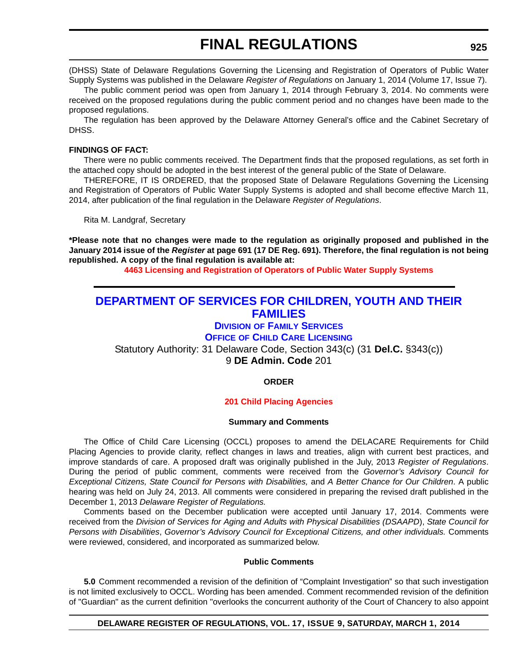<span id="page-55-0"></span>(DHSS) State of Delaware Regulations Governing the Licensing and Registration of Operators of Public Water Supply Systems was published in the Delaware *Register of Regulations* on January 1, 2014 (Volume 17, Issue 7).

The public comment period was open from January 1, 2014 through February 3, 2014. No comments were received on the proposed regulations during the public comment period and no changes have been made to the proposed regulations.

The regulation has been approved by the Delaware Attorney General's office and the Cabinet Secretary of DHSS.

#### **FINDINGS OF FACT:**

There were no public comments received. The Department finds that the proposed regulations, as set forth in the attached copy should be adopted in the best interest of the general public of the State of Delaware.

THEREFORE, IT IS ORDERED, that the proposed State of Delaware Regulations Governing the Licensing and Registration of Operators of Public Water Supply Systems is adopted and shall become effective March 11, 2014, after publication of the final regulation in the Delaware *Register of Regulations*.

Rita M. Landgraf, Secretary

**\*Please note that no changes were made to the regulation as originally proposed and published in the January 2014 issue of the** *Register* **at page 691 (17 DE Reg. 691). Therefore, the final regulation is not being republished. A copy of the final regulation is available at:**

**[4463 Licensing and Registration of Operators of Public Water Supply Systems](http://regulations.delaware.gov/register/march2014/final/17 DE Reg 924 03-01-14.htm)**

### **[DEPARTMENT OF SERVICES FOR CHILDREN, YOUTH AND THEIR](http://kids.delaware.gov/)  FAMILIES**

#### **DIVISION OF FAMILY SERVICES**

#### **OFFICE OF CHILD CARE LICENSING**

Statutory Authority: 31 Delaware Code, Section 343(c) (31 **Del.C.** §343(c)) 9 **DE Admin. Code** 201

#### **ORDER**

#### **[201 Child Placing Agencies](#page-3-0)**

#### **Summary and Comments**

The Office of Child Care Licensing (OCCL) proposes to amend the DELACARE Requirements for Child Placing Agencies to provide clarity, reflect changes in laws and treaties, align with current best practices, and improve standards of care. A proposed draft was originally published in the July, 2013 *Register of Regulations*. During the period of public comment, comments were received from the *Governor's Advisory Council for Exceptional Citizens, State Council for Persons with Disabilities, and A Better Chance for Our Children. A public* hearing was held on July 24, 2013. All comments were considered in preparing the revised draft published in the December 1, 2013 *Delaware Register of Regulations.*

Comments based on the December publication were accepted until January 17, 2014. Comments were received from the *Division of Services for Aging and Adults with Physical Disabilities (DSAAPD*), *State Council for Persons with Disabilities*, *Governor's Advisory Council for Exceptional Citizens, and other individuals.* Comments were reviewed, considered, and incorporated as summarized below.

#### **Public Comments**

**5.0** Comment recommended a revision of the definition of "Complaint Investigation" so that such investigation is not limited exclusively to OCCL. Wording has been amended. Comment recommended revision of the definition of "Guardian" as the current definition "overlooks the concurrent authority of the Court of Chancery to also appoint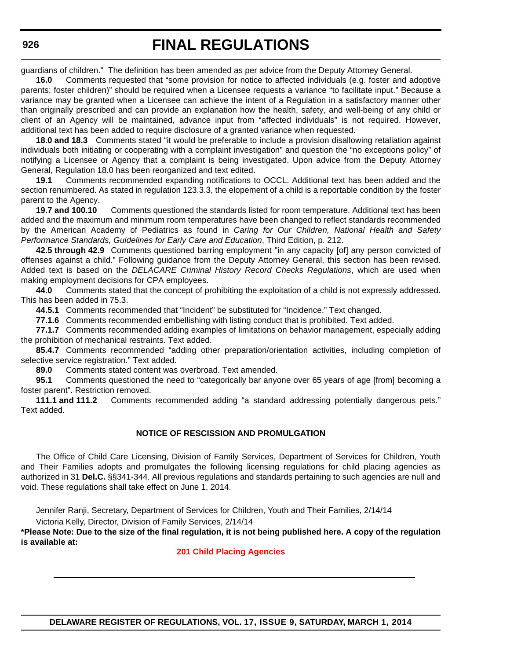guardians of children." The definition has been amended as per advice from the Deputy Attorney General.

**16.0** Comments requested that "some provision for notice to affected individuals (e.g. foster and adoptive parents; foster children)" should be required when a Licensee requests a variance "to facilitate input." Because a variance may be granted when a Licensee can achieve the intent of a Regulation in a satisfactory manner other than originally prescribed and can provide an explanation how the health, safety, and well-being of any child or client of an Agency will be maintained, advance input from "affected individuals" is not required. However, additional text has been added to require disclosure of a granted variance when requested.

**18.0 and 18.3** Comments stated "it would be preferable to include a provision disallowing retaliation against individuals both initiating or cooperating with a complaint investigation" and question the "no exceptions policy" of notifying a Licensee or Agency that a complaint is being investigated. Upon advice from the Deputy Attorney General, Regulation 18.0 has been reorganized and text edited.

**19.1** Comments recommended expanding notifications to OCCL. Additional text has been added and the section renumbered. As stated in regulation 123.3.3, the elopement of a child is a reportable condition by the foster parent to the Agency.

**19.7 and 100.10** Comments questioned the standards listed for room temperature. Additional text has been added and the maximum and minimum room temperatures have been changed to reflect standards recommended by the American Academy of Pediatrics as found in *Caring for Our Children, National Health and Safety Performance Standards, Guidelines for Early Care and Education*, Third Edition, p. 212.

**42.5 through 42.9** Comments questioned barring employment "in any capacity [of] any person convicted of offenses against a child." Following guidance from the Deputy Attorney General, this section has been revised. Added text is based on the *DELACARE Criminal History Record Checks Regulations*, which are used when making employment decisions for CPA employees.

**44.0** Comments stated that the concept of prohibiting the exploitation of a child is not expressly addressed. This has been added in 75.3.

**44.5.1** Comments recommended that "Incident" be substituted for "Incidence." Text changed.

**77.1.6** Comments recommended embellishing with listing conduct that is prohibited. Text added.

**77.1.7** Comments recommended adding examples of limitations on behavior management, especially adding the prohibition of mechanical restraints. Text added.

**85.4.7** Comments recommended "adding other preparation/orientation activities, including completion of selective service registration." Text added.

**89.0** Comments stated content was overbroad. Text amended.

**95.1** Comments questioned the need to "categorically bar anyone over 65 years of age [from] becoming a foster parent". Restriction removed.

**111.1 and 111.2** Comments recommended adding "a standard addressing potentially dangerous pets." Text added.

#### **NOTICE OF RESCISSION AND PROMULGATION**

The Office of Child Care Licensing, Division of Family Services, Department of Services for Children, Youth and Their Families adopts and promulgates the following licensing regulations for child placing agencies as authorized in 31 **Del.C.** §§341-344. All previous regulations and standards pertaining to such agencies are null and void. These regulations shall take effect on June 1, 2014.

Jennifer Ranji, Secretary, Department of Services for Children, Youth and Their Families, 2/14/14

Victoria Kelly, Director, Division of Family Services, 2/14/14

**\*Please Note: Due to the size of the final regulation, it is not being published here. A copy of the regulation is available at:**

#### **[201 Child Placing Agencies](http://regulations.delaware.gov/register/march2014/final/17%20DE%20Reg%20925%2003-01-14.htm)**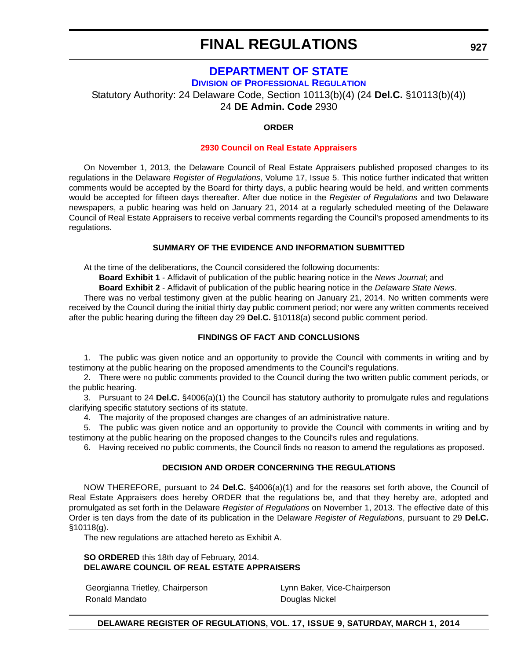### **[DEPARTMENT OF STATE](http://dpr.delaware.gov/)**

**DIVISION OF PROFESSIONAL REGULATION**

<span id="page-57-0"></span>Statutory Authority: 24 Delaware Code, Section 10113(b)(4) (24 **Del.C.** §10113(b)(4))

24 **DE Admin. Code** 2930

#### **ORDER**

#### **[2930 Council on Real Estate Appraisers](#page-3-0)**

On November 1, 2013, the Delaware Council of Real Estate Appraisers published proposed changes to its regulations in the Delaware *Register of Regulations*, Volume 17, Issue 5. This notice further indicated that written comments would be accepted by the Board for thirty days, a public hearing would be held, and written comments would be accepted for fifteen days thereafter. After due notice in the *Register of Regulations* and two Delaware newspapers, a public hearing was held on January 21, 2014 at a regularly scheduled meeting of the Delaware Council of Real Estate Appraisers to receive verbal comments regarding the Council's proposed amendments to its regulations.

#### **SUMMARY OF THE EVIDENCE AND INFORMATION SUBMITTED**

At the time of the deliberations, the Council considered the following documents:

**Board Exhibit 1** - Affidavit of publication of the public hearing notice in the *News Journal*; and

**Board Exhibit 2** - Affidavit of publication of the public hearing notice in the *Delaware State News*.

There was no verbal testimony given at the public hearing on January 21, 2014. No written comments were received by the Council during the initial thirty day public comment period; nor were any written comments received after the public hearing during the fifteen day 29 **Del.C.** §10118(a) second public comment period.

#### **FINDINGS OF FACT AND CONCLUSIONS**

1. The public was given notice and an opportunity to provide the Council with comments in writing and by testimony at the public hearing on the proposed amendments to the Council's regulations.

2. There were no public comments provided to the Council during the two written public comment periods, or the public hearing.

3. Pursuant to 24 **Del.C.** §4006(a)(1) the Council has statutory authority to promulgate rules and regulations clarifying specific statutory sections of its statute.

4. The majority of the proposed changes are changes of an administrative nature.

5. The public was given notice and an opportunity to provide the Council with comments in writing and by testimony at the public hearing on the proposed changes to the Council's rules and regulations.

6. Having received no public comments, the Council finds no reason to amend the regulations as proposed.

#### **DECISION AND ORDER CONCERNING THE REGULATIONS**

NOW THEREFORE, pursuant to 24 **Del.C.** §4006(a)(1) and for the reasons set forth above, the Council of Real Estate Appraisers does hereby ORDER that the regulations be, and that they hereby are, adopted and promulgated as set forth in the Delaware *Register of Regulations* on November 1, 2013. The effective date of this Order is ten days from the date of its publication in the Delaware *Register of Regulations*, pursuant to 29 **Del.C.**  §10118(g).

The new regulations are attached hereto as Exhibit A.

**SO ORDERED** this 18th day of February, 2014. **DELAWARE COUNCIL OF REAL ESTATE APPRAISERS**

Georgianna Trietley, Chairperson **Lynn Baker**, Vice-Chairperson Ronald Mandato **Douglas Nickel** 

#### **DELAWARE REGISTER OF REGULATIONS, VOL. 17, ISSUE 9, SATURDAY, MARCH 1, 2014**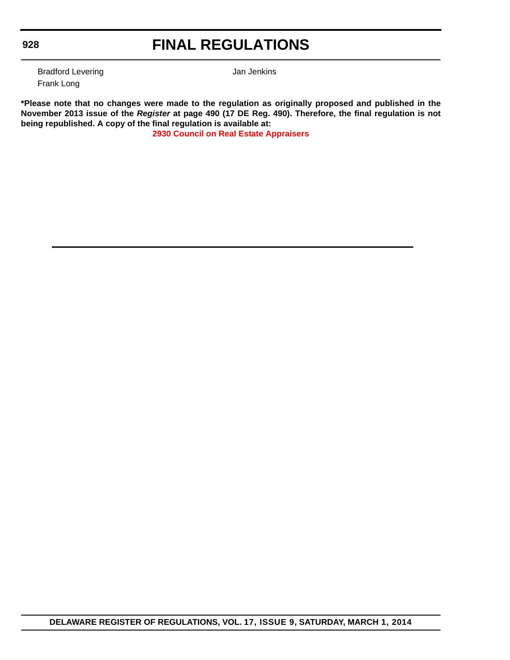#### **928**

### **FINAL REGULATIONS**

Bradford Levering **Bradford Levering Jan Jenkins** Frank Long

**\*Please note that no changes were made to the regulation as originally proposed and published in the November 2013 issue of the** *Register* **at page 490 (17 DE Reg. 490). Therefore, the final regulation is not being republished. A copy of the final regulation is available at:**

**[2930 Council on Real Estate Appraisers](http://regulations.delaware.gov/register/march2014/final/17 DE Reg 927 03-01-14.htm)**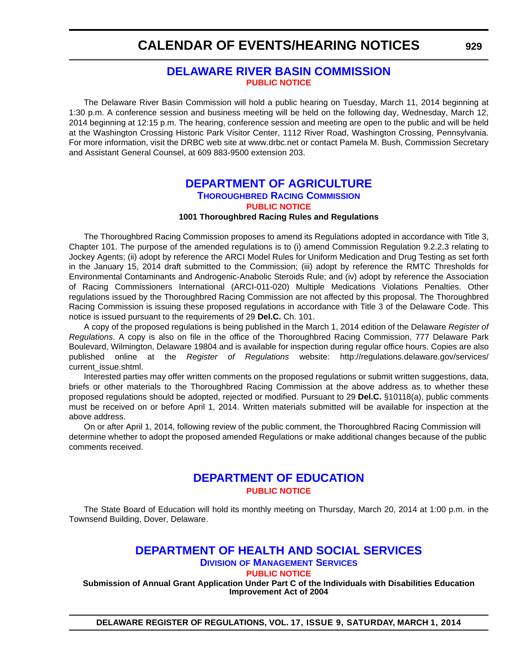#### **[DELAWARE RIVER BASIN COMMISSION](http://www.state.nj.us/drbc/) [PUBLIC NOTICE](#page-4-0)**

<span id="page-59-0"></span>The Delaware River Basin Commission will hold a public hearing on Tuesday, March 11, 2014 beginning at 1:30 p.m. A conference session and business meeting will be held on the following day, Wednesday, March 12, 2014 beginning at 12:15 p.m. The hearing, conference session and meeting are open to the public and will be held at the Washington Crossing Historic Park Visitor Center, 1112 River Road, Washington Crossing, Pennsylvania. For more information, visit the DRBC web site at www.drbc.net or contact Pamela M. Bush, Commission Secretary and Assistant General Counsel, at 609 883-9500 extension 203.

#### **[DEPARTMENT OF AGRICULTURE](http://dda.delaware.gov/thoroughbred/) THOROUGHBRED RACING COMMISSION [PUBLIC NOTICE](#page-4-0)**

#### **1001 Thoroughbred Racing Rules and Regulations**

The Thoroughbred Racing Commission proposes to amend its Regulations adopted in accordance with Title 3, Chapter 101. The purpose of the amended regulations is to (i) amend Commission Regulation 9.2.2.3 relating to Jockey Agents; (ii) adopt by reference the ARCI Model Rules for Uniform Medication and Drug Testing as set forth in the January 15, 2014 draft submitted to the Commission; (iii) adopt by reference the RMTC Thresholds for Environmental Contaminants and Androgenic-Anabolic Steroids Rule; and (iv) adopt by reference the Association of Racing Commissioners International (ARCI-011-020) Multiple Medications Violations Penalties. Other regulations issued by the Thoroughbred Racing Commission are not affected by this proposal. The Thoroughbred Racing Commission is issuing these proposed regulations in accordance with Title 3 of the Delaware Code. This notice is issued pursuant to the requirements of 29 **Del.C.** Ch. 101.

A copy of the proposed regulations is being published in the March 1, 2014 edition of the Delaware *Register of Regulations*. A copy is also on file in the office of the Thoroughbred Racing Commission, 777 Delaware Park Boulevard, Wilmington, Delaware 19804 and is available for inspection during regular office hours. Copies are also published online at the *Register of Regulations* website: http://regulations.delaware.gov/services/ current\_issue.shtml.

Interested parties may offer written comments on the proposed regulations or submit written suggestions, data, briefs or other materials to the Thoroughbred Racing Commission at the above address as to whether these proposed regulations should be adopted, rejected or modified. Pursuant to 29 **Del.C.** §10118(a), public comments must be received on or before April 1, 2014. Written materials submitted will be available for inspection at the above address.

On or after April 1, 2014, following review of the public comment, the Thoroughbred Racing Commission will determine whether to adopt the proposed amended Regulations or make additional changes because of the public comments received.

#### **[DEPARTMENT OF EDUCATION](http://www.doe.k12.de.us/) [PUBLIC NOTICE](#page-4-0)**

The State Board of Education will hold its monthly meeting on Thursday, March 20, 2014 at 1:00 p.m. in the Townsend Building, Dover, Delaware.

#### **[DEPARTMENT OF HEALTH AND SOCIAL SERVICES](http://www.dhss.delaware.gov/dhss/dms/)**

**DIVISION OF MANAGEMENT SERVICES**

**[PUBLIC NOTICE](#page-4-0)**

**Submission of Annual Grant Application Under Part C of the Individuals with Disabilities Education Improvement Act of 2004**

**DELAWARE REGISTER OF REGULATIONS, VOL. 17, ISSUE 9, SATURDAY, MARCH 1, 2014**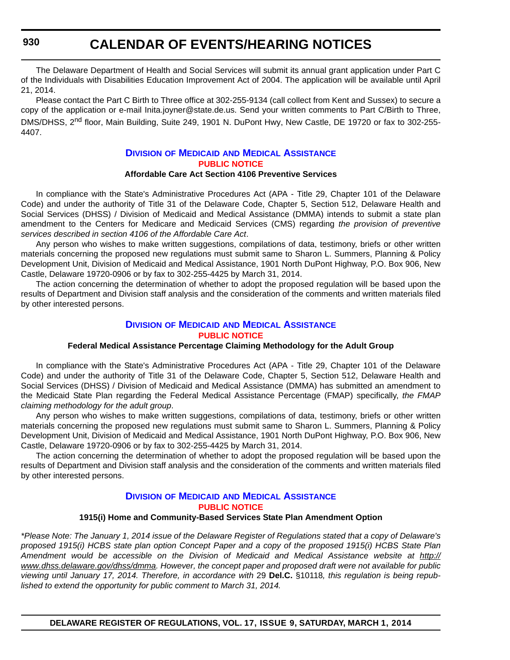<span id="page-60-0"></span>The Delaware Department of Health and Social Services will submit its annual grant application under Part C of the Individuals with Disabilities Education Improvement Act of 2004. The application will be available until April 21, 2014.

Please contact the Part C Birth to Three office at 302-255-9134 (call collect from Kent and Sussex) to secure a copy of the application or e-mail Inita.joyner@state.de.us. Send your written comments to Part C/Birth to Three, DMS/DHSS. 2<sup>nd</sup> floor. Main Building, Suite 249, 1901 N. DuPont Hwy, New Castle, DE 19720 or fax to 302-255-4407.

#### **DIVISION OF MEDICAID [AND MEDICAL ASSISTANCE](http://www.dhss.delaware.gov/dhss/dmma/) [PUBLIC NOTICE](#page-4-0) Affordable Care Act Section 4106 Preventive Services**

In compliance with the State's Administrative Procedures Act (APA - Title 29, Chapter 101 of the Delaware Code) and under the authority of Title 31 of the Delaware Code, Chapter 5, Section 512, Delaware Health and Social Services (DHSS) / Division of Medicaid and Medical Assistance (DMMA) intends to submit a state plan amendment to the Centers for Medicare and Medicaid Services (CMS) regarding *the provision of preventive services described in section 4106 of the Affordable Care Act*.

Any person who wishes to make written suggestions, compilations of data, testimony, briefs or other written materials concerning the proposed new regulations must submit same to Sharon L. Summers, Planning & Policy Development Unit, Division of Medicaid and Medical Assistance, 1901 North DuPont Highway, P.O. Box 906, New Castle, Delaware 19720-0906 or by fax to 302-255-4425 by March 31, 2014.

The action concerning the determination of whether to adopt the proposed regulation will be based upon the results of Department and Division staff analysis and the consideration of the comments and written materials filed by other interested persons.

#### **DIVISION OF MEDICAID [AND MEDICAL ASSISTANCE](http://www.dhss.delaware.gov/dhss/dmma/) [PUBLIC NOTICE](#page-4-0)**

#### **Federal Medical Assistance Percentage Claiming Methodology for the Adult Group**

In compliance with the State's Administrative Procedures Act (APA - Title 29, Chapter 101 of the Delaware Code) and under the authority of Title 31 of the Delaware Code, Chapter 5, Section 512, Delaware Health and Social Services (DHSS) / Division of Medicaid and Medical Assistance (DMMA) has submitted an amendment to the Medicaid State Plan regarding the Federal Medical Assistance Percentage (FMAP) specifically, *the FMAP claiming methodology for the adult group*.

Any person who wishes to make written suggestions, compilations of data, testimony, briefs or other written materials concerning the proposed new regulations must submit same to Sharon L. Summers, Planning & Policy Development Unit, Division of Medicaid and Medical Assistance, 1901 North DuPont Highway, P.O. Box 906, New Castle, Delaware 19720-0906 or by fax to 302-255-4425 by March 31, 2014.

The action concerning the determination of whether to adopt the proposed regulation will be based upon the results of Department and Division staff analysis and the consideration of the comments and written materials filed by other interested persons.

#### **DIVISION OF MEDICAID [AND MEDICAL ASSISTANCE](http://www.dhss.delaware.gov/dhss/dmma/) [PUBLIC NOTICE](#page-4-0)**

#### **1915(i) Home and Community-Based Services State Plan Amendment Option**

*\*Please Note: The January 1, 2014 issue of the Delaware Register of Regulations stated that a copy of Delaware's proposed 1915(i) HCBS state plan option Concept Paper and a copy of the proposed 1915(i) HCBS State Plan* Amendment would be accessible on the Division of Medicaid and Medical Assistance website at [http://](http://www.dhss.delaware.gov/dhss/dmma) *[www.dhss.delaware.gov/dhss/dmma](http://www.dhss.delaware.gov/dhss/dmma). However, the concept paper and proposed draft were not available for public viewing until January 17, 2014. Therefore, in accordance with* 29 **Del.C.** §10118*, this regulation is being republished to extend the opportunity for public comment to March 31, 2014.*

**DELAWARE REGISTER OF REGULATIONS, VOL. 17, ISSUE 9, SATURDAY, MARCH 1, 2014**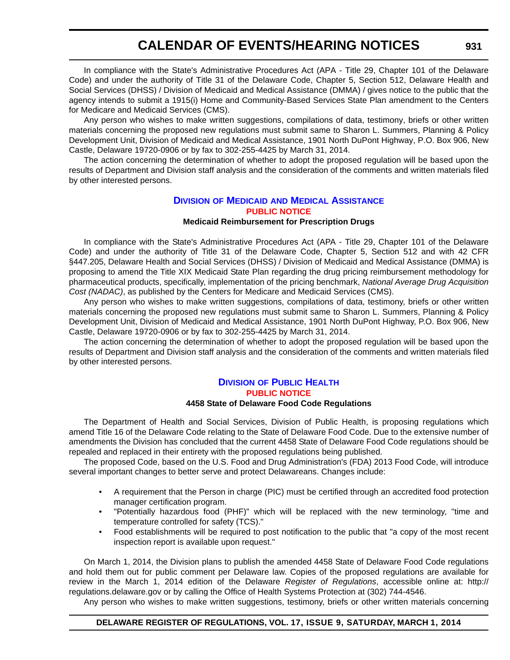In compliance with the State's Administrative Procedures Act (APA - Title 29, Chapter 101 of the Delaware Code) and under the authority of Title 31 of the Delaware Code, Chapter 5, Section 512, Delaware Health and Social Services (DHSS) / Division of Medicaid and Medical Assistance (DMMA) / gives notice to the public that the agency intends to submit a 1915(i) Home and Community-Based Services State Plan amendment to the Centers for Medicare and Medicaid Services (CMS).

Any person who wishes to make written suggestions, compilations of data, testimony, briefs or other written materials concerning the proposed new regulations must submit same to Sharon L. Summers, Planning & Policy Development Unit, Division of Medicaid and Medical Assistance, 1901 North DuPont Highway, P.O. Box 906, New Castle, Delaware 19720-0906 or by fax to 302-255-4425 by March 31, 2014.

The action concerning the determination of whether to adopt the proposed regulation will be based upon the results of Department and Division staff analysis and the consideration of the comments and written materials filed by other interested persons.

#### **DIVISION OF MEDICAID [AND MEDICAL ASSISTANCE](http://www.dhss.delaware.gov/dhss/dmma/) [PUBLIC NOTICE](#page-4-0)**

#### **Medicaid Reimbursement for Prescription Drugs**

In compliance with the State's Administrative Procedures Act (APA - Title 29, Chapter 101 of the Delaware Code) and under the authority of Title 31 of the Delaware Code, Chapter 5, Section 512 and with 42 CFR §447.205, Delaware Health and Social Services (DHSS) / Division of Medicaid and Medical Assistance (DMMA) is proposing to amend the Title XIX Medicaid State Plan regarding the drug pricing reimbursement methodology for pharmaceutical products, specifically, implementation of the pricing benchmark, *National Average Drug Acquisition Cost (NADAC)*, as published by the Centers for Medicare and Medicaid Services (CMS).

Any person who wishes to make written suggestions, compilations of data, testimony, briefs or other written materials concerning the proposed new regulations must submit same to Sharon L. Summers, Planning & Policy Development Unit, Division of Medicaid and Medical Assistance, 1901 North DuPont Highway, P.O. Box 906, New Castle, Delaware 19720-0906 or by fax to 302-255-4425 by March 31, 2014.

The action concerning the determination of whether to adopt the proposed regulation will be based upon the results of Department and Division staff analysis and the consideration of the comments and written materials filed by other interested persons.

#### **DIVISION [OF PUBLIC HEALTH](http://www.dhss.delaware.gov/dhss/dph/index.html) [PUBLIC NOTICE](#page-4-0) 4458 State of Delaware Food Code Regulations**

The Department of Health and Social Services, Division of Public Health, is proposing regulations which amend Title 16 of the Delaware Code relating to the State of Delaware Food Code. Due to the extensive number of amendments the Division has concluded that the current 4458 State of Delaware Food Code regulations should be repealed and replaced in their entirety with the proposed regulations being published.

The proposed Code, based on the U.S. Food and Drug Administration's (FDA) 2013 Food Code, will introduce several important changes to better serve and protect Delawareans. Changes include:

- A requirement that the Person in charge (PIC) must be certified through an accredited food protection manager certification program.
- "Potentially hazardous food (PHF)" which will be replaced with the new terminology, "time and temperature controlled for safety (TCS)."
- Food establishments will be required to post notification to the public that "a copy of the most recent inspection report is available upon request."

On March 1, 2014, the Division plans to publish the amended 4458 State of Delaware Food Code regulations and hold them out for public comment per Delaware law. Copies of the proposed regulations are available for review in the March 1, 2014 edition of the Delaware *Register of Regulations*, accessible online at: http:// regulations.delaware.gov or by calling the Office of Health Systems Protection at (302) 744-4546.

Any person who wishes to make written suggestions, testimony, briefs or other written materials concerning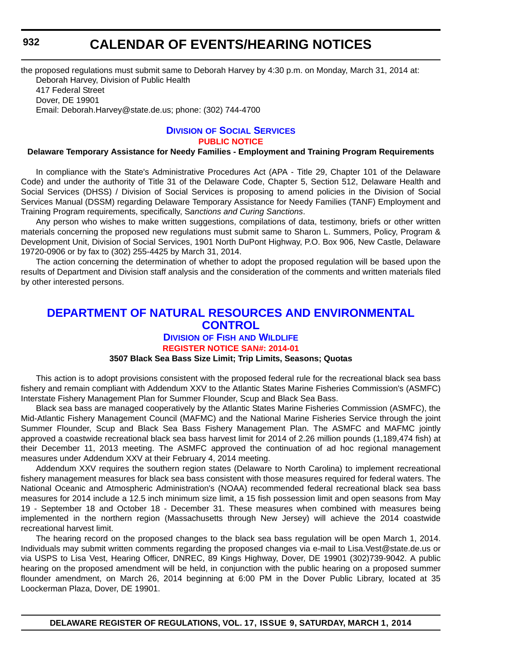<span id="page-62-0"></span>the proposed regulations must submit same to Deborah Harvey by 4:30 p.m. on Monday, March 31, 2014 at: Deborah Harvey, Division of Public Health 417 Federal Street Dover, DE 19901 Email: Deborah.Harvey@state.de.us; phone: (302) 744-4700

#### **DIVISION [OF SOCIAL SERVICES](http://www.dhss.delaware.gov/dhss/dss/) [PUBLIC NOTICE](#page-4-0)**

#### **Delaware Temporary Assistance for Needy Families - Employment and Training Program Requirements**

In compliance with the State's Administrative Procedures Act (APA - Title 29, Chapter 101 of the Delaware Code) and under the authority of Title 31 of the Delaware Code, Chapter 5, Section 512, Delaware Health and Social Services (DHSS) / Division of Social Services is proposing to amend policies in the Division of Social Services Manual (DSSM) regarding Delaware Temporary Assistance for Needy Families (TANF) Employment and Training Program requirements, specifically, S*anctions and Curing Sanctions*.

Any person who wishes to make written suggestions, compilations of data, testimony, briefs or other written materials concerning the proposed new regulations must submit same to Sharon L. Summers, Policy, Program & Development Unit, Division of Social Services, 1901 North DuPont Highway, P.O. Box 906, New Castle, Delaware 19720-0906 or by fax to (302) 255-4425 by March 31, 2014.

The action concerning the determination of whether to adopt the proposed regulation will be based upon the results of Department and Division staff analysis and the consideration of the comments and written materials filed by other interested persons.

#### **[DEPARTMENT OF NATURAL RESOURCES AND ENVIRONMENTAL](http://www.dnrec.delaware.gov/fw/Pages/FWPortal.aspx)  CONTROL**

#### **DIVISION OF FISH AND WILDLIFE [REGISTER NOTICE SAN#: 2014-01](#page-4-0)**

#### **3507 Black Sea Bass Size Limit; Trip Limits, Seasons; Quotas**

This action is to adopt provisions consistent with the proposed federal rule for the recreational black sea bass fishery and remain compliant with Addendum XXV to the Atlantic States Marine Fisheries Commission's (ASMFC) Interstate Fishery Management Plan for Summer Flounder, Scup and Black Sea Bass.

Black sea bass are managed cooperatively by the Atlantic States Marine Fisheries Commission (ASMFC), the Mid-Atlantic Fishery Management Council (MAFMC) and the National Marine Fisheries Service through the joint Summer Flounder, Scup and Black Sea Bass Fishery Management Plan. The ASMFC and MAFMC jointly approved a coastwide recreational black sea bass harvest limit for 2014 of 2.26 million pounds (1,189,474 fish) at their December 11, 2013 meeting. The ASMFC approved the continuation of ad hoc regional management measures under Addendum XXV at their February 4, 2014 meeting.

Addendum XXV requires the southern region states (Delaware to North Carolina) to implement recreational fishery management measures for black sea bass consistent with those measures required for federal waters. The National Oceanic and Atmospheric Administration's (NOAA) recommended federal recreational black sea bass measures for 2014 include a 12.5 inch minimum size limit, a 15 fish possession limit and open seasons from May 19 - September 18 and October 18 - December 31. These measures when combined with measures being implemented in the northern region (Massachusetts through New Jersey) will achieve the 2014 coastwide recreational harvest limit.

The hearing record on the proposed changes to the black sea bass regulation will be open March 1, 2014. Individuals may submit written comments regarding the proposed changes via e-mail to Lisa.Vest@state.de.us or via USPS to Lisa Vest, Hearing Officer, DNREC, 89 Kings Highway, Dover, DE 19901 (302)739-9042. A public hearing on the proposed amendment will be held, in conjunction with the public hearing on a proposed summer flounder amendment, on March 26, 2014 beginning at 6:00 PM in the Dover Public Library, located at 35 Loockerman Plaza, Dover, DE 19901.

**DELAWARE REGISTER OF REGULATIONS, VOL. 17, ISSUE 9, SATURDAY, MARCH 1, 2014**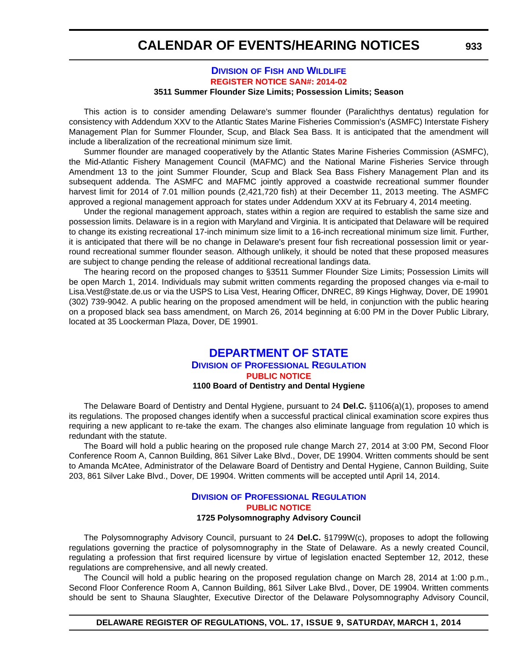#### **DIVISION OF FISH [AND WILDLIFE](http://www.dnrec.delaware.gov/fw/Pages/FWPortal.aspx) [REGISTER NOTICE SAN#: 2014-02](#page-4-0) 3511 Summer Flounder Size Limits; Possession Limits; Season**

<span id="page-63-0"></span>This action is to consider amending Delaware's summer flounder (Paralichthys dentatus) regulation for consistency with Addendum XXV to the Atlantic States Marine Fisheries Commission's (ASMFC) Interstate Fishery Management Plan for Summer Flounder, Scup, and Black Sea Bass. It is anticipated that the amendment will include a liberalization of the recreational minimum size limit.

Summer flounder are managed cooperatively by the Atlantic States Marine Fisheries Commission (ASMFC), the Mid-Atlantic Fishery Management Council (MAFMC) and the National Marine Fisheries Service through Amendment 13 to the joint Summer Flounder, Scup and Black Sea Bass Fishery Management Plan and its subsequent addenda. The ASMFC and MAFMC jointly approved a coastwide recreational summer flounder harvest limit for 2014 of 7.01 million pounds (2,421,720 fish) at their December 11, 2013 meeting. The ASMFC approved a regional management approach for states under Addendum XXV at its February 4, 2014 meeting.

Under the regional management approach, states within a region are required to establish the same size and possession limits. Delaware is in a region with Maryland and Virginia. It is anticipated that Delaware will be required to change its existing recreational 17-inch minimum size limit to a 16-inch recreational minimum size limit. Further, it is anticipated that there will be no change in Delaware's present four fish recreational possession limit or yearround recreational summer flounder season. Although unlikely, it should be noted that these proposed measures are subject to change pending the release of additional recreational landings data.

The hearing record on the proposed changes to §3511 Summer Flounder Size Limits; Possession Limits will be open March 1, 2014. Individuals may submit written comments regarding the proposed changes via e-mail to Lisa.Vest@state.de.us or via the USPS to Lisa Vest, Hearing Officer, DNREC, 89 Kings Highway, Dover, DE 19901 (302) 739-9042. A public hearing on the proposed amendment will be held, in conjunction with the public hearing on a proposed black sea bass amendment, on March 26, 2014 beginning at 6:00 PM in the Dover Public Library, located at 35 Loockerman Plaza, Dover, DE 19901.

#### **[DEPARTMENT OF STATE](http://dpr.delaware.gov/) DIVISION OF PROFESSIONAL REGULATION [PUBLIC NOTICE](#page-4-0) 1100 Board of Dentistry and Dental Hygiene**

The Delaware Board of Dentistry and Dental Hygiene, pursuant to 24 **Del.C.** §1106(a)(1), proposes to amend its regulations. The proposed changes identify when a successful practical clinical examination score expires thus requiring a new applicant to re-take the exam. The changes also eliminate language from regulation 10 which is redundant with the statute.

The Board will hold a public hearing on the proposed rule change March 27, 2014 at 3:00 PM, Second Floor Conference Room A, Cannon Building, 861 Silver Lake Blvd., Dover, DE 19904. Written comments should be sent to Amanda McAtee, Administrator of the Delaware Board of Dentistry and Dental Hygiene, Cannon Building, Suite 203, 861 Silver Lake Blvd., Dover, DE 19904. Written comments will be accepted until April 14, 2014.

#### **DIVISION [OF PROFESSIONAL REGULATION](http://dpr.delaware.gov/) [PUBLIC NOTICE](#page-4-0) 1725 Polysomnography Advisory Council**

The Polysomnography Advisory Council, pursuant to 24 **Del.C.** §1799W(c), proposes to adopt the following regulations governing the practice of polysomnography in the State of Delaware. As a newly created Council, regulating a profession that first required licensure by virtue of legislation enacted September 12, 2012, these regulations are comprehensive, and all newly created.

The Council will hold a public hearing on the proposed regulation change on March 28, 2014 at 1:00 p.m., Second Floor Conference Room A, Cannon Building, 861 Silver Lake Blvd., Dover, DE 19904. Written comments should be sent to Shauna Slaughter, Executive Director of the Delaware Polysomnography Advisory Council,